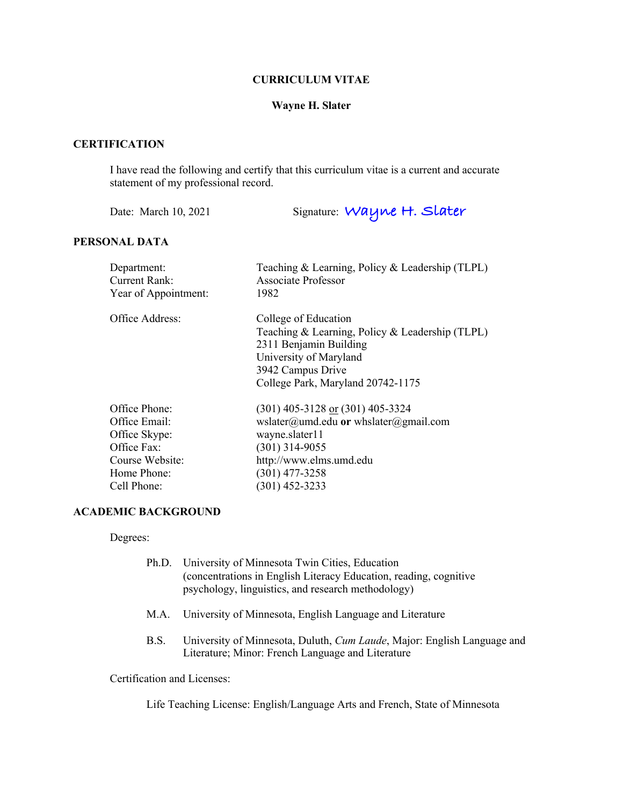## **CURRICULUM VITAE**

## **Wayne H. Slater**

## **CERTIFICATION**

I have read the following and certify that this curriculum vitae is a current and accurate statement of my professional record.

Date: March 10, 2021 Signature: **Wayne H. Slater**

## **PERSONAL DATA**

| Department:          | Teaching & Learning, Policy & Leadership (TLPL) |
|----------------------|-------------------------------------------------|
| <b>Current Rank:</b> | <b>Associate Professor</b>                      |
| Year of Appointment: | 1982                                            |
| Office Address:      | College of Education                            |
|                      | Teaching & Learning, Policy & Leadership (TLPL) |
|                      | 2311 Benjamin Building                          |
|                      | University of Maryland                          |
|                      | 3942 Campus Drive                               |
|                      | College Park, Maryland 20742-1175               |
| Office Phone:        | $(301)$ 405-3128 or $(301)$ 405-3324            |
| Office Email:        | wslater@umd.edu or whslater@gmail.com           |
| Office Skype:        | wayne.slater11                                  |
| Office Fax:          | $(301)$ 314-9055                                |
| Course Website:      | http://www.elms.umd.edu                         |
| Home Phone:          | $(301)$ 477-3258                                |
| Cell Phone:          | (301) 452-3233                                  |

## **ACADEMIC BACKGROUND**

Degrees:

| Ph.D. University of Minnesota Twin Cities, Education              |
|-------------------------------------------------------------------|
| (concentrations in English Literacy Education, reading, cognitive |
| psychology, linguistics, and research methodology)                |

- M.A. University of Minnesota, English Language and Literature
- B.S. University of Minnesota, Duluth, *Cum Laude*, Major: English Language and Literature; Minor: French Language and Literature

Certification and Licenses:

Life Teaching License: English/Language Arts and French, State of Minnesota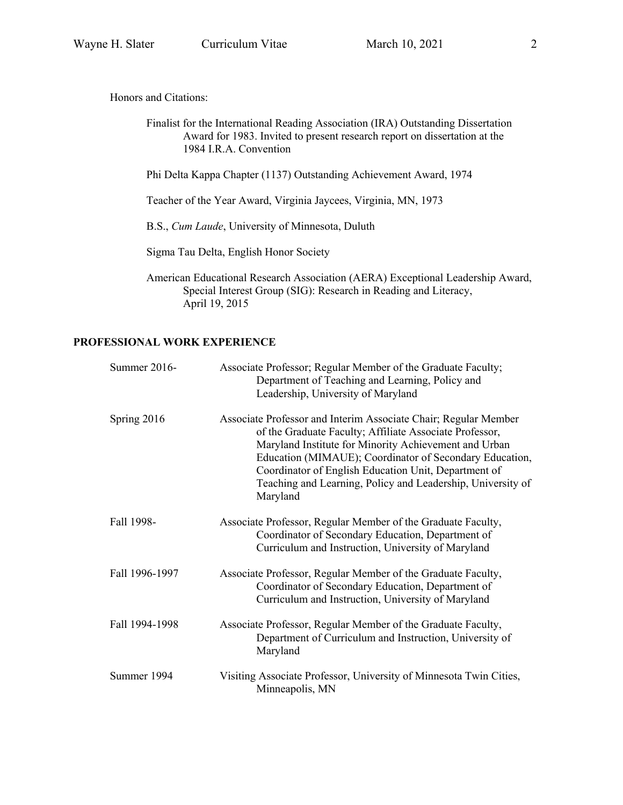Finalist for the International Reading Association (IRA) Outstanding Dissertation Award for 1983. Invited to present research report on dissertation at the 1984 I.R.A. Convention

Phi Delta Kappa Chapter (1137) Outstanding Achievement Award, 1974

Teacher of the Year Award, Virginia Jaycees, Virginia, MN, 1973

B.S., *Cum Laude*, University of Minnesota, Duluth

Sigma Tau Delta, English Honor Society

American Educational Research Association (AERA) Exceptional Leadership Award, Special Interest Group (SIG): Research in Reading and Literacy, April 19, 2015

## **PROFESSIONAL WORK EXPERIENCE**

| Summer 2016-   | Associate Professor; Regular Member of the Graduate Faculty;<br>Department of Teaching and Learning, Policy and<br>Leadership, University of Maryland                                                                                                                                                                                                                             |
|----------------|-----------------------------------------------------------------------------------------------------------------------------------------------------------------------------------------------------------------------------------------------------------------------------------------------------------------------------------------------------------------------------------|
| Spring 2016    | Associate Professor and Interim Associate Chair; Regular Member<br>of the Graduate Faculty; Affiliate Associate Professor,<br>Maryland Institute for Minority Achievement and Urban<br>Education (MIMAUE); Coordinator of Secondary Education,<br>Coordinator of English Education Unit, Department of<br>Teaching and Learning, Policy and Leadership, University of<br>Maryland |
| Fall 1998-     | Associate Professor, Regular Member of the Graduate Faculty,<br>Coordinator of Secondary Education, Department of<br>Curriculum and Instruction, University of Maryland                                                                                                                                                                                                           |
| Fall 1996-1997 | Associate Professor, Regular Member of the Graduate Faculty,<br>Coordinator of Secondary Education, Department of<br>Curriculum and Instruction, University of Maryland                                                                                                                                                                                                           |
| Fall 1994-1998 | Associate Professor, Regular Member of the Graduate Faculty,<br>Department of Curriculum and Instruction, University of<br>Maryland                                                                                                                                                                                                                                               |
| Summer 1994    | Visiting Associate Professor, University of Minnesota Twin Cities,<br>Minneapolis, MN                                                                                                                                                                                                                                                                                             |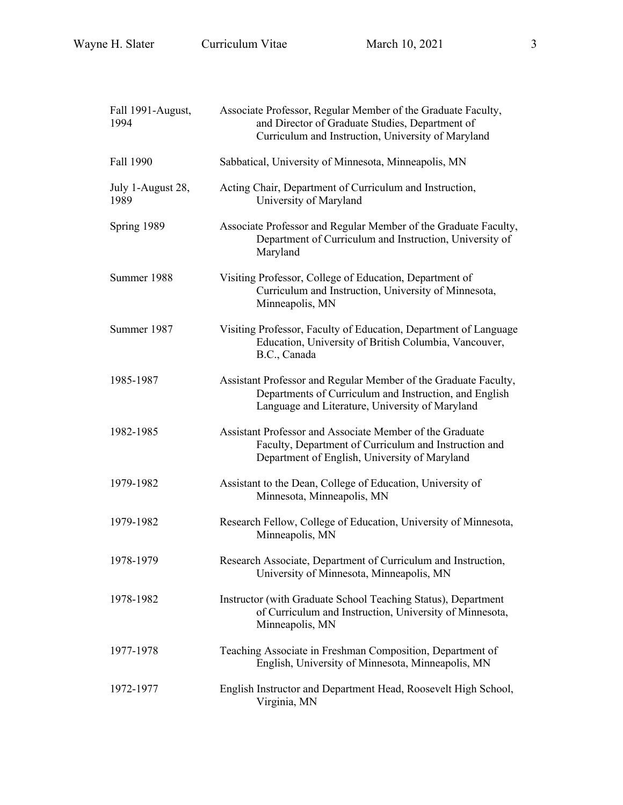| Fall 1991-August,<br>1994 | Associate Professor, Regular Member of the Graduate Faculty,<br>and Director of Graduate Studies, Department of<br>Curriculum and Instruction, University of Maryland        |
|---------------------------|------------------------------------------------------------------------------------------------------------------------------------------------------------------------------|
| Fall 1990                 | Sabbatical, University of Minnesota, Minneapolis, MN                                                                                                                         |
| July 1-August 28,<br>1989 | Acting Chair, Department of Curriculum and Instruction,<br>University of Maryland                                                                                            |
| Spring 1989               | Associate Professor and Regular Member of the Graduate Faculty,<br>Department of Curriculum and Instruction, University of<br>Maryland                                       |
| Summer 1988               | Visiting Professor, College of Education, Department of<br>Curriculum and Instruction, University of Minnesota,<br>Minneapolis, MN                                           |
| Summer 1987               | Visiting Professor, Faculty of Education, Department of Language<br>Education, University of British Columbia, Vancouver,<br>B.C., Canada                                    |
| 1985-1987                 | Assistant Professor and Regular Member of the Graduate Faculty,<br>Departments of Curriculum and Instruction, and English<br>Language and Literature, University of Maryland |
| 1982-1985                 | Assistant Professor and Associate Member of the Graduate<br>Faculty, Department of Curriculum and Instruction and<br>Department of English, University of Maryland           |
| 1979-1982                 | Assistant to the Dean, College of Education, University of<br>Minnesota, Minneapolis, MN                                                                                     |
| 1979-1982                 | Research Fellow, College of Education, University of Minnesota,<br>Minneapolis, MN                                                                                           |
| 1978-1979                 | Research Associate, Department of Curriculum and Instruction,<br>University of Minnesota, Minneapolis, MN                                                                    |
| 1978-1982                 | Instructor (with Graduate School Teaching Status), Department<br>of Curriculum and Instruction, University of Minnesota,<br>Minneapolis, MN                                  |
| 1977-1978                 | Teaching Associate in Freshman Composition, Department of<br>English, University of Minnesota, Minneapolis, MN                                                               |
| 1972-1977                 | English Instructor and Department Head, Roosevelt High School,<br>Virginia, MN                                                                                               |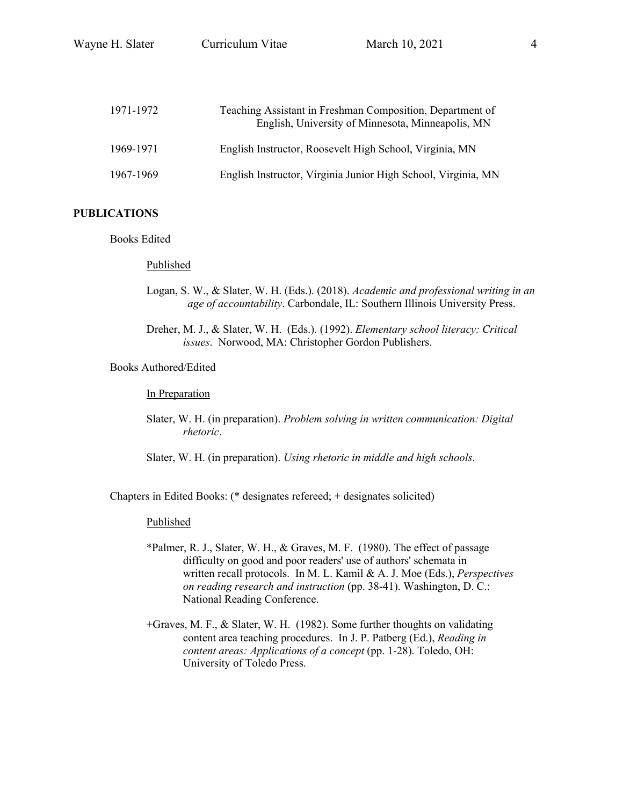| 1971-1972 | Teaching Assistant in Freshman Composition, Department of<br>English, University of Minnesota, Minneapolis, MN |
|-----------|----------------------------------------------------------------------------------------------------------------|
| 1969-1971 | English Instructor, Roosevelt High School, Virginia, MN                                                        |
| 1967-1969 | English Instructor, Virginia Junior High School, Virginia, MN                                                  |

## **PUBLICATIONS**

Books Edited

#### Published

- Logan, S. W., & Slater, W. H. (Eds.). (2018). *Academic and professional writing in an age of accountability*. Carbondale, IL: Southern Illinois University Press.
- Dreher, M. J., & Slater, W. H. (Eds.). (1992). *Elementary school literacy: Critical issues*. Norwood, MA: Christopher Gordon Publishers.

### Books Authored/Edited

In Preparation

- Slater, W. H. (in preparation). *Problem solving in written communication: Digital rhetoric*.
- Slater, W. H. (in preparation). *Using rhetoric in middle and high schools*.

Chapters in Edited Books: (\* designates refereed; + designates solicited)

#### Published

- \*Palmer, R. J., Slater, W. H., & Graves, M. F. (1980). The effect of passage difficulty on good and poor readers' use of authors' schemata in written recall protocols. In M. L. Kamil & A. J. Moe (Eds.), *Perspectives on reading research and instruction* (pp. 38-41). Washington, D. C.: National Reading Conference.
- +Graves, M. F., & Slater, W. H. (1982). Some further thoughts on validating content area teaching procedures. In J. P. Patberg (Ed.), *Reading in content areas: Applications of a concept* (pp. 1-28). Toledo, OH: University of Toledo Press.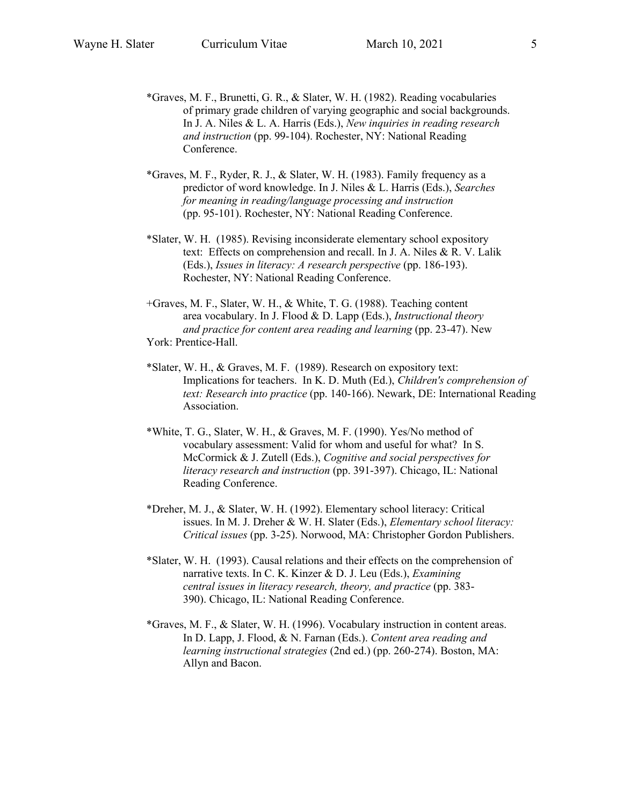- \*Graves, M. F., Brunetti, G. R., & Slater, W. H. (1982). Reading vocabularies of primary grade children of varying geographic and social backgrounds. In J. A. Niles & L. A. Harris (Eds.), *New inquiries in reading research and instruction* (pp. 99-104). Rochester, NY: National Reading Conference.
- \*Graves, M. F., Ryder, R. J., & Slater, W. H. (1983). Family frequency as a predictor of word knowledge. In J. Niles & L. Harris (Eds.), *Searches for meaning in reading/language processing and instruction* (pp. 95-101). Rochester, NY: National Reading Conference.
- \*Slater, W. H. (1985). Revising inconsiderate elementary school expository text: Effects on comprehension and recall. In J. A. Niles & R. V. Lalik (Eds.), *Issues in literacy: A research perspective* (pp. 186-193). Rochester, NY: National Reading Conference.
- +Graves, M. F., Slater, W. H., & White, T. G. (1988). Teaching content area vocabulary. In J. Flood & D. Lapp (Eds.), *Instructional theory and practice for content area reading and learning* (pp. 23-47). New York: Prentice-Hall.
- \*Slater, W. H., & Graves, M. F. (1989). Research on expository text: Implications for teachers. In K. D. Muth (Ed.), *Children's comprehension of text: Research into practice* (pp. 140-166). Newark, DE: International Reading Association.
- \*White, T. G., Slater, W. H., & Graves, M. F. (1990). Yes/No method of vocabulary assessment: Valid for whom and useful for what? In S. McCormick & J. Zutell (Eds.), *Cognitive and social perspectives for literacy research and instruction* (pp. 391-397). Chicago, IL: National Reading Conference.
- \*Dreher, M. J., & Slater, W. H. (1992). Elementary school literacy: Critical issues. In M. J. Dreher & W. H. Slater (Eds.), *Elementary school literacy: Critical issues* (pp. 3-25). Norwood, MA: Christopher Gordon Publishers.
- \*Slater, W. H. (1993). Causal relations and their effects on the comprehension of narrative texts. In C. K. Kinzer & D. J. Leu (Eds.), *Examining central issues in literacy research, theory, and practice* (pp. 383- 390). Chicago, IL: National Reading Conference.
- \*Graves, M. F., & Slater, W. H. (1996). Vocabulary instruction in content areas. In D. Lapp, J. Flood, & N. Farnan (Eds.). *Content area reading and learning instructional strategies* (2nd ed.) (pp. 260-274). Boston, MA: Allyn and Bacon.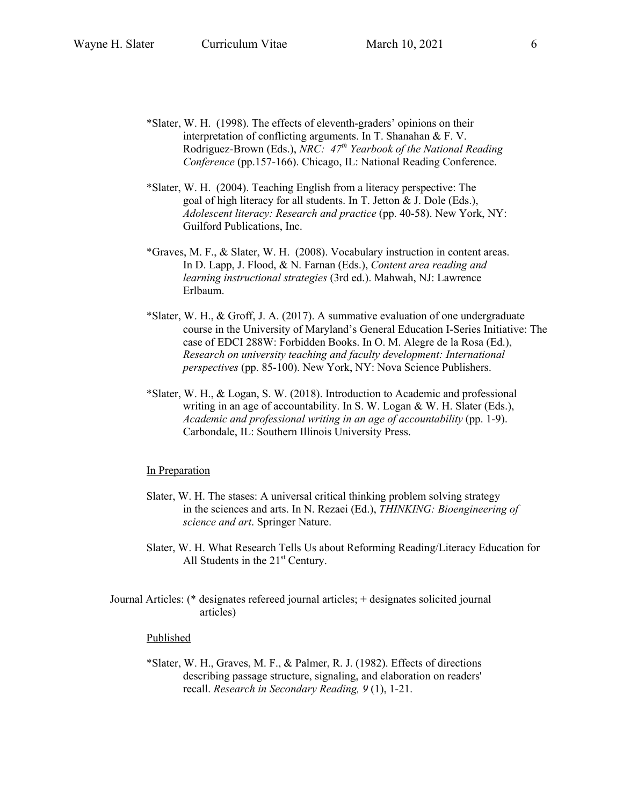- \*Slater, W. H. (1998). The effects of eleventh-graders' opinions on their interpretation of conflicting arguments. In T. Shanahan & F. V. Rodriguez-Brown (Eds.), *NRC: 47th Yearbook of the National Reading Conference* (pp.157-166). Chicago, IL: National Reading Conference.
- \*Slater, W. H. (2004). Teaching English from a literacy perspective: The goal of high literacy for all students. In T. Jetton & J. Dole (Eds.), *Adolescent literacy: Research and practice* (pp. 40-58). New York, NY: Guilford Publications, Inc.
- \*Graves, M. F., & Slater, W. H. (2008). Vocabulary instruction in content areas. In D. Lapp, J. Flood, & N. Farnan (Eds.), *Content area reading and learning instructional strategies* (3rd ed.). Mahwah, NJ: Lawrence Erlbaum.
- \*Slater, W. H., & Groff, J. A. (2017). A summative evaluation of one undergraduate course in the University of Maryland's General Education I-Series Initiative: The case of EDCI 288W: Forbidden Books. In O. M. Alegre de la Rosa (Ed.), *Research on university teaching and faculty development: International perspectives* (pp. 85-100). New York, NY: Nova Science Publishers.
- \*Slater, W. H., & Logan, S. W. (2018). Introduction to Academic and professional writing in an age of accountability. In S. W. Logan & W. H. Slater (Eds.), *Academic and professional writing in an age of accountability* (pp. 1-9). Carbondale, IL: Southern Illinois University Press.

#### In Preparation

- Slater, W. H. The stases: A universal critical thinking problem solving strategy in the sciences and arts. In N. Rezaei (Ed.), *THINKING: Bioengineering of science and art*. Springer Nature.
- Slater, W. H. What Research Tells Us about Reforming Reading/Literacy Education for All Students in the  $21<sup>st</sup>$  Century.
- Journal Articles: (\* designates refereed journal articles; + designates solicited journal articles)

#### Published

\*Slater, W. H., Graves, M. F., & Palmer, R. J. (1982). Effects of directions describing passage structure, signaling, and elaboration on readers' recall. *Research in Secondary Reading, 9* (1), 1-21.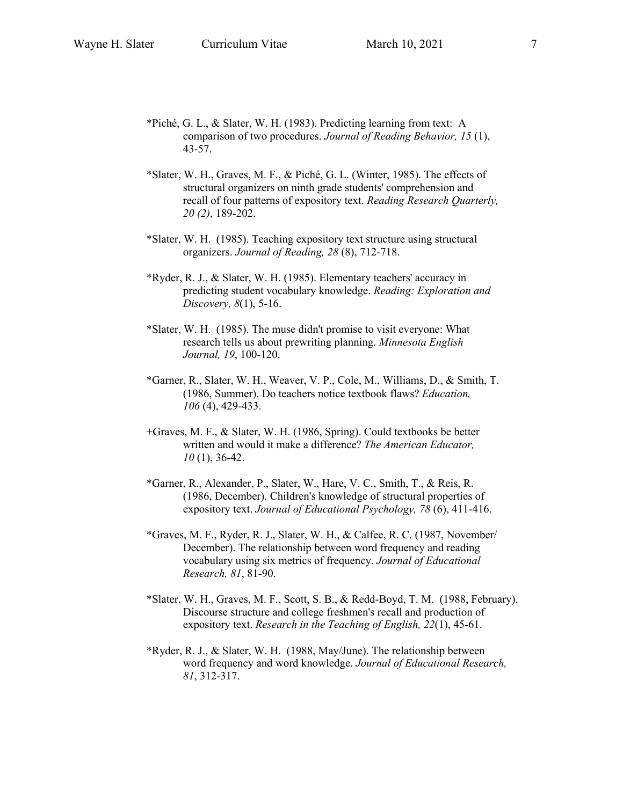- \*Piché, G. L., & Slater, W. H. (1983). Predicting learning from text: A comparison of two procedures. *Journal of Reading Behavior, 15* (1), 43-57.
- \*Slater, W. H., Graves, M. F., & Piché, G. L. (Winter, 1985). The effects of structural organizers on ninth grade students' comprehension and recall of four patterns of expository text. *Reading Research Quarterly, 20 (2)*, 189-202.
- \*Slater, W. H. (1985). Teaching expository text structure using structural organizers. *Journal of Reading, 28* (8), 712-718.
- \*Ryder, R. J., & Slater, W. H. (1985). Elementary teachers' accuracy in predicting student vocabulary knowledge. *Reading: Exploration and Discovery, 8*(1), 5-16.
- \*Slater, W. H. (1985). The muse didn't promise to visit everyone: What research tells us about prewriting planning. *Minnesota English Journal, 19*, 100-120.
- \*Garner, R., Slater, W. H., Weaver, V. P., Cole, M., Williams, D., & Smith, T. (1986, Summer). Do teachers notice textbook flaws? *Education, 106* (4), 429-433.
- +Graves, M. F., & Slater, W. H. (1986, Spring). Could textbooks be better written and would it make a difference? *The American Educator, 10* (1), 36-42.
- \*Garner, R., Alexander, P., Slater, W., Hare, V. C., Smith, T., & Reis, R. (1986, December). Children's knowledge of structural properties of expository text. *Journal of Educational Psychology, 78* (6), 411-416.
- \*Graves, M. F., Ryder, R. J., Slater, W. H., & Calfee, R. C. (1987, November/ December). The relationship between word frequency and reading vocabulary using six metrics of frequency. *Journal of Educational Research, 81*, 81-90.
- \*Slater, W. H., Graves, M. F., Scott, S. B., & Redd-Boyd, T. M. (1988, February). Discourse structure and college freshmen's recall and production of expository text. *Research in the Teaching of English, 22*(1), 45-61.
- \*Ryder, R. J., & Slater, W. H. (1988, May/June). The relationship between word frequency and word knowledge. *Journal of Educational Research, 81*, 312-317.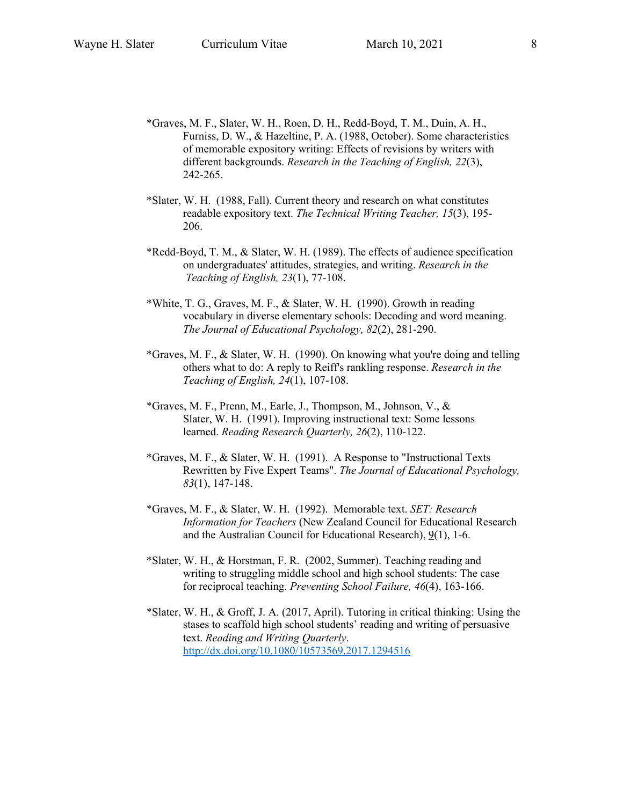- \*Graves, M. F., Slater, W. H., Roen, D. H., Redd-Boyd, T. M., Duin, A. H., Furniss, D. W., & Hazeltine, P. A. (1988, October). Some characteristics of memorable expository writing: Effects of revisions by writers with different backgrounds. *Research in the Teaching of English, 22*(3), 242-265.
- \*Slater, W. H. (1988, Fall). Current theory and research on what constitutes readable expository text. *The Technical Writing Teacher, 15*(3), 195- 206.
- \*Redd-Boyd, T. M., & Slater, W. H. (1989). The effects of audience specification on undergraduates' attitudes, strategies, and writing. *Research in the Teaching of English, 23*(1), 77-108.
- \*White, T. G., Graves, M. F., & Slater, W. H. (1990). Growth in reading vocabulary in diverse elementary schools: Decoding and word meaning. *The Journal of Educational Psychology, 82*(2), 281-290.
- \*Graves, M. F., & Slater, W. H. (1990). On knowing what you're doing and telling others what to do: A reply to Reiff's rankling response. *Research in the Teaching of English, 24*(1), 107-108.
- \*Graves, M. F., Prenn, M., Earle, J., Thompson, M., Johnson, V., & Slater, W. H. (1991). Improving instructional text: Some lessons learned. *Reading Research Quarterly, 26*(2), 110-122.
- \*Graves, M. F., & Slater, W. H. (1991). A Response to "Instructional Texts Rewritten by Five Expert Teams". *The Journal of Educational Psychology, 83*(1), 147-148.
- \*Graves, M. F., & Slater, W. H. (1992). Memorable text. *SET: Research Information for Teachers* (New Zealand Council for Educational Research and the Australian Council for Educational Research),  $9(1)$ , 1-6.
- \*Slater, W. H., & Horstman, F. R. (2002, Summer). Teaching reading and writing to struggling middle school and high school students: The case for reciprocal teaching. *Preventing School Failure, 46*(4), 163-166.
- \*Slater, W. H., & Groff, J. A. (2017, April). Tutoring in critical thinking: Using the stases to scaffold high school students' reading and writing of persuasive text. *Reading and Writing Quarterly*. http://dx.doi.org/10.1080/10573569.2017.1294516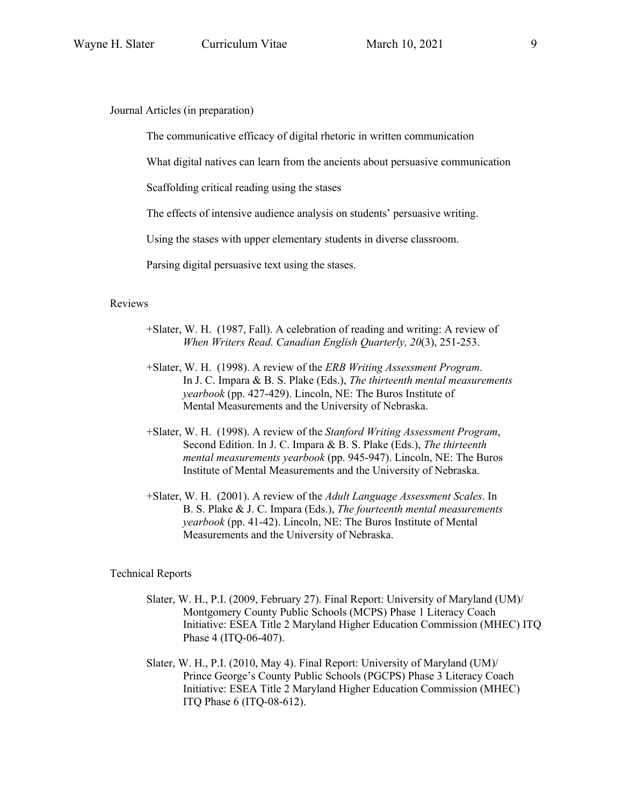Journal Articles (in preparation)

The communicative efficacy of digital rhetoric in written communication

What digital natives can learn from the ancients about persuasive communication

Scaffolding critical reading using the stases

The effects of intensive audience analysis on students' persuasive writing.

Using the stases with upper elementary students in diverse classroom.

Parsing digital persuasive text using the stases.

#### Reviews

- +Slater, W. H. (1987, Fall). A celebration of reading and writing: A review of *When Writers Read. Canadian English Quarterly, 20*(3), 251-253.
- +Slater, W. H. (1998). A review of the *ERB Writing Assessment Program*. In J. C. Impara & B. S. Plake (Eds.), *The thirteenth mental measurements yearbook* (pp. 427-429). Lincoln, NE: The Buros Institute of Mental Measurements and the University of Nebraska.
- +Slater, W. H. (1998). A review of the *Stanford Writing Assessment Program*, Second Edition. In J. C. Impara & B. S. Plake (Eds.), *The thirteenth mental measurements yearbook* (pp. 945-947). Lincoln, NE: The Buros Institute of Mental Measurements and the University of Nebraska.
- +Slater, W. H. (2001). A review of the *Adult Language Assessment Scales*. In B. S. Plake & J. C. Impara (Eds.), *The fourteenth mental measurements yearbook* (pp. 41-42). Lincoln, NE: The Buros Institute of Mental Measurements and the University of Nebraska.

#### Technical Reports

- Slater, W. H., P.I. (2009, February 27). Final Report: University of Maryland (UM)/ Montgomery County Public Schools (MCPS) Phase 1 Literacy Coach Initiative: ESEA Title 2 Maryland Higher Education Commission (MHEC) ITQ Phase 4 (ITQ-06-407).
- Slater, W. H., P.I. (2010, May 4). Final Report: University of Maryland (UM)/ Prince George's County Public Schools (PGCPS) Phase 3 Literacy Coach Initiative: ESEA Title 2 Maryland Higher Education Commission (MHEC) ITQ Phase 6 (ITQ-08-612).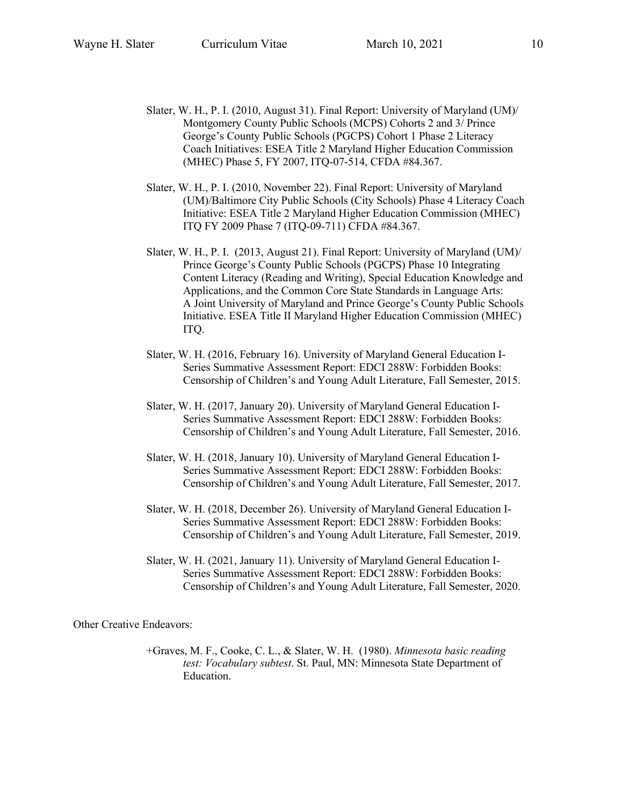- Slater, W. H., P. I. (2010, August 31). Final Report: University of Maryland (UM)/ Montgomery County Public Schools (MCPS) Cohorts 2 and 3/ Prince George's County Public Schools (PGCPS) Cohort 1 Phase 2 Literacy Coach Initiatives: ESEA Title 2 Maryland Higher Education Commission (MHEC) Phase 5, FY 2007, ITQ-07-514, CFDA #84.367.
- Slater, W. H., P. I. (2010, November 22). Final Report: University of Maryland (UM)/Baltimore City Public Schools (City Schools) Phase 4 Literacy Coach Initiative: ESEA Title 2 Maryland Higher Education Commission (MHEC) ITQ FY 2009 Phase 7 (ITQ-09-711) CFDA #84.367.
- Slater, W. H., P. I. (2013, August 21). Final Report: University of Maryland (UM)/ Prince George's County Public Schools (PGCPS) Phase 10 Integrating Content Literacy (Reading and Writing), Special Education Knowledge and Applications, and the Common Core State Standards in Language Arts: A Joint University of Maryland and Prince George's County Public Schools Initiative. ESEA Title II Maryland Higher Education Commission (MHEC) ITQ.
- Slater, W. H. (2016, February 16). University of Maryland General Education I-Series Summative Assessment Report: EDCI 288W: Forbidden Books: Censorship of Children's and Young Adult Literature, Fall Semester, 2015.
- Slater, W. H. (2017, January 20). University of Maryland General Education I-Series Summative Assessment Report: EDCI 288W: Forbidden Books: Censorship of Children's and Young Adult Literature, Fall Semester, 2016.
- Slater, W. H. (2018, January 10). University of Maryland General Education I-Series Summative Assessment Report: EDCI 288W: Forbidden Books: Censorship of Children's and Young Adult Literature, Fall Semester, 2017.
- Slater, W. H. (2018, December 26). University of Maryland General Education I-Series Summative Assessment Report: EDCI 288W: Forbidden Books: Censorship of Children's and Young Adult Literature, Fall Semester, 2019.
- Slater, W. H. (2021, January 11). University of Maryland General Education I-Series Summative Assessment Report: EDCI 288W: Forbidden Books: Censorship of Children's and Young Adult Literature, Fall Semester, 2020.

Other Creative Endeavors:

+Graves, M. F., Cooke, C. L., & Slater, W. H. (1980). *Minnesota basic reading test: Vocabulary subtest*. St. Paul, MN: Minnesota State Department of Education.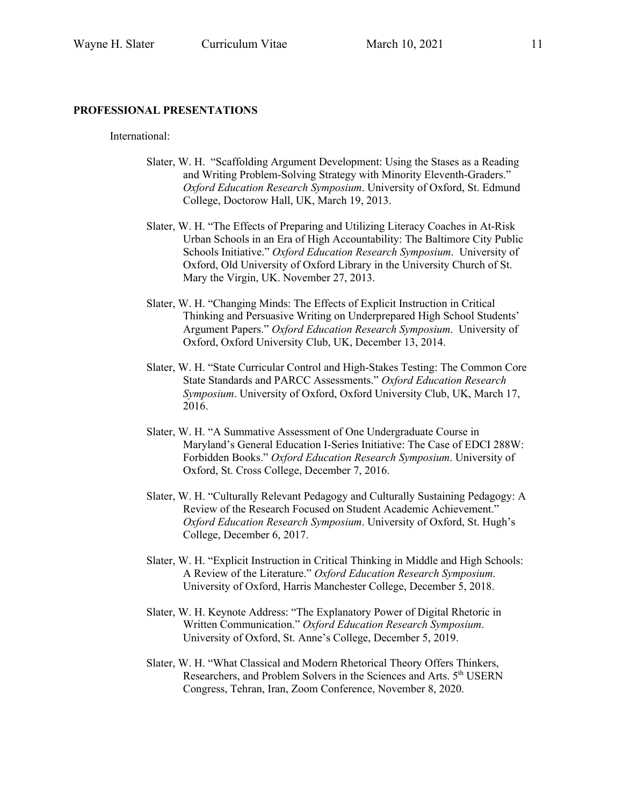#### **PROFESSIONAL PRESENTATIONS**

International:

- Slater, W. H. "Scaffolding Argument Development: Using the Stases as a Reading and Writing Problem-Solving Strategy with Minority Eleventh-Graders." *Oxford Education Research Symposium*. University of Oxford, St. Edmund College, Doctorow Hall, UK, March 19, 2013.
- Slater, W. H. "The Effects of Preparing and Utilizing Literacy Coaches in At-Risk Urban Schools in an Era of High Accountability: The Baltimore City Public Schools Initiative." *Oxford Education Research Symposium*. University of Oxford, Old University of Oxford Library in the University Church of St. Mary the Virgin, UK. November 27, 2013.
- Slater, W. H. "Changing Minds: The Effects of Explicit Instruction in Critical Thinking and Persuasive Writing on Underprepared High School Students' Argument Papers." *Oxford Education Research Symposium*. University of Oxford, Oxford University Club, UK, December 13, 2014.
- Slater, W. H. "State Curricular Control and High-Stakes Testing: The Common Core State Standards and PARCC Assessments." *Oxford Education Research Symposium*. University of Oxford, Oxford University Club, UK, March 17, 2016.
- Slater, W. H. "A Summative Assessment of One Undergraduate Course in Maryland's General Education I-Series Initiative: The Case of EDCI 288W: Forbidden Books." *Oxford Education Research Symposium*. University of Oxford, St. Cross College, December 7, 2016.
- Slater, W. H. "Culturally Relevant Pedagogy and Culturally Sustaining Pedagogy: A Review of the Research Focused on Student Academic Achievement." *Oxford Education Research Symposium*. University of Oxford, St. Hugh's College, December 6, 2017.
- Slater, W. H. "Explicit Instruction in Critical Thinking in Middle and High Schools: A Review of the Literature." *Oxford Education Research Symposium*. University of Oxford, Harris Manchester College, December 5, 2018.
- Slater, W. H. Keynote Address: "The Explanatory Power of Digital Rhetoric in Written Communication." *Oxford Education Research Symposium*. University of Oxford, St. Anne's College, December 5, 2019.
- Slater, W. H. "What Classical and Modern Rhetorical Theory Offers Thinkers, Researchers, and Problem Solvers in the Sciences and Arts. 5<sup>th</sup> USERN Congress, Tehran, Iran, Zoom Conference, November 8, 2020.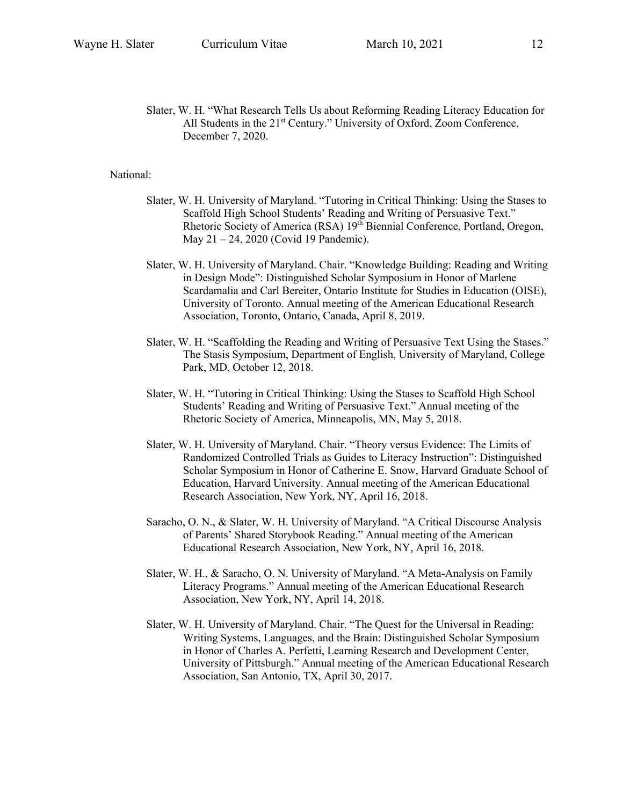Slater, W. H. "What Research Tells Us about Reforming Reading Literacy Education for All Students in the  $21<sup>st</sup>$  Century." University of Oxford, Zoom Conference, December 7, 2020.

#### National:

- Slater, W. H. University of Maryland. "Tutoring in Critical Thinking: Using the Stases to Scaffold High School Students' Reading and Writing of Persuasive Text." Rhetoric Society of America (RSA) 19<sup>th</sup> Biennial Conference, Portland, Oregon, May 21 – 24, 2020 (Covid 19 Pandemic).
- Slater, W. H. University of Maryland. Chair. "Knowledge Building: Reading and Writing in Design Mode": Distinguished Scholar Symposium in Honor of Marlene Scardamalia and Carl Bereiter, Ontario Institute for Studies in Education (OISE), University of Toronto. Annual meeting of the American Educational Research Association, Toronto, Ontario, Canada, April 8, 2019.
- Slater, W. H. "Scaffolding the Reading and Writing of Persuasive Text Using the Stases." The Stasis Symposium, Department of English, University of Maryland, College Park, MD, October 12, 2018.
- Slater, W. H. "Tutoring in Critical Thinking: Using the Stases to Scaffold High School Students' Reading and Writing of Persuasive Text." Annual meeting of the Rhetoric Society of America, Minneapolis, MN, May 5, 2018.
- Slater, W. H. University of Maryland. Chair. "Theory versus Evidence: The Limits of Randomized Controlled Trials as Guides to Literacy Instruction": Distinguished Scholar Symposium in Honor of Catherine E. Snow, Harvard Graduate School of Education, Harvard University. Annual meeting of the American Educational Research Association, New York, NY, April 16, 2018.
- Saracho, O. N., & Slater, W. H. University of Maryland. "A Critical Discourse Analysis of Parents' Shared Storybook Reading." Annual meeting of the American Educational Research Association, New York, NY, April 16, 2018.
- Slater, W. H., & Saracho, O. N. University of Maryland. "A Meta-Analysis on Family Literacy Programs." Annual meeting of the American Educational Research Association, New York, NY, April 14, 2018.
- Slater, W. H. University of Maryland. Chair. "The Quest for the Universal in Reading: Writing Systems, Languages, and the Brain: Distinguished Scholar Symposium in Honor of Charles A. Perfetti, Learning Research and Development Center, University of Pittsburgh." Annual meeting of the American Educational Research Association, San Antonio, TX, April 30, 2017.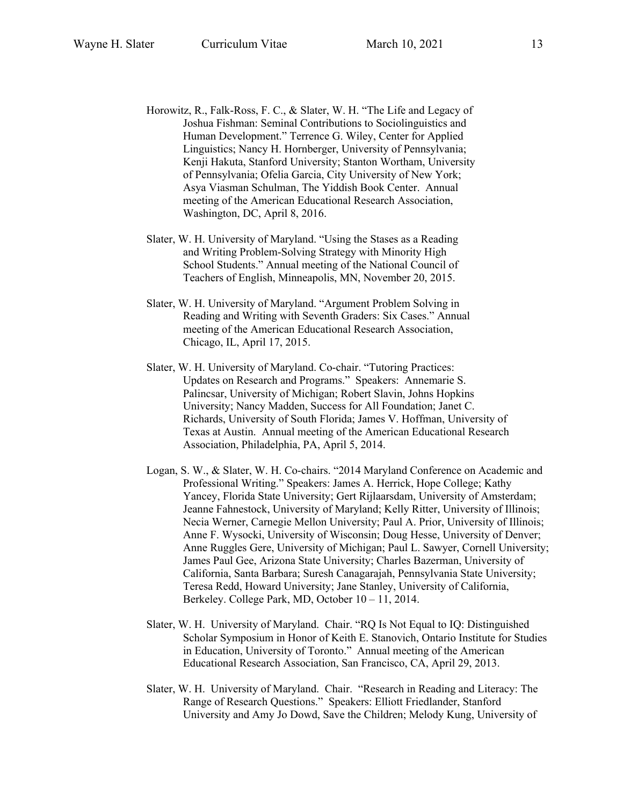- Horowitz, R., Falk-Ross, F. C., & Slater, W. H. "The Life and Legacy of Joshua Fishman: Seminal Contributions to Sociolinguistics and Human Development." Terrence G. Wiley, Center for Applied Linguistics; Nancy H. Hornberger, University of Pennsylvania; Kenji Hakuta, Stanford University; Stanton Wortham, University of Pennsylvania; Ofelia Garcia, City University of New York; Asya Viasman Schulman, The Yiddish Book Center. Annual meeting of the American Educational Research Association, Washington, DC, April 8, 2016.
- Slater, W. H. University of Maryland. "Using the Stases as a Reading and Writing Problem-Solving Strategy with Minority High School Students." Annual meeting of the National Council of Teachers of English, Minneapolis, MN, November 20, 2015.
- Slater, W. H. University of Maryland. "Argument Problem Solving in Reading and Writing with Seventh Graders: Six Cases." Annual meeting of the American Educational Research Association, Chicago, IL, April 17, 2015.
- Slater, W. H. University of Maryland. Co-chair. "Tutoring Practices: Updates on Research and Programs." Speakers: Annemarie S. Palincsar, University of Michigan; Robert Slavin, Johns Hopkins University; Nancy Madden, Success for All Foundation; Janet C. Richards, University of South Florida; James V. Hoffman, University of Texas at Austin. Annual meeting of the American Educational Research Association, Philadelphia, PA, April 5, 2014.
- Logan, S. W., & Slater, W. H. Co-chairs. "2014 Maryland Conference on Academic and Professional Writing." Speakers: James A. Herrick, Hope College; Kathy Yancey, Florida State University; Gert Rijlaarsdam, University of Amsterdam; Jeanne Fahnestock, University of Maryland; Kelly Ritter, University of Illinois; Necia Werner, Carnegie Mellon University; Paul A. Prior, University of Illinois; Anne F. Wysocki, University of Wisconsin; Doug Hesse, University of Denver; Anne Ruggles Gere, University of Michigan; Paul L. Sawyer, Cornell University; James Paul Gee, Arizona State University; Charles Bazerman, University of California, Santa Barbara; Suresh Canagarajah, Pennsylvania State University; Teresa Redd, Howard University; Jane Stanley, University of California, Berkeley. College Park, MD, October 10 – 11, 2014.
- Slater, W. H. University of Maryland. Chair. "RQ Is Not Equal to IQ: Distinguished Scholar Symposium in Honor of Keith E. Stanovich, Ontario Institute for Studies in Education, University of Toronto." Annual meeting of the American Educational Research Association, San Francisco, CA, April 29, 2013.
- Slater, W. H. University of Maryland. Chair. "Research in Reading and Literacy: The Range of Research Questions." Speakers: Elliott Friedlander, Stanford University and Amy Jo Dowd, Save the Children; Melody Kung, University of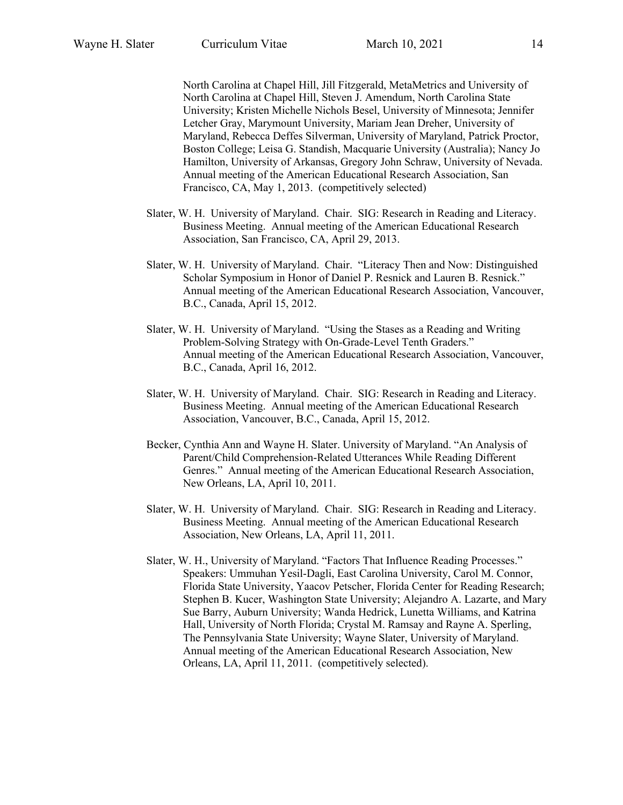North Carolina at Chapel Hill, Jill Fitzgerald, MetaMetrics and University of North Carolina at Chapel Hill, Steven J. Amendum, North Carolina State University; Kristen Michelle Nichols Besel, University of Minnesota; Jennifer Letcher Gray, Marymount University, Mariam Jean Dreher, University of Maryland, Rebecca Deffes Silverman, University of Maryland, Patrick Proctor, Boston College; Leisa G. Standish, Macquarie University (Australia); Nancy Jo Hamilton, University of Arkansas, Gregory John Schraw, University of Nevada. Annual meeting of the American Educational Research Association, San Francisco, CA, May 1, 2013. (competitively selected)

- Slater, W. H. University of Maryland. Chair. SIG: Research in Reading and Literacy. Business Meeting. Annual meeting of the American Educational Research Association, San Francisco, CA, April 29, 2013.
- Slater, W. H. University of Maryland. Chair. "Literacy Then and Now: Distinguished Scholar Symposium in Honor of Daniel P. Resnick and Lauren B. Resnick." Annual meeting of the American Educational Research Association, Vancouver, B.C., Canada, April 15, 2012.
- Slater, W. H. University of Maryland. "Using the Stases as a Reading and Writing Problem-Solving Strategy with On-Grade-Level Tenth Graders." Annual meeting of the American Educational Research Association, Vancouver, B.C., Canada, April 16, 2012.
- Slater, W. H. University of Maryland. Chair. SIG: Research in Reading and Literacy. Business Meeting. Annual meeting of the American Educational Research Association, Vancouver, B.C., Canada, April 15, 2012.
- Becker, Cynthia Ann and Wayne H. Slater. University of Maryland. "An Analysis of Parent/Child Comprehension-Related Utterances While Reading Different Genres." Annual meeting of the American Educational Research Association, New Orleans, LA, April 10, 2011.
- Slater, W. H. University of Maryland. Chair. SIG: Research in Reading and Literacy. Business Meeting. Annual meeting of the American Educational Research Association, New Orleans, LA, April 11, 2011.
- Slater, W. H., University of Maryland. "Factors That Influence Reading Processes." Speakers: Ummuhan Yesil-Dagli, East Carolina University, Carol M. Connor, Florida State University, Yaacov Petscher, Florida Center for Reading Research; Stephen B. Kucer, Washington State University; Alejandro A. Lazarte, and Mary Sue Barry, Auburn University; Wanda Hedrick, Lunetta Williams, and Katrina Hall, University of North Florida; Crystal M. Ramsay and Rayne A. Sperling, The Pennsylvania State University; Wayne Slater, University of Maryland. Annual meeting of the American Educational Research Association, New Orleans, LA, April 11, 2011. (competitively selected).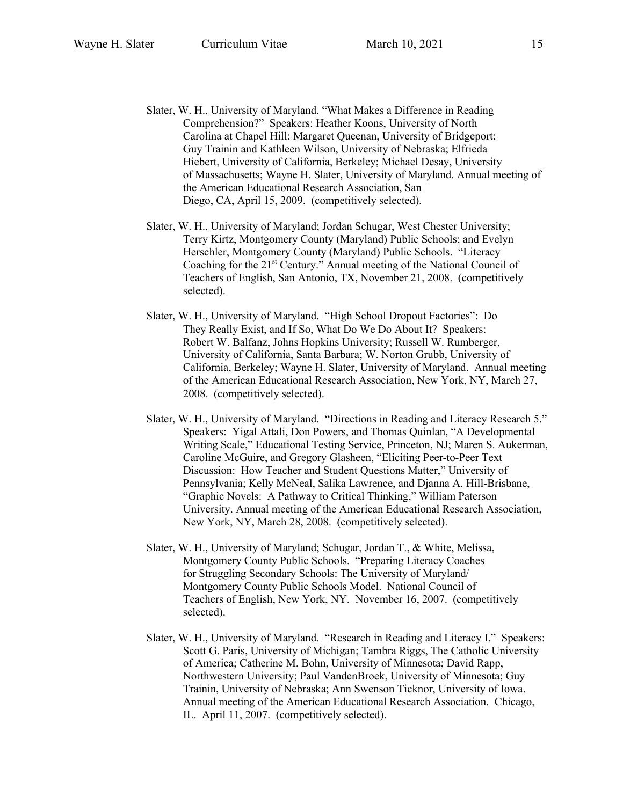- Slater, W. H., University of Maryland. "What Makes a Difference in Reading Comprehension?" Speakers: Heather Koons, University of North Carolina at Chapel Hill; Margaret Queenan, University of Bridgeport; Guy Trainin and Kathleen Wilson, University of Nebraska; Elfrieda Hiebert, University of California, Berkeley; Michael Desay, University of Massachusetts; Wayne H. Slater, University of Maryland. Annual meeting of the American Educational Research Association, San Diego, CA, April 15, 2009. (competitively selected).
- Slater, W. H., University of Maryland; Jordan Schugar, West Chester University; Terry Kirtz, Montgomery County (Maryland) Public Schools; and Evelyn Herschler, Montgomery County (Maryland) Public Schools. "Literacy Coaching for the  $21<sup>st</sup>$  Century." Annual meeting of the National Council of Teachers of English, San Antonio, TX, November 21, 2008. (competitively selected).
- Slater, W. H., University of Maryland. "High School Dropout Factories": Do They Really Exist, and If So, What Do We Do About It? Speakers: Robert W. Balfanz, Johns Hopkins University; Russell W. Rumberger, University of California, Santa Barbara; W. Norton Grubb, University of California, Berkeley; Wayne H. Slater, University of Maryland. Annual meeting of the American Educational Research Association, New York, NY, March 27, 2008. (competitively selected).
- Slater, W. H., University of Maryland. "Directions in Reading and Literacy Research 5." Speakers: Yigal Attali, Don Powers, and Thomas Quinlan, "A Developmental Writing Scale," Educational Testing Service, Princeton, NJ; Maren S. Aukerman, Caroline McGuire, and Gregory Glasheen, "Eliciting Peer-to-Peer Text Discussion: How Teacher and Student Questions Matter," University of Pennsylvania; Kelly McNeal, Salika Lawrence, and Djanna A. Hill-Brisbane, "Graphic Novels: A Pathway to Critical Thinking," William Paterson University. Annual meeting of the American Educational Research Association, New York, NY, March 28, 2008. (competitively selected).
- Slater, W. H., University of Maryland; Schugar, Jordan T., & White, Melissa, Montgomery County Public Schools. "Preparing Literacy Coaches for Struggling Secondary Schools: The University of Maryland/ Montgomery County Public Schools Model. National Council of Teachers of English, New York, NY. November 16, 2007. (competitively selected).
- Slater, W. H., University of Maryland. "Research in Reading and Literacy I." Speakers: Scott G. Paris, University of Michigan; Tambra Riggs, The Catholic University of America; Catherine M. Bohn, University of Minnesota; David Rapp, Northwestern University; Paul VandenBroek, University of Minnesota; Guy Trainin, University of Nebraska; Ann Swenson Ticknor, University of Iowa. Annual meeting of the American Educational Research Association. Chicago, IL. April 11, 2007. (competitively selected).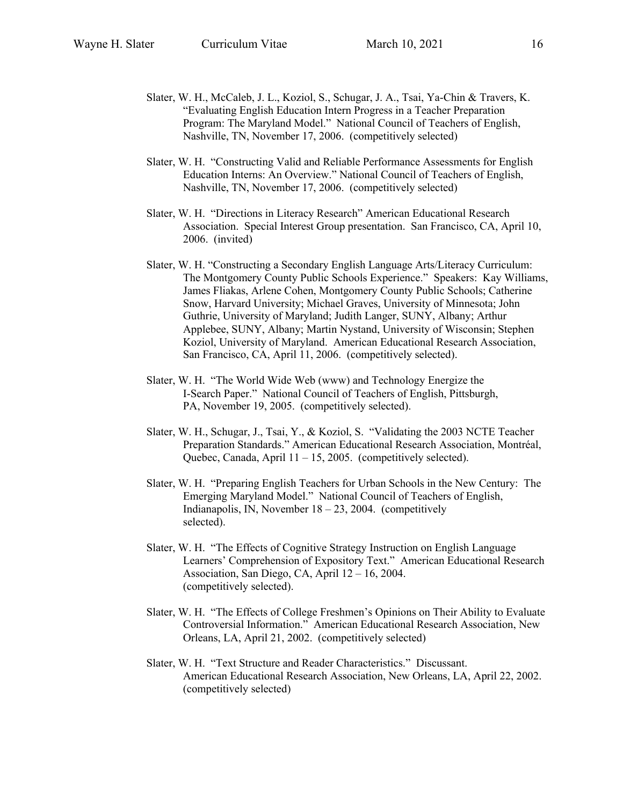- Slater, W. H., McCaleb, J. L., Koziol, S., Schugar, J. A., Tsai, Ya-Chin & Travers, K. "Evaluating English Education Intern Progress in a Teacher Preparation Program: The Maryland Model." National Council of Teachers of English, Nashville, TN, November 17, 2006. (competitively selected)
- Slater, W. H. "Constructing Valid and Reliable Performance Assessments for English Education Interns: An Overview." National Council of Teachers of English, Nashville, TN, November 17, 2006. (competitively selected)
- Slater, W. H. "Directions in Literacy Research" American Educational Research Association. Special Interest Group presentation. San Francisco, CA, April 10, 2006. (invited)
- Slater, W. H. "Constructing a Secondary English Language Arts/Literacy Curriculum: The Montgomery County Public Schools Experience." Speakers: Kay Williams, James Fliakas, Arlene Cohen, Montgomery County Public Schools; Catherine Snow, Harvard University; Michael Graves, University of Minnesota; John Guthrie, University of Maryland; Judith Langer, SUNY, Albany; Arthur Applebee, SUNY, Albany; Martin Nystand, University of Wisconsin; Stephen Koziol, University of Maryland. American Educational Research Association, San Francisco, CA, April 11, 2006. (competitively selected).
- Slater, W. H. "The World Wide Web (www) and Technology Energize the I-Search Paper." National Council of Teachers of English, Pittsburgh, PA, November 19, 2005. (competitively selected).
- Slater, W. H., Schugar, J., Tsai, Y., & Koziol, S. "Validating the 2003 NCTE Teacher Preparation Standards." American Educational Research Association, Montréal, Quebec, Canada, April 11 – 15, 2005. (competitively selected).
- Slater, W. H. "Preparing English Teachers for Urban Schools in the New Century: The Emerging Maryland Model." National Council of Teachers of English, Indianapolis, IN, November  $18 - 23$ , 2004. (competitively selected).
- Slater, W. H. "The Effects of Cognitive Strategy Instruction on English Language Learners' Comprehension of Expository Text." American Educational Research Association, San Diego, CA, April 12 – 16, 2004. (competitively selected).
- Slater, W. H. "The Effects of College Freshmen's Opinions on Their Ability to Evaluate Controversial Information." American Educational Research Association, New Orleans, LA, April 21, 2002. (competitively selected)
- Slater, W. H. "Text Structure and Reader Characteristics." Discussant. American Educational Research Association, New Orleans, LA, April 22, 2002. (competitively selected)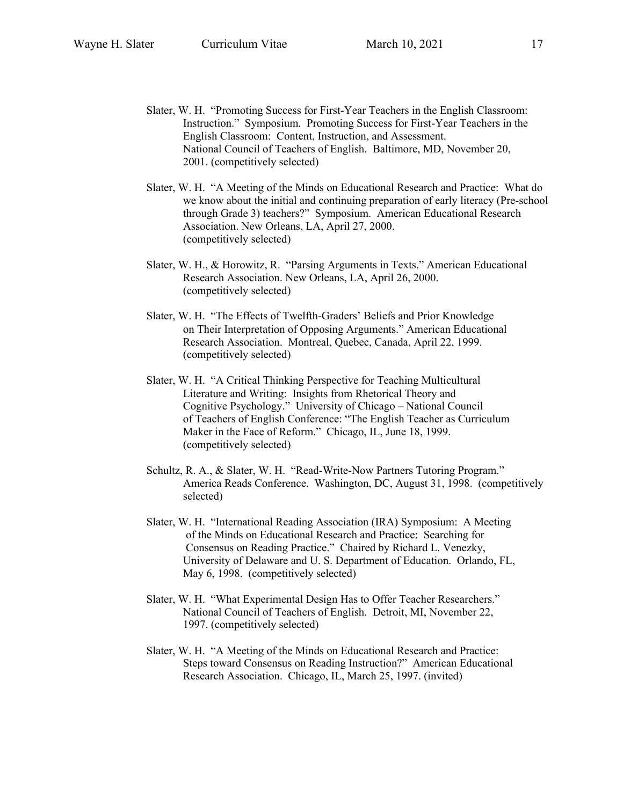- Slater, W. H. "Promoting Success for First-Year Teachers in the English Classroom: Instruction." Symposium. Promoting Success for First-Year Teachers in the English Classroom: Content, Instruction, and Assessment. National Council of Teachers of English. Baltimore, MD, November 20, 2001. (competitively selected)
- Slater, W. H. "A Meeting of the Minds on Educational Research and Practice: What do we know about the initial and continuing preparation of early literacy (Pre-school through Grade 3) teachers?" Symposium. American Educational Research Association. New Orleans, LA, April 27, 2000. (competitively selected)
- Slater, W. H., & Horowitz, R. "Parsing Arguments in Texts." American Educational Research Association. New Orleans, LA, April 26, 2000. (competitively selected)
- Slater, W. H. "The Effects of Twelfth-Graders' Beliefs and Prior Knowledge on Their Interpretation of Opposing Arguments." American Educational Research Association. Montreal, Quebec, Canada, April 22, 1999. (competitively selected)
- Slater, W. H. "A Critical Thinking Perspective for Teaching Multicultural Literature and Writing: Insights from Rhetorical Theory and Cognitive Psychology." University of Chicago – National Council of Teachers of English Conference: "The English Teacher as Curriculum Maker in the Face of Reform." Chicago, IL, June 18, 1999. (competitively selected)
- Schultz, R. A., & Slater, W. H. "Read-Write-Now Partners Tutoring Program." America Reads Conference. Washington, DC, August 31, 1998. (competitively selected)
- Slater, W. H. "International Reading Association (IRA) Symposium: A Meeting of the Minds on Educational Research and Practice: Searching for Consensus on Reading Practice." Chaired by Richard L. Venezky, University of Delaware and U. S. Department of Education. Orlando, FL, May 6, 1998. (competitively selected)
- Slater, W. H. "What Experimental Design Has to Offer Teacher Researchers." National Council of Teachers of English. Detroit, MI, November 22, 1997. (competitively selected)
- Slater, W. H. "A Meeting of the Minds on Educational Research and Practice: Steps toward Consensus on Reading Instruction?" American Educational Research Association. Chicago, IL, March 25, 1997. (invited)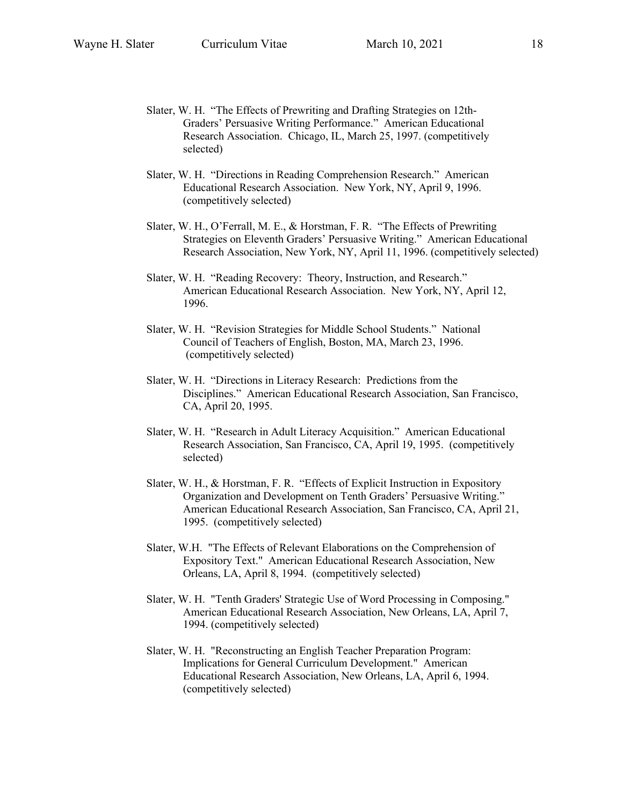- Slater, W. H. "The Effects of Prewriting and Drafting Strategies on 12th-Graders' Persuasive Writing Performance." American Educational Research Association. Chicago, IL, March 25, 1997. (competitively selected)
- Slater, W. H. "Directions in Reading Comprehension Research." American Educational Research Association. New York, NY, April 9, 1996. (competitively selected)
- Slater, W. H., O'Ferrall, M. E., & Horstman, F. R. "The Effects of Prewriting Strategies on Eleventh Graders' Persuasive Writing." American Educational Research Association, New York, NY, April 11, 1996. (competitively selected)
- Slater, W. H. "Reading Recovery: Theory, Instruction, and Research." American Educational Research Association. New York, NY, April 12, 1996.
- Slater, W. H. "Revision Strategies for Middle School Students." National Council of Teachers of English, Boston, MA, March 23, 1996. (competitively selected)
- Slater, W. H. "Directions in Literacy Research: Predictions from the Disciplines." American Educational Research Association, San Francisco, CA, April 20, 1995.
- Slater, W. H. "Research in Adult Literacy Acquisition." American Educational Research Association, San Francisco, CA, April 19, 1995. (competitively selected)
- Slater, W. H., & Horstman, F. R. "Effects of Explicit Instruction in Expository Organization and Development on Tenth Graders' Persuasive Writing." American Educational Research Association, San Francisco, CA, April 21, 1995. (competitively selected)
- Slater, W.H. "The Effects of Relevant Elaborations on the Comprehension of Expository Text." American Educational Research Association, New Orleans, LA, April 8, 1994. (competitively selected)
- Slater, W. H. "Tenth Graders' Strategic Use of Word Processing in Composing." American Educational Research Association, New Orleans, LA, April 7, 1994. (competitively selected)
- Slater, W. H. "Reconstructing an English Teacher Preparation Program: Implications for General Curriculum Development." American Educational Research Association, New Orleans, LA, April 6, 1994. (competitively selected)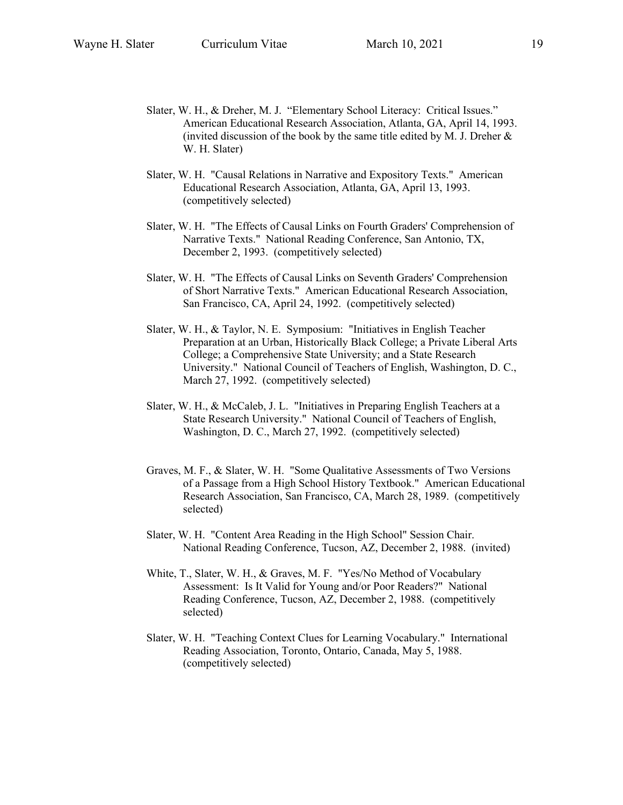- Slater, W. H., & Dreher, M. J. "Elementary School Literacy: Critical Issues." American Educational Research Association, Atlanta, GA, April 14, 1993. (invited discussion of the book by the same title edited by M. J. Dreher  $\&$ W. H. Slater)
- Slater, W. H. "Causal Relations in Narrative and Expository Texts." American Educational Research Association, Atlanta, GA, April 13, 1993. (competitively selected)
- Slater, W. H. "The Effects of Causal Links on Fourth Graders' Comprehension of Narrative Texts." National Reading Conference, San Antonio, TX, December 2, 1993. (competitively selected)
- Slater, W. H. "The Effects of Causal Links on Seventh Graders' Comprehension of Short Narrative Texts." American Educational Research Association, San Francisco, CA, April 24, 1992. (competitively selected)
- Slater, W. H., & Taylor, N. E. Symposium: "Initiatives in English Teacher Preparation at an Urban, Historically Black College; a Private Liberal Arts College; a Comprehensive State University; and a State Research University." National Council of Teachers of English, Washington, D. C., March 27, 1992. (competitively selected)
- Slater, W. H., & McCaleb, J. L. "Initiatives in Preparing English Teachers at a State Research University." National Council of Teachers of English, Washington, D. C., March 27, 1992. (competitively selected)
- Graves, M. F., & Slater, W. H. "Some Qualitative Assessments of Two Versions of a Passage from a High School History Textbook." American Educational Research Association, San Francisco, CA, March 28, 1989. (competitively selected)
- Slater, W. H. "Content Area Reading in the High School" Session Chair. National Reading Conference, Tucson, AZ, December 2, 1988. (invited)
- White, T., Slater, W. H., & Graves, M. F. "Yes/No Method of Vocabulary Assessment: Is It Valid for Young and/or Poor Readers?" National Reading Conference, Tucson, AZ, December 2, 1988. (competitively selected)
- Slater, W. H. "Teaching Context Clues for Learning Vocabulary." International Reading Association, Toronto, Ontario, Canada, May 5, 1988. (competitively selected)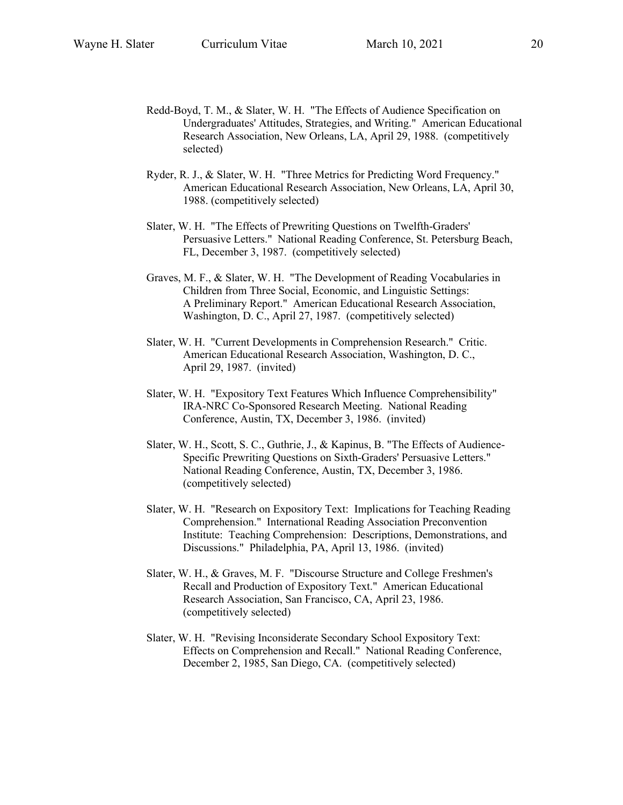- Redd-Boyd, T. M., & Slater, W. H. "The Effects of Audience Specification on Undergraduates' Attitudes, Strategies, and Writing." American Educational Research Association, New Orleans, LA, April 29, 1988. (competitively selected)
- Ryder, R. J., & Slater, W. H. "Three Metrics for Predicting Word Frequency." American Educational Research Association, New Orleans, LA, April 30, 1988. (competitively selected)
- Slater, W. H. "The Effects of Prewriting Questions on Twelfth-Graders' Persuasive Letters." National Reading Conference, St. Petersburg Beach, FL, December 3, 1987. (competitively selected)
- Graves, M. F., & Slater, W. H. "The Development of Reading Vocabularies in Children from Three Social, Economic, and Linguistic Settings: A Preliminary Report." American Educational Research Association, Washington, D. C., April 27, 1987. (competitively selected)
- Slater, W. H. "Current Developments in Comprehension Research." Critic. American Educational Research Association, Washington, D. C., April 29, 1987. (invited)
- Slater, W. H. "Expository Text Features Which Influence Comprehensibility" IRA-NRC Co-Sponsored Research Meeting. National Reading Conference, Austin, TX, December 3, 1986. (invited)
- Slater, W. H., Scott, S. C., Guthrie, J., & Kapinus, B. "The Effects of Audience-Specific Prewriting Questions on Sixth-Graders' Persuasive Letters." National Reading Conference, Austin, TX, December 3, 1986. (competitively selected)
- Slater, W. H. "Research on Expository Text: Implications for Teaching Reading Comprehension." International Reading Association Preconvention Institute: Teaching Comprehension: Descriptions, Demonstrations, and Discussions." Philadelphia, PA, April 13, 1986. (invited)
- Slater, W. H., & Graves, M. F. "Discourse Structure and College Freshmen's Recall and Production of Expository Text." American Educational Research Association, San Francisco, CA, April 23, 1986. (competitively selected)
- Slater, W. H. "Revising Inconsiderate Secondary School Expository Text: Effects on Comprehension and Recall." National Reading Conference, December 2, 1985, San Diego, CA. (competitively selected)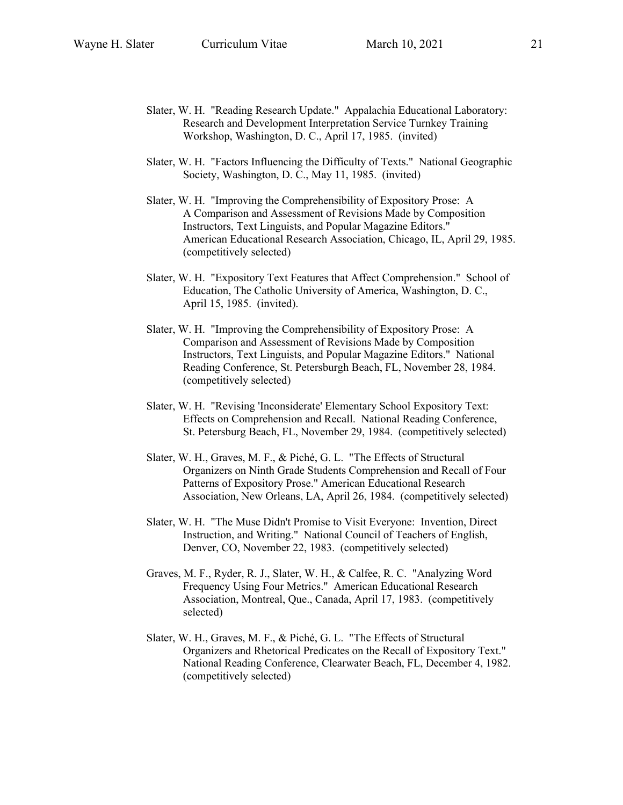- Slater, W. H. "Reading Research Update." Appalachia Educational Laboratory: Research and Development Interpretation Service Turnkey Training Workshop, Washington, D. C., April 17, 1985. (invited)
- Slater, W. H. "Factors Influencing the Difficulty of Texts." National Geographic Society, Washington, D. C., May 11, 1985. (invited)
- Slater, W. H. "Improving the Comprehensibility of Expository Prose: A A Comparison and Assessment of Revisions Made by Composition Instructors, Text Linguists, and Popular Magazine Editors." American Educational Research Association, Chicago, IL, April 29, 1985. (competitively selected)
- Slater, W. H. "Expository Text Features that Affect Comprehension." School of Education, The Catholic University of America, Washington, D. C., April 15, 1985. (invited).
- Slater, W. H. "Improving the Comprehensibility of Expository Prose: A Comparison and Assessment of Revisions Made by Composition Instructors, Text Linguists, and Popular Magazine Editors." National Reading Conference, St. Petersburgh Beach, FL, November 28, 1984. (competitively selected)
- Slater, W. H. "Revising 'Inconsiderate' Elementary School Expository Text: Effects on Comprehension and Recall. National Reading Conference, St. Petersburg Beach, FL, November 29, 1984. (competitively selected)
- Slater, W. H., Graves, M. F., & Piché, G. L. "The Effects of Structural Organizers on Ninth Grade Students Comprehension and Recall of Four Patterns of Expository Prose." American Educational Research Association, New Orleans, LA, April 26, 1984. (competitively selected)
- Slater, W. H. "The Muse Didn't Promise to Visit Everyone: Invention, Direct Instruction, and Writing." National Council of Teachers of English, Denver, CO, November 22, 1983. (competitively selected)
- Graves, M. F., Ryder, R. J., Slater, W. H., & Calfee, R. C. "Analyzing Word Frequency Using Four Metrics." American Educational Research Association, Montreal, Que., Canada, April 17, 1983. (competitively selected)
- Slater, W. H., Graves, M. F., & Piché, G. L. "The Effects of Structural Organizers and Rhetorical Predicates on the Recall of Expository Text." National Reading Conference, Clearwater Beach, FL, December 4, 1982. (competitively selected)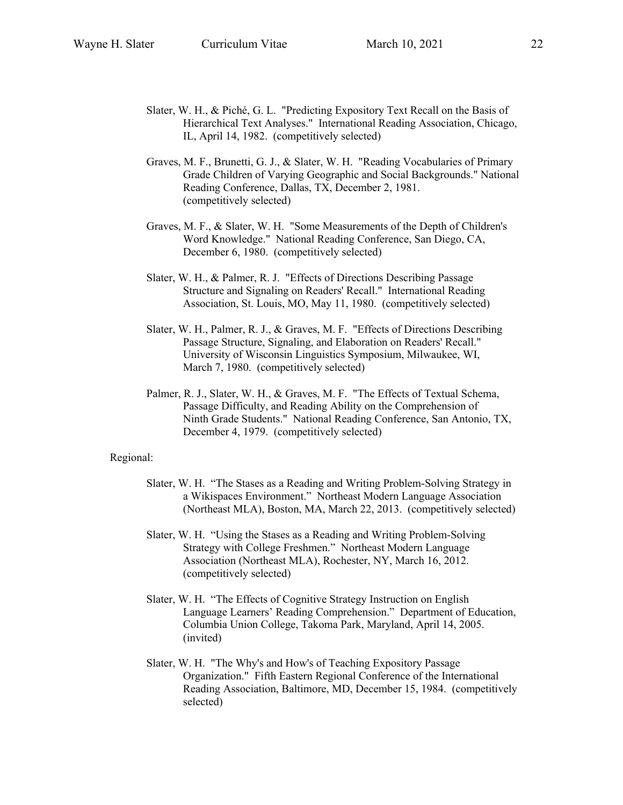- Slater, W. H., & Piché, G. L. "Predicting Expository Text Recall on the Basis of Hierarchical Text Analyses." International Reading Association, Chicago, IL, April 14, 1982. (competitively selected)
- Graves, M. F., Brunetti, G. J., & Slater, W. H. "Reading Vocabularies of Primary Grade Children of Varying Geographic and Social Backgrounds." National Reading Conference, Dallas, TX, December 2, 1981. (competitively selected)
- Graves, M. F., & Slater, W. H. "Some Measurements of the Depth of Children's Word Knowledge." National Reading Conference, San Diego, CA, December 6, 1980. (competitively selected)
- Slater, W. H., & Palmer, R. J. "Effects of Directions Describing Passage Structure and Signaling on Readers' Recall." International Reading Association, St. Louis, MO, May 11, 1980. (competitively selected)
- Slater, W. H., Palmer, R. J., & Graves, M. F. "Effects of Directions Describing Passage Structure, Signaling, and Elaboration on Readers' Recall." University of Wisconsin Linguistics Symposium, Milwaukee, WI, March 7, 1980. (competitively selected)
- Palmer, R. J., Slater, W. H., & Graves, M. F. "The Effects of Textual Schema, Passage Difficulty, and Reading Ability on the Comprehension of Ninth Grade Students." National Reading Conference, San Antonio, TX, December 4, 1979. (competitively selected)

### Regional:

- Slater, W. H. "The Stases as a Reading and Writing Problem-Solving Strategy in a Wikispaces Environment." Northeast Modern Language Association (Northeast MLA), Boston, MA, March 22, 2013. (competitively selected)
- Slater, W. H. "Using the Stases as a Reading and Writing Problem-Solving Strategy with College Freshmen." Northeast Modern Language Association (Northeast MLA), Rochester, NY, March 16, 2012. (competitively selected)
- Slater, W. H. "The Effects of Cognitive Strategy Instruction on English Language Learners' Reading Comprehension." Department of Education, Columbia Union College, Takoma Park, Maryland, April 14, 2005. (invited)
- Slater, W. H. "The Why's and How's of Teaching Expository Passage Organization." Fifth Eastern Regional Conference of the International Reading Association, Baltimore, MD, December 15, 1984. (competitively selected)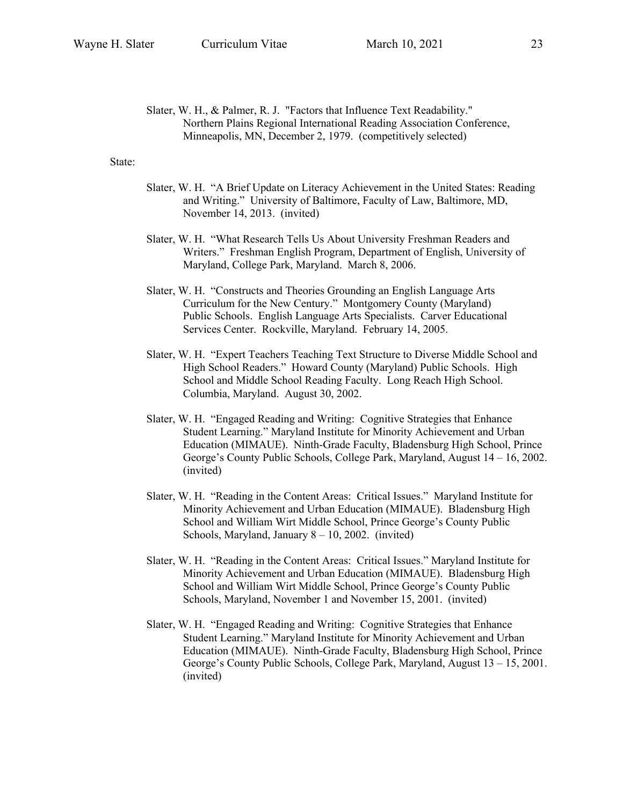Slater, W. H., & Palmer, R. J. "Factors that Influence Text Readability." Northern Plains Regional International Reading Association Conference, Minneapolis, MN, December 2, 1979. (competitively selected)

## State:

- Slater, W. H. "A Brief Update on Literacy Achievement in the United States: Reading and Writing." University of Baltimore, Faculty of Law, Baltimore, MD, November 14, 2013. (invited)
- Slater, W. H. "What Research Tells Us About University Freshman Readers and Writers." Freshman English Program, Department of English, University of Maryland, College Park, Maryland. March 8, 2006.
- Slater, W. H. "Constructs and Theories Grounding an English Language Arts Curriculum for the New Century." Montgomery County (Maryland) Public Schools. English Language Arts Specialists. Carver Educational Services Center. Rockville, Maryland. February 14, 2005.
- Slater, W. H. "Expert Teachers Teaching Text Structure to Diverse Middle School and High School Readers." Howard County (Maryland) Public Schools. High School and Middle School Reading Faculty. Long Reach High School. Columbia, Maryland. August 30, 2002.
- Slater, W. H. "Engaged Reading and Writing: Cognitive Strategies that Enhance Student Learning." Maryland Institute for Minority Achievement and Urban Education (MIMAUE). Ninth-Grade Faculty, Bladensburg High School, Prince George's County Public Schools, College Park, Maryland, August 14 – 16, 2002. (invited)
- Slater, W. H. "Reading in the Content Areas: Critical Issues." Maryland Institute for Minority Achievement and Urban Education (MIMAUE). Bladensburg High School and William Wirt Middle School, Prince George's County Public Schools, Maryland, January  $8 - 10$ , 2002. (invited)
- Slater, W. H. "Reading in the Content Areas: Critical Issues." Maryland Institute for Minority Achievement and Urban Education (MIMAUE). Bladensburg High School and William Wirt Middle School, Prince George's County Public Schools, Maryland, November 1 and November 15, 2001. (invited)
- Slater, W. H. "Engaged Reading and Writing: Cognitive Strategies that Enhance Student Learning." Maryland Institute for Minority Achievement and Urban Education (MIMAUE). Ninth-Grade Faculty, Bladensburg High School, Prince George's County Public Schools, College Park, Maryland, August 13 – 15, 2001. (invited)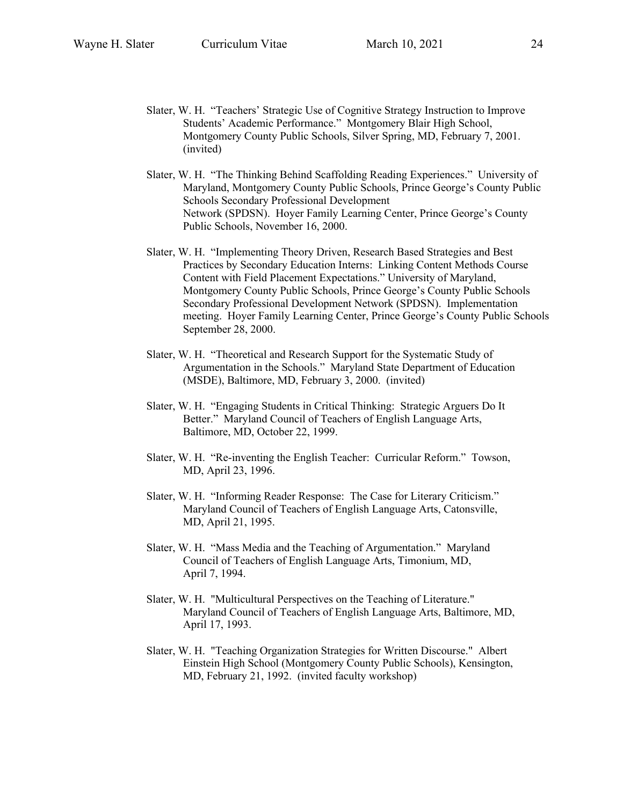- Slater, W. H. "Teachers' Strategic Use of Cognitive Strategy Instruction to Improve Students' Academic Performance." Montgomery Blair High School, Montgomery County Public Schools, Silver Spring, MD, February 7, 2001. (invited)
- Slater, W. H. "The Thinking Behind Scaffolding Reading Experiences." University of Maryland, Montgomery County Public Schools, Prince George's County Public Schools Secondary Professional Development Network (SPDSN). Hoyer Family Learning Center, Prince George's County Public Schools, November 16, 2000.
- Slater, W. H. "Implementing Theory Driven, Research Based Strategies and Best Practices by Secondary Education Interns: Linking Content Methods Course Content with Field Placement Expectations." University of Maryland, Montgomery County Public Schools, Prince George's County Public Schools Secondary Professional Development Network (SPDSN). Implementation meeting. Hoyer Family Learning Center, Prince George's County Public Schools September 28, 2000.
- Slater, W. H. "Theoretical and Research Support for the Systematic Study of Argumentation in the Schools." Maryland State Department of Education (MSDE), Baltimore, MD, February 3, 2000. (invited)
- Slater, W. H. "Engaging Students in Critical Thinking: Strategic Arguers Do It Better." Maryland Council of Teachers of English Language Arts, Baltimore, MD, October 22, 1999.
- Slater, W. H. "Re-inventing the English Teacher: Curricular Reform." Towson, MD, April 23, 1996.
- Slater, W. H. "Informing Reader Response: The Case for Literary Criticism." Maryland Council of Teachers of English Language Arts, Catonsville, MD, April 21, 1995.
- Slater, W. H. "Mass Media and the Teaching of Argumentation." Maryland Council of Teachers of English Language Arts, Timonium, MD, April 7, 1994.
- Slater, W. H. "Multicultural Perspectives on the Teaching of Literature." Maryland Council of Teachers of English Language Arts, Baltimore, MD, April 17, 1993.
- Slater, W. H. "Teaching Organization Strategies for Written Discourse." Albert Einstein High School (Montgomery County Public Schools), Kensington, MD, February 21, 1992. (invited faculty workshop)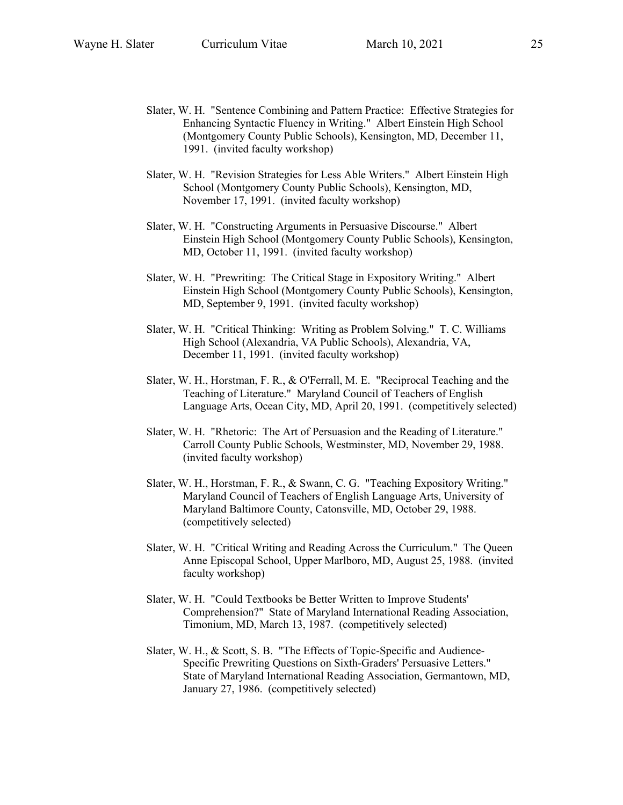- Slater, W. H. "Sentence Combining and Pattern Practice: Effective Strategies for Enhancing Syntactic Fluency in Writing." Albert Einstein High School (Montgomery County Public Schools), Kensington, MD, December 11, 1991. (invited faculty workshop)
- Slater, W. H. "Revision Strategies for Less Able Writers." Albert Einstein High School (Montgomery County Public Schools), Kensington, MD, November 17, 1991. (invited faculty workshop)
- Slater, W. H. "Constructing Arguments in Persuasive Discourse." Albert Einstein High School (Montgomery County Public Schools), Kensington, MD, October 11, 1991. (invited faculty workshop)
- Slater, W. H. "Prewriting: The Critical Stage in Expository Writing." Albert Einstein High School (Montgomery County Public Schools), Kensington, MD, September 9, 1991. (invited faculty workshop)
- Slater, W. H. "Critical Thinking: Writing as Problem Solving." T. C. Williams High School (Alexandria, VA Public Schools), Alexandria, VA, December 11, 1991. (invited faculty workshop)
- Slater, W. H., Horstman, F. R., & O'Ferrall, M. E. "Reciprocal Teaching and the Teaching of Literature." Maryland Council of Teachers of English Language Arts, Ocean City, MD, April 20, 1991. (competitively selected)
- Slater, W. H. "Rhetoric: The Art of Persuasion and the Reading of Literature." Carroll County Public Schools, Westminster, MD, November 29, 1988. (invited faculty workshop)
- Slater, W. H., Horstman, F. R., & Swann, C. G. "Teaching Expository Writing." Maryland Council of Teachers of English Language Arts, University of Maryland Baltimore County, Catonsville, MD, October 29, 1988. (competitively selected)
- Slater, W. H. "Critical Writing and Reading Across the Curriculum." The Queen Anne Episcopal School, Upper Marlboro, MD, August 25, 1988. (invited faculty workshop)
- Slater, W. H. "Could Textbooks be Better Written to Improve Students' Comprehension?" State of Maryland International Reading Association, Timonium, MD, March 13, 1987. (competitively selected)
- Slater, W. H., & Scott, S. B. "The Effects of Topic-Specific and Audience-Specific Prewriting Questions on Sixth-Graders' Persuasive Letters." State of Maryland International Reading Association, Germantown, MD, January 27, 1986. (competitively selected)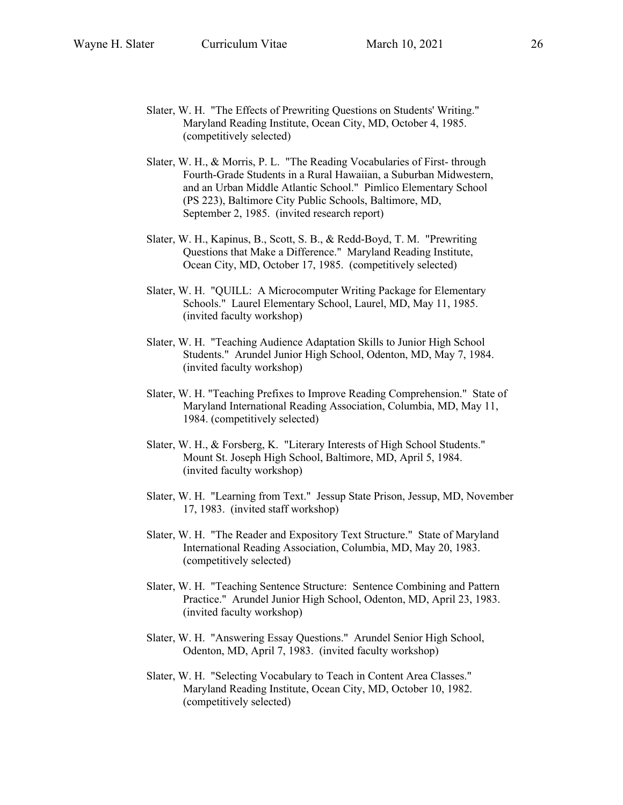- Slater, W. H. "The Effects of Prewriting Questions on Students' Writing." Maryland Reading Institute, Ocean City, MD, October 4, 1985. (competitively selected)
- Slater, W. H., & Morris, P. L. "The Reading Vocabularies of First- through Fourth-Grade Students in a Rural Hawaiian, a Suburban Midwestern, and an Urban Middle Atlantic School." Pimlico Elementary School (PS 223), Baltimore City Public Schools, Baltimore, MD, September 2, 1985. (invited research report)
- Slater, W. H., Kapinus, B., Scott, S. B., & Redd-Boyd, T. M. "Prewriting Questions that Make a Difference." Maryland Reading Institute, Ocean City, MD, October 17, 1985. (competitively selected)
- Slater, W. H. "QUILL: A Microcomputer Writing Package for Elementary Schools." Laurel Elementary School, Laurel, MD, May 11, 1985. (invited faculty workshop)
- Slater, W. H. "Teaching Audience Adaptation Skills to Junior High School Students." Arundel Junior High School, Odenton, MD, May 7, 1984. (invited faculty workshop)
- Slater, W. H. "Teaching Prefixes to Improve Reading Comprehension." State of Maryland International Reading Association, Columbia, MD, May 11, 1984. (competitively selected)
- Slater, W. H., & Forsberg, K. "Literary Interests of High School Students." Mount St. Joseph High School, Baltimore, MD, April 5, 1984. (invited faculty workshop)
- Slater, W. H. "Learning from Text." Jessup State Prison, Jessup, MD, November 17, 1983. (invited staff workshop)
- Slater, W. H. "The Reader and Expository Text Structure." State of Maryland International Reading Association, Columbia, MD, May 20, 1983. (competitively selected)
- Slater, W. H. "Teaching Sentence Structure: Sentence Combining and Pattern Practice." Arundel Junior High School, Odenton, MD, April 23, 1983. (invited faculty workshop)
- Slater, W. H. "Answering Essay Questions." Arundel Senior High School, Odenton, MD, April 7, 1983. (invited faculty workshop)
- Slater, W. H. "Selecting Vocabulary to Teach in Content Area Classes." Maryland Reading Institute, Ocean City, MD, October 10, 1982. (competitively selected)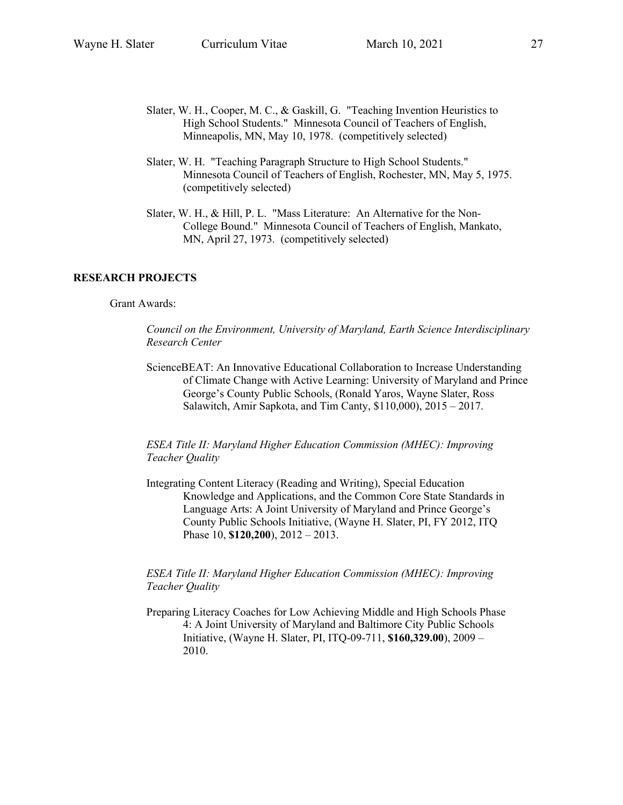- Slater, W. H., Cooper, M. C., & Gaskill, G. "Teaching Invention Heuristics to High School Students." Minnesota Council of Teachers of English, Minneapolis, MN, May 10, 1978. (competitively selected)
- Slater, W. H. "Teaching Paragraph Structure to High School Students." Minnesota Council of Teachers of English, Rochester, MN, May 5, 1975. (competitively selected)
- Slater, W. H., & Hill, P. L. "Mass Literature: An Alternative for the Non-College Bound." Minnesota Council of Teachers of English, Mankato, MN, April 27, 1973. (competitively selected)

## **RESEARCH PROJECTS**

Grant Awards:

*Council on the Environment, University of Maryland, Earth Science Interdisciplinary Research Center*

ScienceBEAT: An Innovative Educational Collaboration to Increase Understanding of Climate Change with Active Learning: University of Maryland and Prince George's County Public Schools, (Ronald Yaros, Wayne Slater, Ross Salawitch, Amir Sapkota, and Tim Canty, \$110,000), 2015 – 2017.

*ESEA Title II: Maryland Higher Education Commission (MHEC): Improving Teacher Quality*

Integrating Content Literacy (Reading and Writing), Special Education Knowledge and Applications, and the Common Core State Standards in Language Arts: A Joint University of Maryland and Prince George's County Public Schools Initiative, (Wayne H. Slater, PI, FY 2012, ITQ Phase 10, **\$120,200**), 2012 – 2013.

## *ESEA Title II: Maryland Higher Education Commission (MHEC): Improving Teacher Quality*

Preparing Literacy Coaches for Low Achieving Middle and High Schools Phase 4: A Joint University of Maryland and Baltimore City Public Schools Initiative, (Wayne H. Slater, PI, ITQ-09-711, **\$160,329.00**), 2009 – 2010.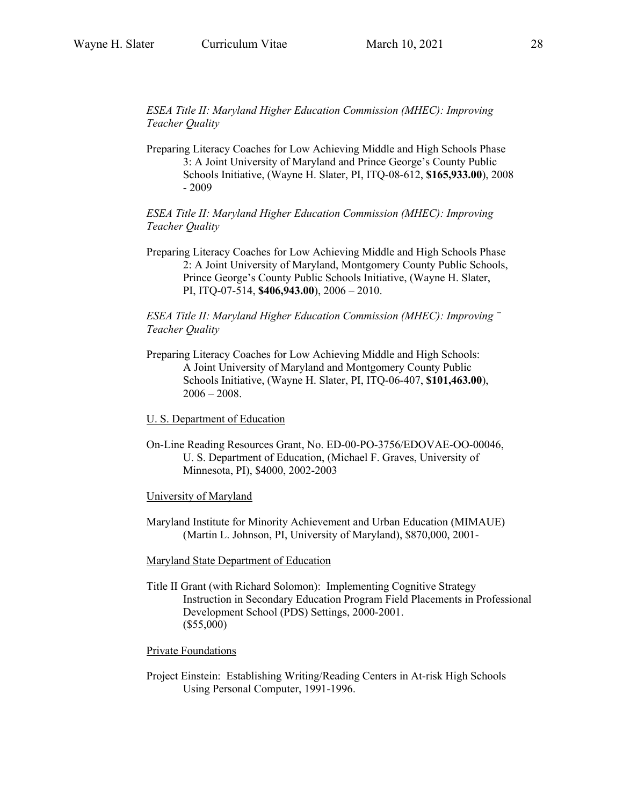*ESEA Title II: Maryland Higher Education Commission (MHEC): Improving Teacher Quality*

Preparing Literacy Coaches for Low Achieving Middle and High Schools Phase 3: A Joint University of Maryland and Prince George's County Public Schools Initiative, (Wayne H. Slater, PI, ITQ-08-612, **\$165,933.00**), 2008 - 2009

*ESEA Title II: Maryland Higher Education Commission (MHEC): Improving Teacher Quality*

Preparing Literacy Coaches for Low Achieving Middle and High Schools Phase 2: A Joint University of Maryland, Montgomery County Public Schools, Prince George's County Public Schools Initiative, (Wayne H. Slater, PI, ITQ-07-514, **\$406,943.00**), 2006 – 2010.

*ESEA Title II: Maryland Higher Education Commission (MHEC): Improving ¨ Teacher Quality*

- Preparing Literacy Coaches for Low Achieving Middle and High Schools: A Joint University of Maryland and Montgomery County Public Schools Initiative, (Wayne H. Slater, PI, ITQ-06-407, **\$101,463.00**),  $2006 - 2008$ .
- U. S. Department of Education
- On-Line Reading Resources Grant, No. ED-00-PO-3756/EDOVAE-OO-00046, U. S. Department of Education, (Michael F. Graves, University of Minnesota, PI), \$4000, 2002-2003

### University of Maryland

Maryland Institute for Minority Achievement and Urban Education (MIMAUE) (Martin L. Johnson, PI, University of Maryland), \$870,000, 2001-

### Maryland State Department of Education

Title II Grant (with Richard Solomon): Implementing Cognitive Strategy Instruction in Secondary Education Program Field Placements in Professional Development School (PDS) Settings, 2000-2001. (\$55,000)

### Private Foundations

Project Einstein: Establishing Writing/Reading Centers in At-risk High Schools Using Personal Computer, 1991-1996.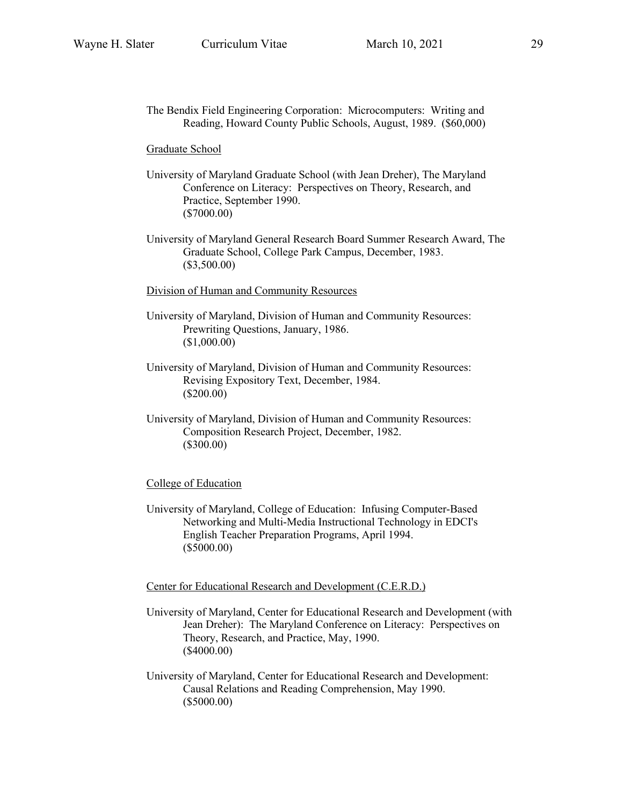The Bendix Field Engineering Corporation: Microcomputers: Writing and Reading, Howard County Public Schools, August, 1989. (\$60,000)

Graduate School

- University of Maryland Graduate School (with Jean Dreher), The Maryland Conference on Literacy: Perspectives on Theory, Research, and Practice, September 1990. (\$7000.00)
- University of Maryland General Research Board Summer Research Award, The Graduate School, College Park Campus, December, 1983. (\$3,500.00)

Division of Human and Community Resources

- University of Maryland, Division of Human and Community Resources: Prewriting Questions, January, 1986. (\$1,000.00)
- University of Maryland, Division of Human and Community Resources: Revising Expository Text, December, 1984. (\$200.00)
- University of Maryland, Division of Human and Community Resources: Composition Research Project, December, 1982. (\$300.00)

#### College of Education

University of Maryland, College of Education: Infusing Computer-Based Networking and Multi-Media Instructional Technology in EDCI's English Teacher Preparation Programs, April 1994. (\$5000.00)

Center for Educational Research and Development (C.E.R.D.)

- University of Maryland, Center for Educational Research and Development (with Jean Dreher): The Maryland Conference on Literacy: Perspectives on Theory, Research, and Practice, May, 1990. (\$4000.00)
- University of Maryland, Center for Educational Research and Development: Causal Relations and Reading Comprehension, May 1990. (\$5000.00)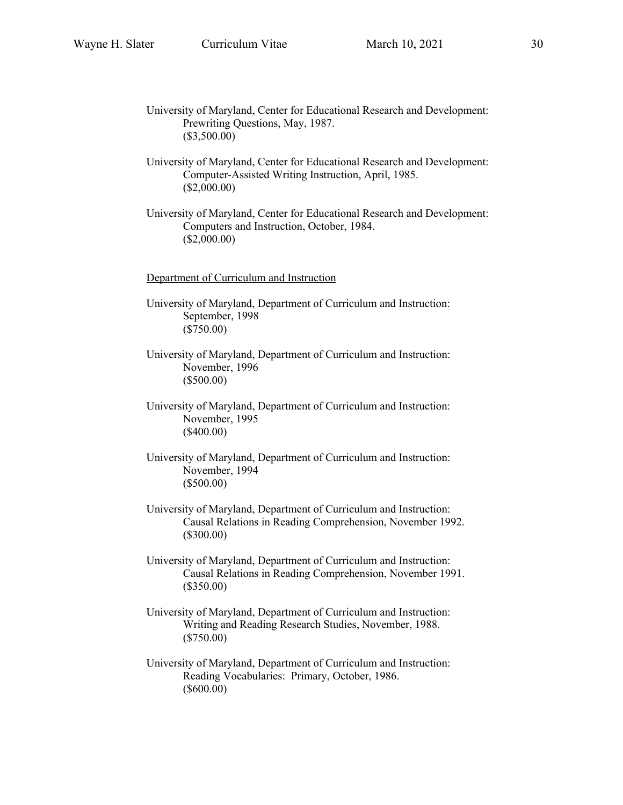University of Maryland, Center for Educational Research and Development: Prewriting Questions, May, 1987. (\$3,500.00)

University of Maryland, Center for Educational Research and Development: Computer-Assisted Writing Instruction, April, 1985. (\$2,000.00)

University of Maryland, Center for Educational Research and Development: Computers and Instruction, October, 1984. (\$2,000.00)

Department of Curriculum and Instruction

University of Maryland, Department of Curriculum and Instruction: September, 1998 (\$750.00)

University of Maryland, Department of Curriculum and Instruction: November, 1996 (\$500.00)

University of Maryland, Department of Curriculum and Instruction: November, 1995 (\$400.00)

University of Maryland, Department of Curriculum and Instruction: November, 1994 (\$500.00)

University of Maryland, Department of Curriculum and Instruction: Causal Relations in Reading Comprehension, November 1992. (\$300.00)

University of Maryland, Department of Curriculum and Instruction: Causal Relations in Reading Comprehension, November 1991. (\$350.00)

University of Maryland, Department of Curriculum and Instruction: Writing and Reading Research Studies, November, 1988. (\$750.00)

University of Maryland, Department of Curriculum and Instruction: Reading Vocabularies: Primary, October, 1986. (\$600.00)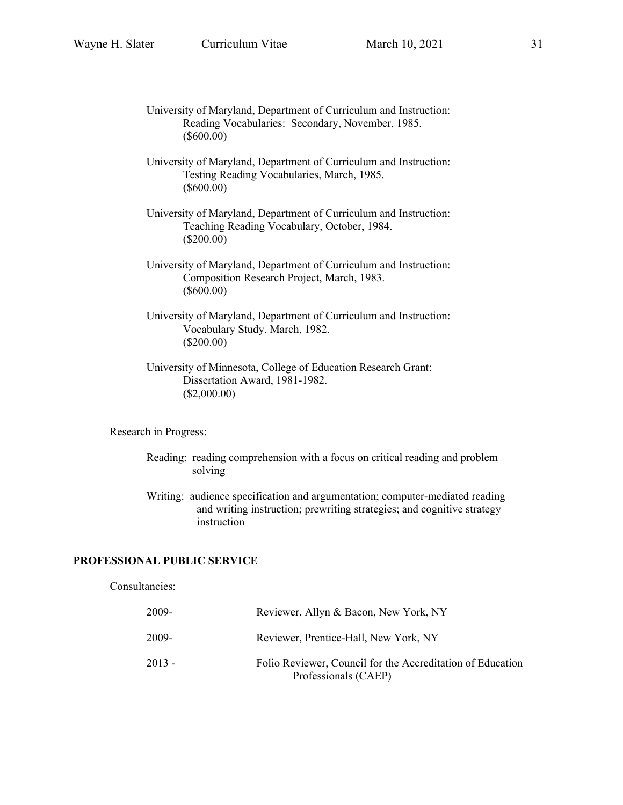- University of Maryland, Department of Curriculum and Instruction: Reading Vocabularies: Secondary, November, 1985. (\$600.00)
- University of Maryland, Department of Curriculum and Instruction: Testing Reading Vocabularies, March, 1985. (\$600.00)
- University of Maryland, Department of Curriculum and Instruction: Teaching Reading Vocabulary, October, 1984. (\$200.00)
- University of Maryland, Department of Curriculum and Instruction: Composition Research Project, March, 1983. (\$600.00)
- University of Maryland, Department of Curriculum and Instruction: Vocabulary Study, March, 1982. (\$200.00)
- University of Minnesota, College of Education Research Grant: Dissertation Award, 1981-1982. (\$2,000.00)

Research in Progress:

- Reading: reading comprehension with a focus on critical reading and problem solving
- Writing: audience specification and argumentation; computer-mediated reading and writing instruction; prewriting strategies; and cognitive strategy instruction

## **PROFESSIONAL PUBLIC SERVICE**

# Consultancies:

| 2009-  | Reviewer, Allyn & Bacon, New York, NY                                              |
|--------|------------------------------------------------------------------------------------|
| 2009-  | Reviewer, Prentice-Hall, New York, NY                                              |
| 2013 - | Folio Reviewer, Council for the Accreditation of Education<br>Professionals (CAEP) |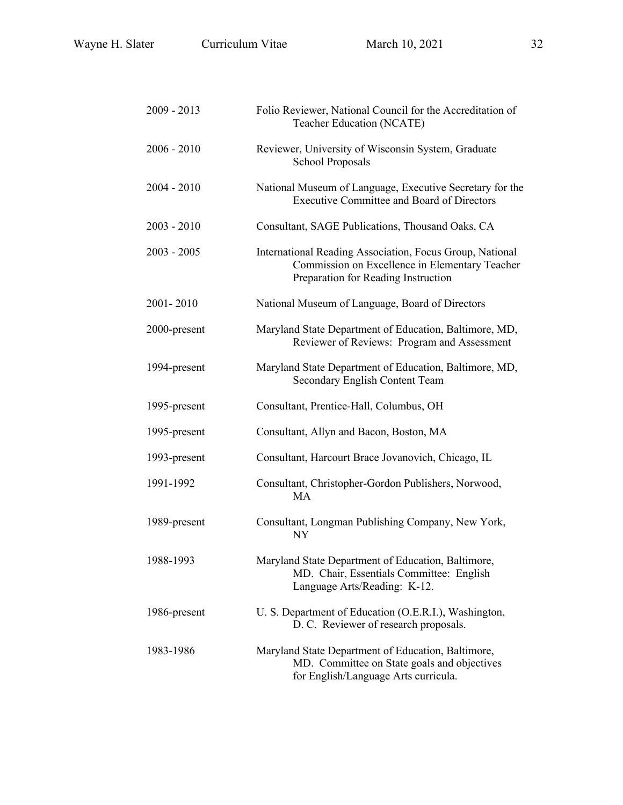| 2009 - 2013   | Folio Reviewer, National Council for the Accreditation of<br>Teacher Education (NCATE)                                                            |
|---------------|---------------------------------------------------------------------------------------------------------------------------------------------------|
| $2006 - 2010$ | Reviewer, University of Wisconsin System, Graduate<br><b>School Proposals</b>                                                                     |
| 2004 - 2010   | National Museum of Language, Executive Secretary for the<br><b>Executive Committee and Board of Directors</b>                                     |
| 2003 - 2010   | Consultant, SAGE Publications, Thousand Oaks, CA                                                                                                  |
| 2003 - 2005   | International Reading Association, Focus Group, National<br>Commission on Excellence in Elementary Teacher<br>Preparation for Reading Instruction |
| 2001-2010     | National Museum of Language, Board of Directors                                                                                                   |
| 2000-present  | Maryland State Department of Education, Baltimore, MD,<br>Reviewer of Reviews: Program and Assessment                                             |
| 1994-present  | Maryland State Department of Education, Baltimore, MD,<br>Secondary English Content Team                                                          |
| 1995-present  | Consultant, Prentice-Hall, Columbus, OH                                                                                                           |
| 1995-present  | Consultant, Allyn and Bacon, Boston, MA                                                                                                           |
| 1993-present  | Consultant, Harcourt Brace Jovanovich, Chicago, IL                                                                                                |
| 1991-1992     | Consultant, Christopher-Gordon Publishers, Norwood,<br>MA                                                                                         |
| 1989-present  | Consultant, Longman Publishing Company, New York,<br>NY                                                                                           |
| 1988-1993     | Maryland State Department of Education, Baltimore,<br>MD. Chair, Essentials Committee: English<br>Language Arts/Reading: K-12.                    |
| 1986-present  | U. S. Department of Education (O.E.R.I.), Washington,<br>D. C. Reviewer of research proposals.                                                    |
| 1983-1986     | Maryland State Department of Education, Baltimore,<br>MD. Committee on State goals and objectives<br>for English/Language Arts curricula.         |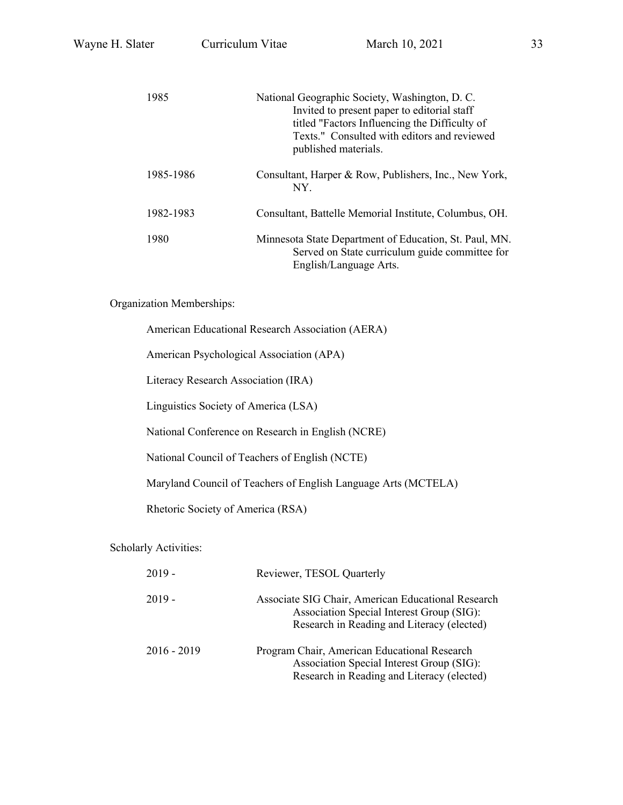| 1985      | National Geographic Society, Washington, D. C.<br>Invited to present paper to editorial staff<br>titled "Factors Influencing the Difficulty of<br>Texts." Consulted with editors and reviewed<br>published materials. |
|-----------|-----------------------------------------------------------------------------------------------------------------------------------------------------------------------------------------------------------------------|
| 1985-1986 | Consultant, Harper & Row, Publishers, Inc., New York,<br>NY.                                                                                                                                                          |
| 1982-1983 | Consultant, Battelle Memorial Institute, Columbus, OH.                                                                                                                                                                |
| 1980      | Minnesota State Department of Education, St. Paul, MN.<br>Served on State curriculum guide committee for<br>English/Language Arts.                                                                                    |

Organization Memberships:

American Educational Research Association (AERA)

American Psychological Association (APA)

Literacy Research Association (IRA)

Linguistics Society of America (LSA)

National Conference on Research in English (NCRE)

National Council of Teachers of English (NCTE)

Maryland Council of Teachers of English Language Arts (MCTELA)

Rhetoric Society of America (RSA)

## Scholarly Activities:

| $2019 -$      | Reviewer, TESOL Quarterly                                                                                                                     |
|---------------|-----------------------------------------------------------------------------------------------------------------------------------------------|
| $2019 -$      | Associate SIG Chair, American Educational Research<br>Association Special Interest Group (SIG):<br>Research in Reading and Literacy (elected) |
| $2016 - 2019$ | Program Chair, American Educational Research<br>Association Special Interest Group (SIG):<br>Research in Reading and Literacy (elected)       |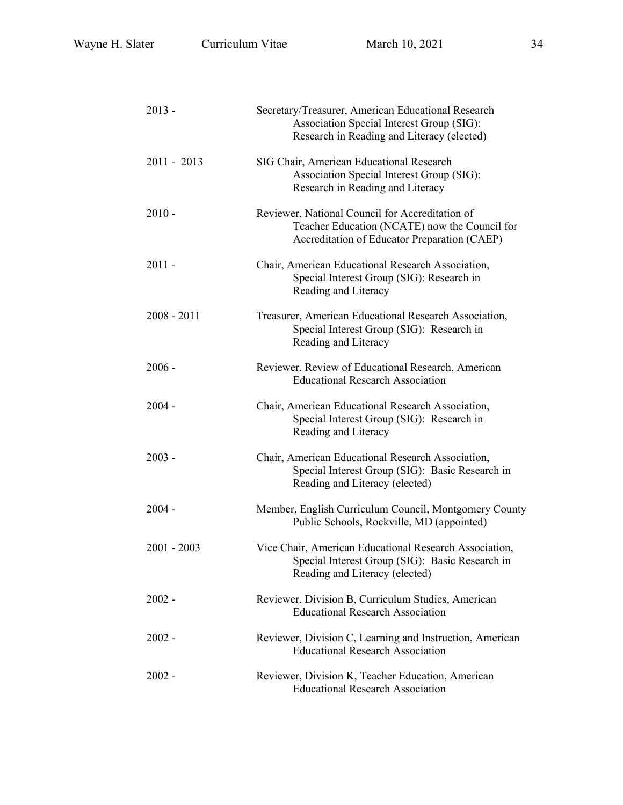| 2013 -      | Secretary/Treasurer, American Educational Research<br>Association Special Interest Group (SIG):<br>Research in Reading and Literacy (elected)    |
|-------------|--------------------------------------------------------------------------------------------------------------------------------------------------|
| 2011 - 2013 | SIG Chair, American Educational Research<br>Association Special Interest Group (SIG):<br>Research in Reading and Literacy                        |
| 2010 -      | Reviewer, National Council for Accreditation of<br>Teacher Education (NCATE) now the Council for<br>Accreditation of Educator Preparation (CAEP) |
| 2011 -      | Chair, American Educational Research Association,<br>Special Interest Group (SIG): Research in<br>Reading and Literacy                           |
| 2008 - 2011 | Treasurer, American Educational Research Association,<br>Special Interest Group (SIG): Research in<br>Reading and Literacy                       |
| 2006 -      | Reviewer, Review of Educational Research, American<br><b>Educational Research Association</b>                                                    |
| 2004 -      | Chair, American Educational Research Association,<br>Special Interest Group (SIG): Research in<br>Reading and Literacy                           |
| 2003 -      | Chair, American Educational Research Association,<br>Special Interest Group (SIG): Basic Research in<br>Reading and Literacy (elected)           |
| 2004 -      | Member, English Curriculum Council, Montgomery County<br>Public Schools, Rockville, MD (appointed)                                               |
| 2001 - 2003 | Vice Chair, American Educational Research Association,<br>Special Interest Group (SIG): Basic Research in<br>Reading and Literacy (elected)      |
| 2002 -      | Reviewer, Division B, Curriculum Studies, American<br><b>Educational Research Association</b>                                                    |
| 2002 -      | Reviewer, Division C, Learning and Instruction, American<br><b>Educational Research Association</b>                                              |
| 2002 -      | Reviewer, Division K, Teacher Education, American<br><b>Educational Research Association</b>                                                     |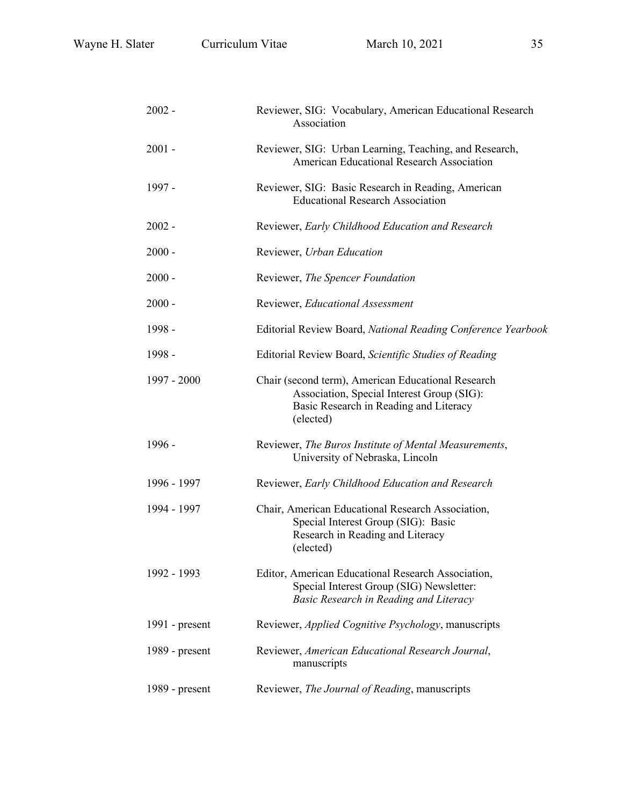| $2002 -$         | Reviewer, SIG: Vocabulary, American Educational Research<br>Association                                                                                 |
|------------------|---------------------------------------------------------------------------------------------------------------------------------------------------------|
| 2001 -           | Reviewer, SIG: Urban Learning, Teaching, and Research,<br>American Educational Research Association                                                     |
| 1997 -           | Reviewer, SIG: Basic Research in Reading, American<br><b>Educational Research Association</b>                                                           |
| 2002 -           | Reviewer, Early Childhood Education and Research                                                                                                        |
| 2000 -           | Reviewer, Urban Education                                                                                                                               |
| 2000 -           | Reviewer, The Spencer Foundation                                                                                                                        |
| $2000 -$         | Reviewer, Educational Assessment                                                                                                                        |
| 1998 -           | Editorial Review Board, National Reading Conference Yearbook                                                                                            |
| 1998 -           | Editorial Review Board, Scientific Studies of Reading                                                                                                   |
| 1997 - 2000      | Chair (second term), American Educational Research<br>Association, Special Interest Group (SIG):<br>Basic Research in Reading and Literacy<br>(elected) |
| 1996 -           | Reviewer, The Buros Institute of Mental Measurements,<br>University of Nebraska, Lincoln                                                                |
| 1996 - 1997      | Reviewer, Early Childhood Education and Research                                                                                                        |
| 1994 - 1997      | Chair, American Educational Research Association,<br>Special Interest Group (SIG): Basic<br>Research in Reading and Literacy<br>(elected)               |
| 1992 - 1993      | Editor, American Educational Research Association,<br>Special Interest Group (SIG) Newsletter:<br>Basic Research in Reading and Literacy                |
| 1991 - present   | Reviewer, <i>Applied Cognitive Psychology</i> , manuscripts                                                                                             |
| 1989 - present   | Reviewer, American Educational Research Journal,<br>manuscripts                                                                                         |
| $1989$ - present | Reviewer, The Journal of Reading, manuscripts                                                                                                           |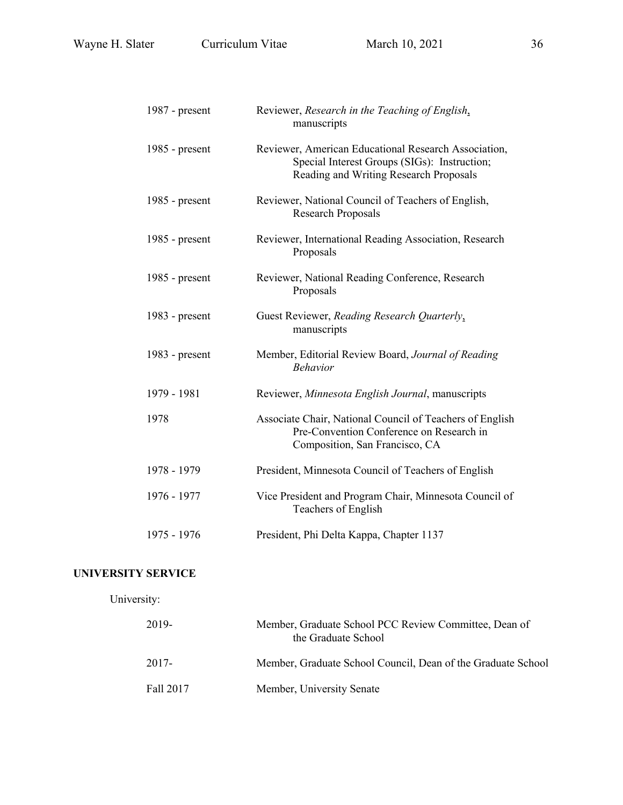| 1987 - present   | Reviewer, Research in the Teaching of English,<br>manuscripts                                                                                  |
|------------------|------------------------------------------------------------------------------------------------------------------------------------------------|
| 1985 - present   | Reviewer, American Educational Research Association,<br>Special Interest Groups (SIGs): Instruction;<br>Reading and Writing Research Proposals |
| 1985 - $present$ | Reviewer, National Council of Teachers of English,<br><b>Research Proposals</b>                                                                |
| 1985 - $present$ | Reviewer, International Reading Association, Research<br>Proposals                                                                             |
| 1985 - $present$ | Reviewer, National Reading Conference, Research<br>Proposals                                                                                   |
| 1983 - present   | Guest Reviewer, Reading Research Quarterly,<br>manuscripts                                                                                     |
| 1983 - present   | Member, Editorial Review Board, Journal of Reading<br><b>Behavior</b>                                                                          |
| 1979 - 1981      | Reviewer, Minnesota English Journal, manuscripts                                                                                               |
| 1978             | Associate Chair, National Council of Teachers of English<br>Pre-Convention Conference on Research in<br>Composition, San Francisco, CA         |
| 1978 - 1979      | President, Minnesota Council of Teachers of English                                                                                            |
| 1976 - 1977      | Vice President and Program Chair, Minnesota Council of<br>Teachers of English                                                                  |
| 1975 - 1976      | President, Phi Delta Kappa, Chapter 1137                                                                                                       |

# **UNIVERSITY SERVICE**

University:

| 2019-     | Member, Graduate School PCC Review Committee, Dean of<br>the Graduate School |
|-----------|------------------------------------------------------------------------------|
| 2017-     | Member, Graduate School Council, Dean of the Graduate School                 |
| Fall 2017 | Member, University Senate                                                    |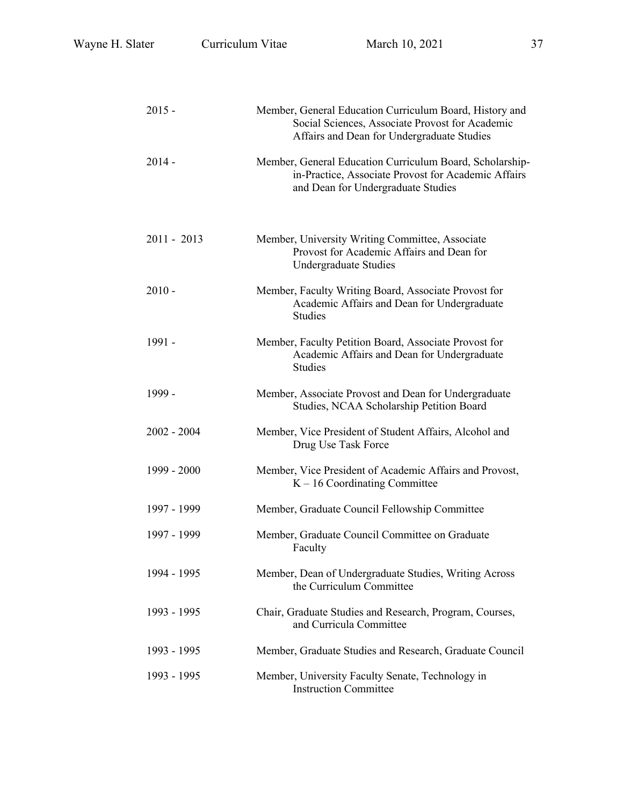| $2015 -$      | Member, General Education Curriculum Board, History and<br>Social Sciences, Associate Provost for Academic<br>Affairs and Dean for Undergraduate Studies |  |  |
|---------------|----------------------------------------------------------------------------------------------------------------------------------------------------------|--|--|
| $2014 -$      | Member, General Education Curriculum Board, Scholarship-<br>in-Practice, Associate Provost for Academic Affairs<br>and Dean for Undergraduate Studies    |  |  |
| $2011 - 2013$ | Member, University Writing Committee, Associate<br>Provost for Academic Affairs and Dean for<br>Undergraduate Studies                                    |  |  |
| $2010 -$      | Member, Faculty Writing Board, Associate Provost for<br>Academic Affairs and Dean for Undergraduate<br><b>Studies</b>                                    |  |  |
| 1991 -        | Member, Faculty Petition Board, Associate Provost for<br>Academic Affairs and Dean for Undergraduate<br><b>Studies</b>                                   |  |  |
| 1999 -        | Member, Associate Provost and Dean for Undergraduate<br>Studies, NCAA Scholarship Petition Board                                                         |  |  |
| $2002 - 2004$ | Member, Vice President of Student Affairs, Alcohol and<br>Drug Use Task Force                                                                            |  |  |
| 1999 - 2000   | Member, Vice President of Academic Affairs and Provost,<br>$K - 16$ Coordinating Committee                                                               |  |  |
| 1997 - 1999   | Member, Graduate Council Fellowship Committee                                                                                                            |  |  |
| 1997 - 1999   | Member, Graduate Council Committee on Graduate<br>Faculty                                                                                                |  |  |
| 1994 - 1995   | Member, Dean of Undergraduate Studies, Writing Across<br>the Curriculum Committee                                                                        |  |  |
| 1993 - 1995   | Chair, Graduate Studies and Research, Program, Courses,<br>and Curricula Committee                                                                       |  |  |
| 1993 - 1995   | Member, Graduate Studies and Research, Graduate Council                                                                                                  |  |  |
| 1993 - 1995   | Member, University Faculty Senate, Technology in<br><b>Instruction Committee</b>                                                                         |  |  |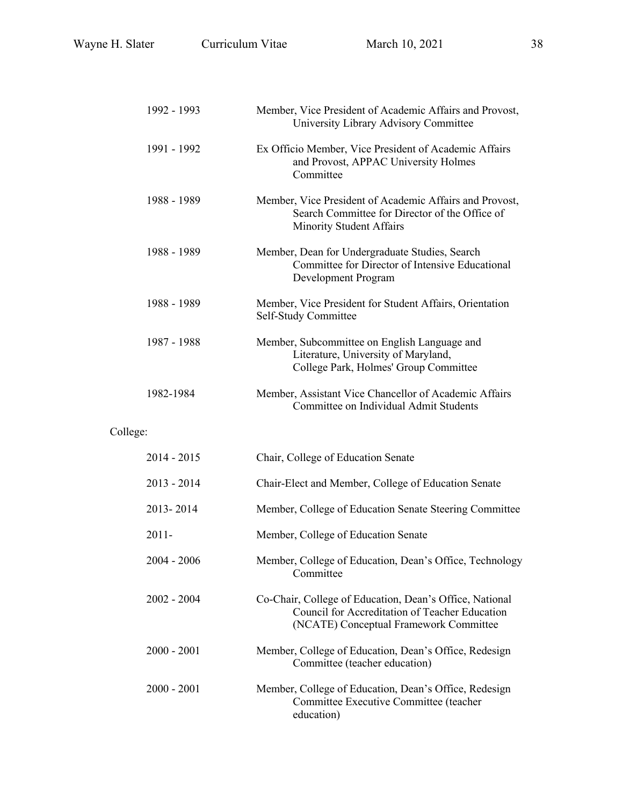|          | 1992 - 1993   | Member, Vice President of Academic Affairs and Provost,<br>University Library Advisory Committee                                                    |
|----------|---------------|-----------------------------------------------------------------------------------------------------------------------------------------------------|
|          | 1991 - 1992   | Ex Officio Member, Vice President of Academic Affairs<br>and Provost, APPAC University Holmes<br>Committee                                          |
|          | 1988 - 1989   | Member, Vice President of Academic Affairs and Provost,<br>Search Committee for Director of the Office of<br>Minority Student Affairs               |
|          | 1988 - 1989   | Member, Dean for Undergraduate Studies, Search<br>Committee for Director of Intensive Educational<br>Development Program                            |
|          | 1988 - 1989   | Member, Vice President for Student Affairs, Orientation<br>Self-Study Committee                                                                     |
|          | 1987 - 1988   | Member, Subcommittee on English Language and<br>Literature, University of Maryland,<br>College Park, Holmes' Group Committee                        |
|          | 1982-1984     | Member, Assistant Vice Chancellor of Academic Affairs<br>Committee on Individual Admit Students                                                     |
| College: |               |                                                                                                                                                     |
|          | $2014 - 2015$ | Chair, College of Education Senate                                                                                                                  |
|          | $2013 - 2014$ | Chair-Elect and Member, College of Education Senate                                                                                                 |
|          | 2013-2014     | Member, College of Education Senate Steering Committee                                                                                              |
|          | $2011 -$      | Member, College of Education Senate                                                                                                                 |
|          | $2004 - 2006$ | Member, College of Education, Dean's Office, Technology<br>Committee                                                                                |
|          | $2002 - 2004$ | Co-Chair, College of Education, Dean's Office, National<br>Council for Accreditation of Teacher Education<br>(NCATE) Conceptual Framework Committee |
|          | $2000 - 2001$ | Member, College of Education, Dean's Office, Redesign<br>Committee (teacher education)                                                              |
|          | $2000 - 2001$ | Member, College of Education, Dean's Office, Redesign<br>Committee Executive Committee (teacher                                                     |

education)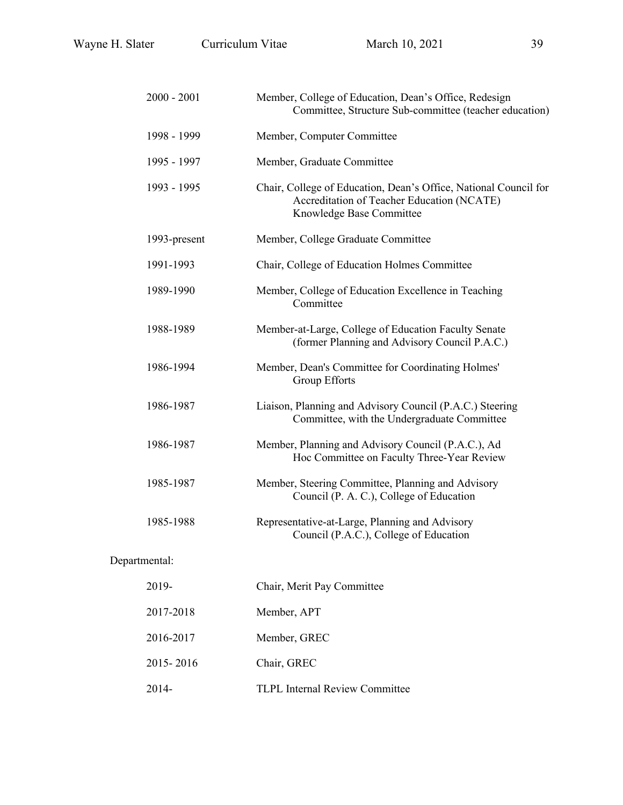| $2000 - 2001$ | Member, College of Education, Dean's Office, Redesign<br>Committee, Structure Sub-committee (teacher education)                            |  |
|---------------|--------------------------------------------------------------------------------------------------------------------------------------------|--|
| 1998 - 1999   | Member, Computer Committee                                                                                                                 |  |
| 1995 - 1997   | Member, Graduate Committee                                                                                                                 |  |
| 1993 - 1995   | Chair, College of Education, Dean's Office, National Council for<br>Accreditation of Teacher Education (NCATE)<br>Knowledge Base Committee |  |
| 1993-present  | Member, College Graduate Committee                                                                                                         |  |
| 1991-1993     | Chair, College of Education Holmes Committee                                                                                               |  |
| 1989-1990     | Member, College of Education Excellence in Teaching<br>Committee                                                                           |  |
| 1988-1989     | Member-at-Large, College of Education Faculty Senate<br>(former Planning and Advisory Council P.A.C.)                                      |  |
| 1986-1994     | Member, Dean's Committee for Coordinating Holmes'<br>Group Efforts                                                                         |  |
| 1986-1987     | Liaison, Planning and Advisory Council (P.A.C.) Steering<br>Committee, with the Undergraduate Committee                                    |  |
| 1986-1987     | Member, Planning and Advisory Council (P.A.C.), Ad<br>Hoc Committee on Faculty Three-Year Review                                           |  |
| 1985-1987     | Member, Steering Committee, Planning and Advisory<br>Council (P. A. C.), College of Education                                              |  |
| 1985-1988     | Representative-at-Large, Planning and Advisory<br>Council (P.A.C.), College of Education                                                   |  |
| Departmental: |                                                                                                                                            |  |
| 2019-         | Chair, Merit Pay Committee                                                                                                                 |  |
| 2017-2018     | Member, APT                                                                                                                                |  |
| 2016-2017     | Member, GREC                                                                                                                               |  |
| 2015-2016     | Chair, GREC                                                                                                                                |  |

2014- TLPL Internal Review Committee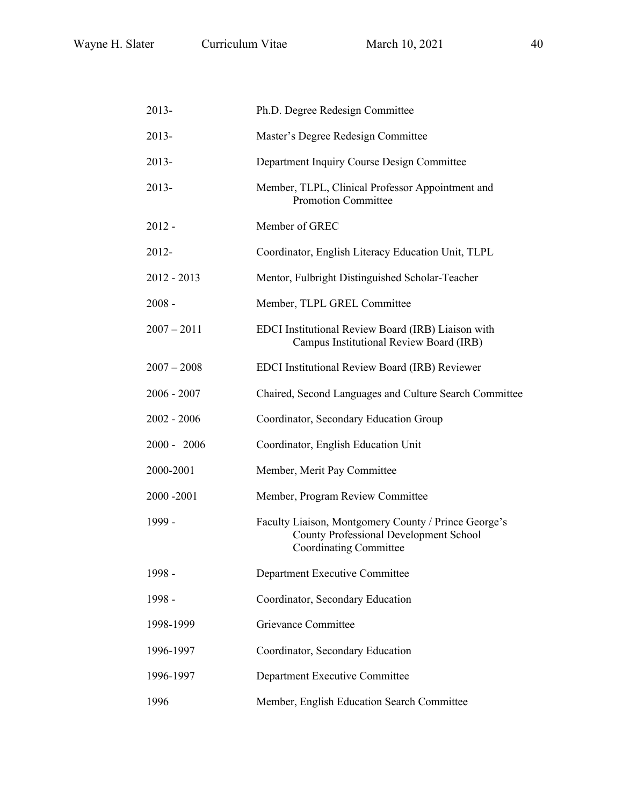| 2013-         | Ph.D. Degree Redesign Committee                                                                                                        |  |  |
|---------------|----------------------------------------------------------------------------------------------------------------------------------------|--|--|
| 2013-         | Master's Degree Redesign Committee                                                                                                     |  |  |
| 2013-         | Department Inquiry Course Design Committee                                                                                             |  |  |
| 2013-         | Member, TLPL, Clinical Professor Appointment and<br>Promotion Committee                                                                |  |  |
| 2012 -        | Member of GREC                                                                                                                         |  |  |
| 2012-         | Coordinator, English Literacy Education Unit, TLPL                                                                                     |  |  |
| 2012 - 2013   | Mentor, Fulbright Distinguished Scholar-Teacher                                                                                        |  |  |
| $2008 -$      | Member, TLPL GREL Committee                                                                                                            |  |  |
| $2007 - 2011$ | EDCI Institutional Review Board (IRB) Liaison with<br>Campus Institutional Review Board (IRB)                                          |  |  |
| $2007 - 2008$ | EDCI Institutional Review Board (IRB) Reviewer                                                                                         |  |  |
| 2006 - 2007   | Chaired, Second Languages and Culture Search Committee                                                                                 |  |  |
| 2002 - 2006   | Coordinator, Secondary Education Group                                                                                                 |  |  |
| 2000 - 2006   | Coordinator, English Education Unit                                                                                                    |  |  |
| 2000-2001     | Member, Merit Pay Committee                                                                                                            |  |  |
| 2000 -2001    | Member, Program Review Committee                                                                                                       |  |  |
| 1999 -        | Faculty Liaison, Montgomery County / Prince George's<br><b>County Professional Development School</b><br><b>Coordinating Committee</b> |  |  |
| 1998 -        | Department Executive Committee                                                                                                         |  |  |
| 1998 -        | Coordinator, Secondary Education                                                                                                       |  |  |
| 1998-1999     | Grievance Committee                                                                                                                    |  |  |
| 1996-1997     | Coordinator, Secondary Education                                                                                                       |  |  |
| 1996-1997     | Department Executive Committee                                                                                                         |  |  |
| 1996          | Member, English Education Search Committee                                                                                             |  |  |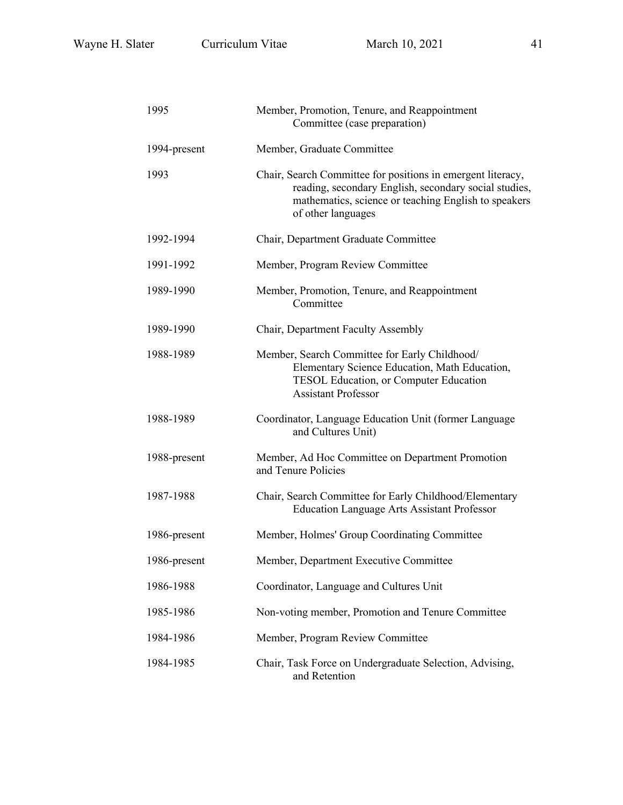| 1995         | Member, Promotion, Tenure, and Reappointment<br>Committee (case preparation)                                                                                                                       |  |  |
|--------------|----------------------------------------------------------------------------------------------------------------------------------------------------------------------------------------------------|--|--|
| 1994-present | Member, Graduate Committee                                                                                                                                                                         |  |  |
| 1993         | Chair, Search Committee for positions in emergent literacy,<br>reading, secondary English, secondary social studies,<br>mathematics, science or teaching English to speakers<br>of other languages |  |  |
| 1992-1994    | Chair, Department Graduate Committee                                                                                                                                                               |  |  |
| 1991-1992    | Member, Program Review Committee                                                                                                                                                                   |  |  |
| 1989-1990    | Member, Promotion, Tenure, and Reappointment<br>Committee                                                                                                                                          |  |  |
| 1989-1990    | Chair, Department Faculty Assembly                                                                                                                                                                 |  |  |
| 1988-1989    | Member, Search Committee for Early Childhood/<br>Elementary Science Education, Math Education,<br>TESOL Education, or Computer Education<br><b>Assistant Professor</b>                             |  |  |
| 1988-1989    | Coordinator, Language Education Unit (former Language<br>and Cultures Unit)                                                                                                                        |  |  |
| 1988-present | Member, Ad Hoc Committee on Department Promotion<br>and Tenure Policies                                                                                                                            |  |  |
| 1987-1988    | Chair, Search Committee for Early Childhood/Elementary<br><b>Education Language Arts Assistant Professor</b>                                                                                       |  |  |
| 1986-present | Member, Holmes' Group Coordinating Committee                                                                                                                                                       |  |  |
| 1986-present | Member, Department Executive Committee                                                                                                                                                             |  |  |
| 1986-1988    | Coordinator, Language and Cultures Unit                                                                                                                                                            |  |  |
| 1985-1986    | Non-voting member, Promotion and Tenure Committee                                                                                                                                                  |  |  |
| 1984-1986    | Member, Program Review Committee                                                                                                                                                                   |  |  |
| 1984-1985    | Chair, Task Force on Undergraduate Selection, Advising,<br>and Retention                                                                                                                           |  |  |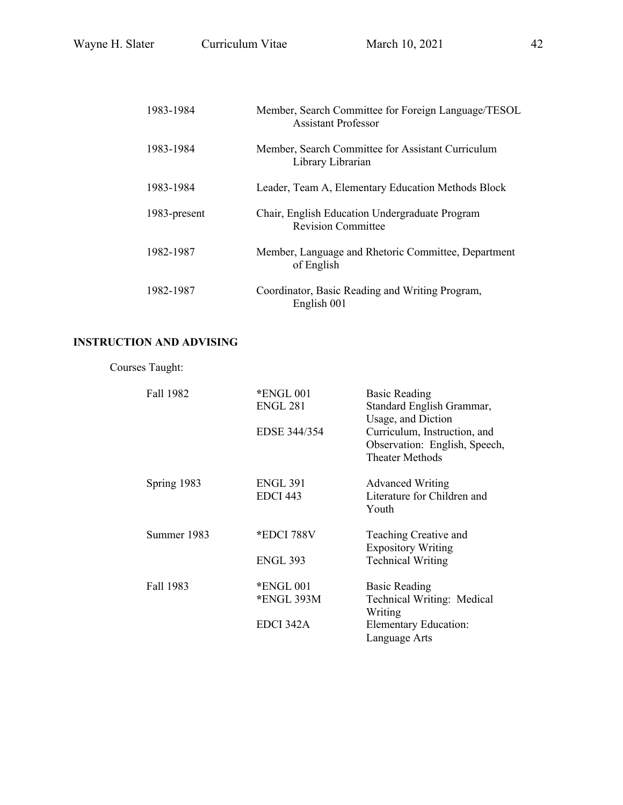| 1983-1984    | Member, Search Committee for Foreign Language/TESOL<br><b>Assistant Professor</b> |
|--------------|-----------------------------------------------------------------------------------|
| 1983-1984    | Member, Search Committee for Assistant Curriculum<br>Library Librarian            |
| 1983-1984    | Leader, Team A, Elementary Education Methods Block                                |
| 1983-present | Chair, English Education Undergraduate Program<br><b>Revision Committee</b>       |
| 1982-1987    | Member, Language and Rhetoric Committee, Department<br>of English                 |
| 1982-1987    | Coordinator, Basic Reading and Writing Program,<br>English 001                    |

# **INSTRUCTION AND ADVISING**

| Courses Taught: |                                    |                                                                                         |
|-----------------|------------------------------------|-----------------------------------------------------------------------------------------|
| Fall 1982       | $*$ ENGL 001<br>ENGL 281           | <b>Basic Reading</b><br>Standard English Grammar,<br>Usage, and Diction                 |
|                 | EDSE 344/354                       | Curriculum, Instruction, and<br>Observation: English, Speech,<br><b>Theater Methods</b> |
| Spring 1983     | <b>ENGL 391</b><br><b>EDCI 443</b> | <b>Advanced Writing</b><br>Literature for Children and<br>Youth                         |
| Summer 1983     | *EDCI 788V                         | Teaching Creative and<br><b>Expository Writing</b>                                      |
|                 | <b>ENGL 393</b>                    | <b>Technical Writing</b>                                                                |
| Fall 1983       | $*$ ENGL 001<br>*ENGL 393M         | <b>Basic Reading</b><br>Technical Writing: Medical<br>Writing                           |
|                 | EDCI 342A                          | <b>Elementary Education:</b><br>Language Arts                                           |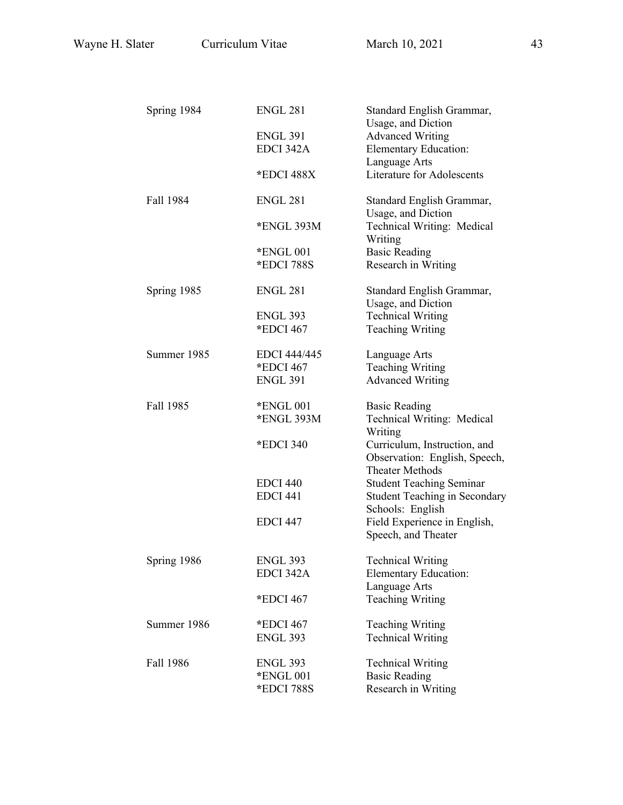| Spring 1984 | <b>ENGL 281</b>     | Standard English Grammar,                                                               |
|-------------|---------------------|-----------------------------------------------------------------------------------------|
|             |                     | Usage, and Diction                                                                      |
|             | <b>ENGL 391</b>     | <b>Advanced Writing</b>                                                                 |
|             | EDCI 342A           | <b>Elementary Education:</b>                                                            |
|             |                     | Language Arts                                                                           |
|             | *EDCI 488X          | <b>Literature for Adolescents</b>                                                       |
| Fall 1984   | <b>ENGL 281</b>     | Standard English Grammar,<br>Usage, and Diction                                         |
|             | *ENGL 393M          | Technical Writing: Medical<br>Writing                                                   |
|             | *ENGL 001           | <b>Basic Reading</b>                                                                    |
|             | *EDCI 788S          | Research in Writing                                                                     |
| Spring 1985 | <b>ENGL 281</b>     | Standard English Grammar,                                                               |
|             |                     | Usage, and Diction                                                                      |
|             | ENGL 393            | <b>Technical Writing</b>                                                                |
|             | *EDCI 467           | <b>Teaching Writing</b>                                                                 |
| Summer 1985 | <b>EDCI</b> 444/445 | Language Arts                                                                           |
|             | *EDCI 467           | <b>Teaching Writing</b>                                                                 |
|             | <b>ENGL 391</b>     | <b>Advanced Writing</b>                                                                 |
| Fall 1985   | *ENGL 001           | <b>Basic Reading</b>                                                                    |
|             | *ENGL 393M          | Technical Writing: Medical<br>Writing                                                   |
|             | *EDCI 340           | Curriculum, Instruction, and<br>Observation: English, Speech,<br><b>Theater Methods</b> |
|             | <b>EDCI 440</b>     | <b>Student Teaching Seminar</b>                                                         |
|             | <b>EDCI 441</b>     | <b>Student Teaching in Secondary</b>                                                    |
|             | <b>EDCI 447</b>     | Schools: English                                                                        |
|             |                     | Field Experience in English,<br>Speech, and Theater                                     |
| Spring 1986 | <b>ENGL 393</b>     | <b>Technical Writing</b>                                                                |
|             | EDCI 342A           | <b>Elementary Education:</b>                                                            |
|             |                     | Language Arts                                                                           |
|             | *EDCI 467           | <b>Teaching Writing</b>                                                                 |
| Summer 1986 | *EDCI 467           | <b>Teaching Writing</b>                                                                 |
|             | <b>ENGL 393</b>     | <b>Technical Writing</b>                                                                |
| Fall 1986   | <b>ENGL 393</b>     | <b>Technical Writing</b>                                                                |
|             | *ENGL 001           | <b>Basic Reading</b>                                                                    |
|             | *EDCI 788S          | Research in Writing                                                                     |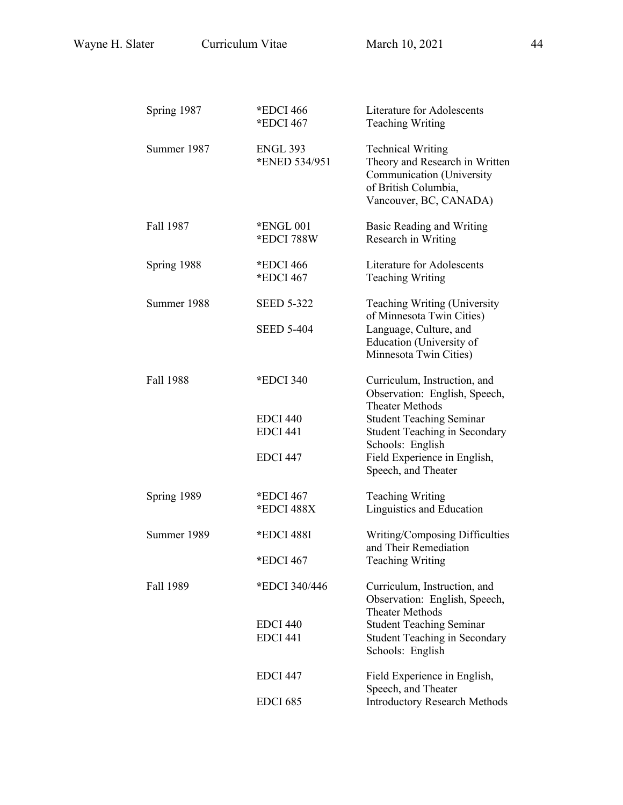| Spring 1987 | *EDCI 466<br>*EDCI 467             | <b>Literature for Adolescents</b><br><b>Teaching Writing</b>                                                                              |
|-------------|------------------------------------|-------------------------------------------------------------------------------------------------------------------------------------------|
| Summer 1987 | <b>ENGL 393</b><br>*ENED 534/951   | <b>Technical Writing</b><br>Theory and Research in Written<br>Communication (University<br>of British Columbia,<br>Vancouver, BC, CANADA) |
| Fall 1987   | *ENGL 001<br>*EDCI 788W            | Basic Reading and Writing<br>Research in Writing                                                                                          |
| Spring 1988 | *EDCI 466<br>*EDCI 467             | <b>Literature for Adolescents</b><br><b>Teaching Writing</b>                                                                              |
| Summer 1988 | <b>SEED 5-322</b>                  | Teaching Writing (University<br>of Minnesota Twin Cities)                                                                                 |
|             | <b>SEED 5-404</b>                  | Language, Culture, and<br>Education (University of<br>Minnesota Twin Cities)                                                              |
| Fall 1988   | *EDCI 340                          | Curriculum, Instruction, and<br>Observation: English, Speech,<br><b>Theater Methods</b>                                                   |
|             | <b>EDCI 440</b><br><b>EDCI 441</b> | <b>Student Teaching Seminar</b><br><b>Student Teaching in Secondary</b><br>Schools: English                                               |
|             | <b>EDCI 447</b>                    | Field Experience in English,<br>Speech, and Theater                                                                                       |
| Spring 1989 | *EDCI 467<br>*EDCI 488X            | <b>Teaching Writing</b><br>Linguistics and Education                                                                                      |
| Summer 1989 | *EDCI 488I                         | Writing/Composing Difficulties<br>and Their Remediation                                                                                   |
|             | $*$ EDCI 467                       | <b>Teaching Writing</b>                                                                                                                   |
| Fall 1989   | *EDCI 340/446                      | Curriculum, Instruction, and<br>Observation: English, Speech,<br><b>Theater Methods</b>                                                   |
|             | <b>EDCI 440</b>                    | <b>Student Teaching Seminar</b>                                                                                                           |
|             | <b>EDCI 441</b>                    | <b>Student Teaching in Secondary</b><br>Schools: English                                                                                  |
|             | EDCI 447                           | Field Experience in English,<br>Speech, and Theater                                                                                       |
|             | <b>EDCI 685</b>                    | <b>Introductory Research Methods</b>                                                                                                      |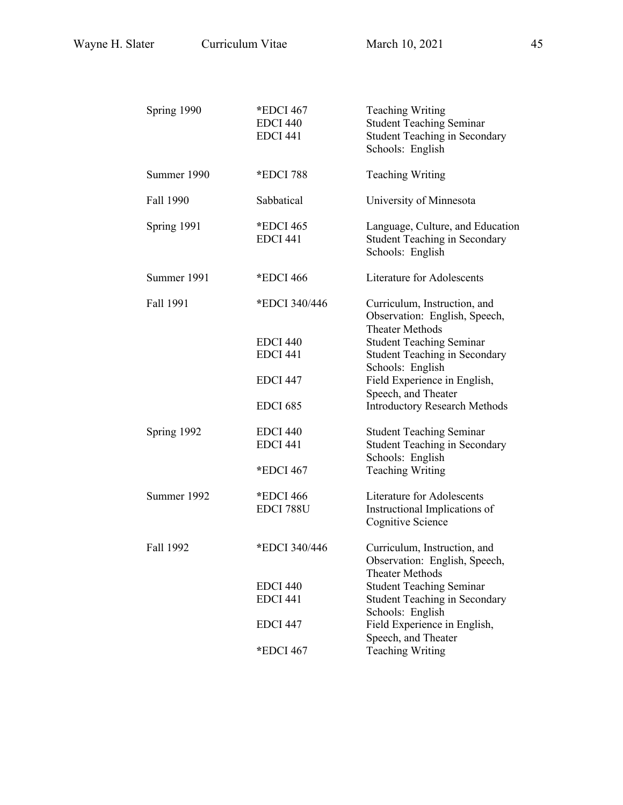| Spring 1990 | *EDCI 467<br><b>EDCI 440</b><br><b>EDCI 441</b> | <b>Teaching Writing</b><br><b>Student Teaching Seminar</b><br><b>Student Teaching in Secondary</b><br>Schools: English |
|-------------|-------------------------------------------------|------------------------------------------------------------------------------------------------------------------------|
| Summer 1990 | *EDCI 788                                       | <b>Teaching Writing</b>                                                                                                |
| Fall 1990   | Sabbatical                                      | University of Minnesota                                                                                                |
| Spring 1991 | *EDCI 465<br><b>EDCI 441</b>                    | Language, Culture, and Education<br><b>Student Teaching in Secondary</b><br>Schools: English                           |
| Summer 1991 | *EDCI 466                                       | Literature for Adolescents                                                                                             |
| Fall 1991   | *EDCI 340/446                                   | Curriculum, Instruction, and<br>Observation: English, Speech,<br><b>Theater Methods</b>                                |
|             | <b>EDCI 440</b><br><b>EDCI 441</b>              | <b>Student Teaching Seminar</b><br><b>Student Teaching in Secondary</b><br>Schools: English                            |
|             | <b>EDCI 447</b>                                 | Field Experience in English,<br>Speech, and Theater                                                                    |
|             | <b>EDCI 685</b>                                 | <b>Introductory Research Methods</b>                                                                                   |
| Spring 1992 | <b>EDCI 440</b><br><b>EDCI 441</b>              | <b>Student Teaching Seminar</b><br><b>Student Teaching in Secondary</b><br>Schools: English                            |
|             | *EDCI 467                                       | <b>Teaching Writing</b>                                                                                                |
| Summer 1992 | *EDCI 466<br>EDCI 788U                          | <b>Literature for Adolescents</b><br>Instructional Implications of<br>Cognitive Science                                |
| Fall 1992   | *EDCI 340/446                                   | Curriculum, Instruction, and<br>Observation: English, Speech,<br>Theater Methods                                       |
|             | <b>EDCI 440</b>                                 | <b>Student Teaching Seminar</b>                                                                                        |
|             | <b>EDCI 441</b>                                 | <b>Student Teaching in Secondary</b><br>Schools: English                                                               |
|             | <b>EDCI 447</b>                                 | Field Experience in English,<br>Speech, and Theater                                                                    |
|             | *EDCI 467                                       | <b>Teaching Writing</b>                                                                                                |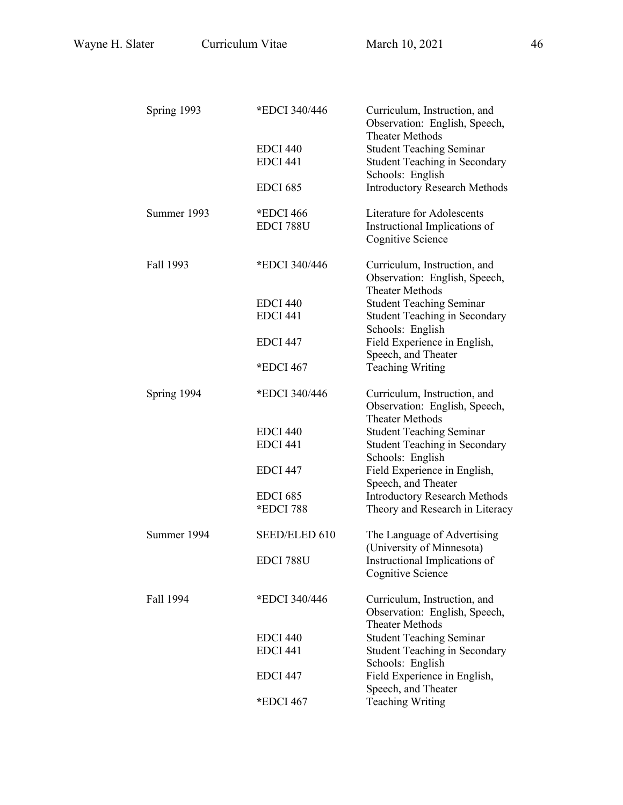| Spring 1993 | *EDCI 340/446   | Curriculum, Instruction, and<br>Observation: English, Speech,<br><b>Theater Methods</b> |
|-------------|-----------------|-----------------------------------------------------------------------------------------|
|             | <b>EDCI 440</b> | <b>Student Teaching Seminar</b>                                                         |
|             | <b>EDCI 441</b> | <b>Student Teaching in Secondary</b>                                                    |
|             |                 | Schools: English                                                                        |
|             | <b>EDCI 685</b> | <b>Introductory Research Methods</b>                                                    |
| Summer 1993 | *EDCI 466       | Literature for Adolescents                                                              |
|             | EDCI 788U       | Instructional Implications of<br>Cognitive Science                                      |
| Fall 1993   | *EDCI 340/446   | Curriculum, Instruction, and                                                            |
|             |                 | Observation: English, Speech,<br><b>Theater Methods</b>                                 |
|             | <b>EDCI 440</b> | <b>Student Teaching Seminar</b>                                                         |
|             | <b>EDCI 441</b> | <b>Student Teaching in Secondary</b><br>Schools: English                                |
|             | <b>EDCI 447</b> | Field Experience in English,                                                            |
|             | *EDCI 467       | Speech, and Theater<br><b>Teaching Writing</b>                                          |
| Spring 1994 | *EDCI 340/446   | Curriculum, Instruction, and<br>Observation: English, Speech,                           |
|             | <b>EDCI 440</b> | <b>Theater Methods</b>                                                                  |
|             | EDCI 441        | <b>Student Teaching Seminar</b><br><b>Student Teaching in Secondary</b>                 |
|             |                 | Schools: English                                                                        |
|             | <b>EDCI 447</b> | Field Experience in English,<br>Speech, and Theater                                     |
|             | <b>EDCI 685</b> | <b>Introductory Research Methods</b>                                                    |
|             | *EDCI 788       | Theory and Research in Literacy                                                         |
| Summer 1994 | SEED/ELED 610   | The Language of Advertising<br>(University of Minnesota)                                |
|             | EDCI 788U       | Instructional Implications of<br><b>Cognitive Science</b>                               |
| Fall 1994   | *EDCI 340/446   | Curriculum, Instruction, and<br>Observation: English, Speech,                           |
|             |                 | <b>Theater Methods</b>                                                                  |
|             | <b>EDCI 440</b> | <b>Student Teaching Seminar</b>                                                         |
|             | <b>EDCI 441</b> | <b>Student Teaching in Secondary</b><br>Schools: English                                |
|             | <b>EDCI 447</b> | Field Experience in English,<br>Speech, and Theater                                     |
|             | *EDCI 467       | <b>Teaching Writing</b>                                                                 |
|             |                 |                                                                                         |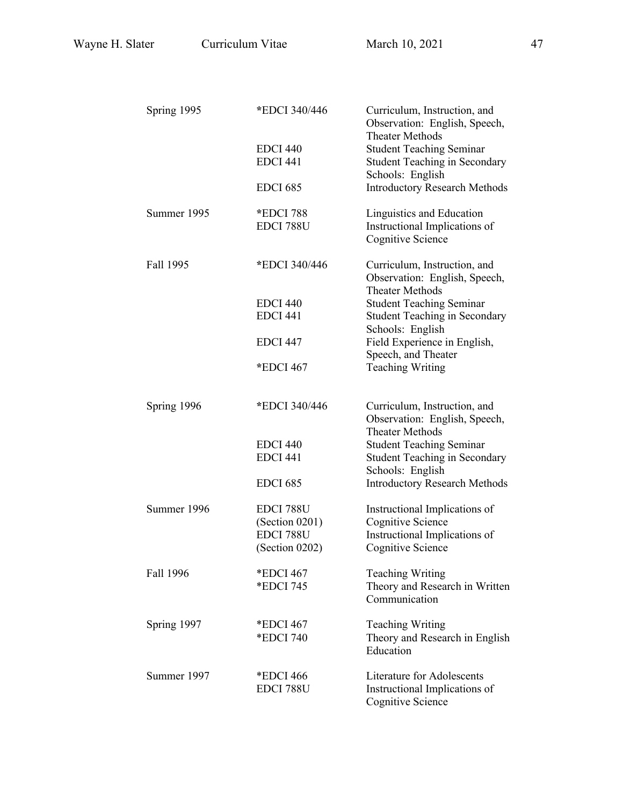| Spring 1995 | *EDCI 340/446                      | Curriculum, Instruction, and<br>Observation: English, Speech,<br><b>Theater Methods</b> |
|-------------|------------------------------------|-----------------------------------------------------------------------------------------|
|             | <b>EDCI 440</b>                    | <b>Student Teaching Seminar</b>                                                         |
|             | <b>EDCI 441</b>                    | <b>Student Teaching in Secondary</b>                                                    |
|             | <b>EDCI 685</b>                    | Schools: English<br><b>Introductory Research Methods</b>                                |
|             |                                    |                                                                                         |
| Summer 1995 | *EDCI 788<br>EDCI 788U             | Linguistics and Education<br>Instructional Implications of<br>Cognitive Science         |
| Fall 1995   | *EDCI 340/446                      | Curriculum, Instruction, and<br>Observation: English, Speech,<br><b>Theater Methods</b> |
|             | <b>EDCI 440</b><br><b>EDCI 441</b> | <b>Student Teaching Seminar</b><br><b>Student Teaching in Secondary</b>                 |
|             | EDCI 447                           | Schools: English<br>Field Experience in English,<br>Speech, and Theater                 |
|             | *EDCI 467                          | <b>Teaching Writing</b>                                                                 |
| Spring 1996 | *EDCI 340/446                      | Curriculum, Instruction, and<br>Observation: English, Speech,<br><b>Theater Methods</b> |
|             | <b>EDCI 440</b><br><b>EDCI 441</b> | <b>Student Teaching Seminar</b><br><b>Student Teaching in Secondary</b>                 |
|             | <b>EDCI 685</b>                    | Schools: English<br><b>Introductory Research Methods</b>                                |
| Summer 1996 | EDCI 788U<br>(Section 0201)        | Instructional Implications of<br>Cognitive Science                                      |
|             | EDCI 788U<br>(Section 0202)        | Instructional Implications of<br>Cognitive Science                                      |
| Fall 1996   | *EDCI 467<br>*EDCI 745             | <b>Teaching Writing</b><br>Theory and Research in Written                               |
|             |                                    | Communication                                                                           |
| Spring 1997 | *EDCI 467                          | <b>Teaching Writing</b>                                                                 |
|             | *EDCI 740                          | Theory and Research in English<br>Education                                             |
| Summer 1997 | *EDCI 466                          | Literature for Adolescents                                                              |
|             | EDCI 788U                          | Instructional Implications of<br>Cognitive Science                                      |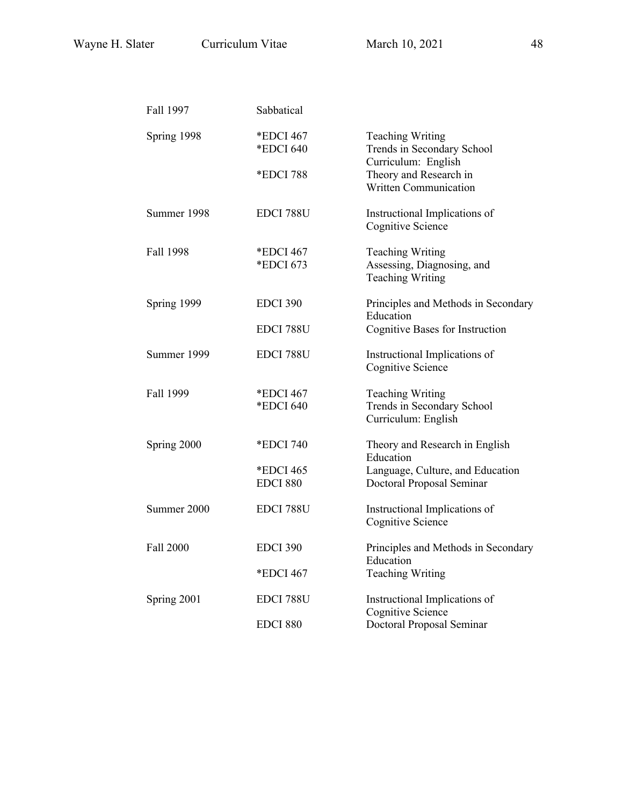| Fall 1997        | Sabbatical                   |                                                                                  |
|------------------|------------------------------|----------------------------------------------------------------------------------|
| Spring 1998      | *EDCI 467<br>*EDCI 640       | <b>Teaching Writing</b><br>Trends in Secondary School<br>Curriculum: English     |
|                  | *EDCI 788                    | Theory and Research in<br><b>Written Communication</b>                           |
| Summer 1998      | EDCI 788U                    | Instructional Implications of<br><b>Cognitive Science</b>                        |
| Fall 1998        | *EDCI 467<br>*EDCI 673       | <b>Teaching Writing</b><br>Assessing, Diagnosing, and<br><b>Teaching Writing</b> |
| Spring 1999      | <b>EDCI 390</b>              | Principles and Methods in Secondary<br>Education                                 |
|                  | EDCI 788U                    | Cognitive Bases for Instruction                                                  |
| Summer 1999      | EDCI 788U                    | Instructional Implications of<br><b>Cognitive Science</b>                        |
| Fall 1999        | *EDCI 467<br>*EDCI 640       | <b>Teaching Writing</b><br>Trends in Secondary School<br>Curriculum: English     |
| Spring 2000      | *EDCI 740                    | Theory and Research in English<br>Education                                      |
|                  | *EDCI 465<br><b>EDCI 880</b> | Language, Culture, and Education<br>Doctoral Proposal Seminar                    |
| Summer 2000      | EDCI 788U                    | Instructional Implications of<br>Cognitive Science                               |
| <b>Fall 2000</b> | <b>EDCI 390</b>              | Principles and Methods in Secondary<br>Education                                 |
|                  | *EDCI 467                    | <b>Teaching Writing</b>                                                          |
| Spring 2001      | EDCI 788U                    | Instructional Implications of<br><b>Cognitive Science</b>                        |
|                  | EDCI 880                     | Doctoral Proposal Seminar                                                        |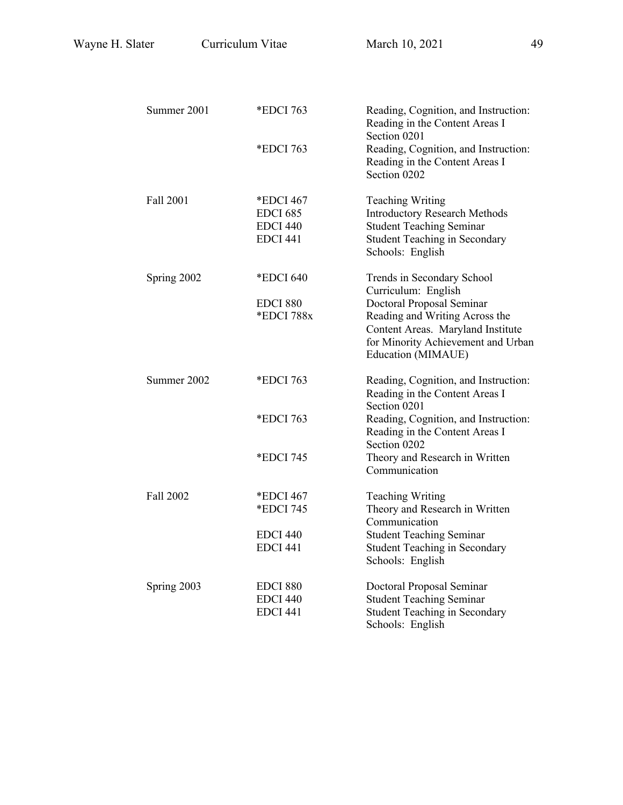| Summer 2001 | *EDCI 763                          | Reading, Cognition, and Instruction:<br>Reading in the Content Areas I<br>Section 0201 |
|-------------|------------------------------------|----------------------------------------------------------------------------------------|
|             | *EDCI 763                          | Reading, Cognition, and Instruction:<br>Reading in the Content Areas I<br>Section 0202 |
| Fall 2001   | *EDCI 467                          | <b>Teaching Writing</b>                                                                |
|             | <b>EDCI 685</b><br><b>EDCI 440</b> | <b>Introductory Research Methods</b><br><b>Student Teaching Seminar</b>                |
|             | <b>EDCI 441</b>                    | <b>Student Teaching in Secondary</b><br>Schools: English                               |
| Spring 2002 | *EDCI 640                          | Trends in Secondary School<br>Curriculum: English                                      |
|             | EDCI 880                           | Doctoral Proposal Seminar                                                              |
|             | *EDCI 788x                         | Reading and Writing Across the<br>Content Areas. Maryland Institute                    |
|             |                                    | for Minority Achievement and Urban<br>Education (MIMAUE)                               |
| Summer 2002 | *EDCI 763                          | Reading, Cognition, and Instruction:                                                   |
|             |                                    | Reading in the Content Areas I<br>Section 0201                                         |
|             | *EDCI 763                          | Reading, Cognition, and Instruction:<br>Reading in the Content Areas I                 |
|             |                                    | Section 0202                                                                           |
|             | *EDCI 745                          | Theory and Research in Written<br>Communication                                        |
| Fall 2002   | *EDCI 467                          | <b>Teaching Writing</b>                                                                |
|             | *EDCI 745                          | Theory and Research in Written<br>Communication                                        |
|             | EDCI 440                           | <b>Student Teaching Seminar</b>                                                        |
|             | <b>EDCI 441</b>                    | <b>Student Teaching in Secondary</b><br>Schools: English                               |
| Spring 2003 | <b>EDCI 880</b>                    | Doctoral Proposal Seminar                                                              |
|             | <b>EDCI 440</b>                    | <b>Student Teaching Seminar</b>                                                        |
|             | <b>EDCI 441</b>                    | <b>Student Teaching in Secondary</b><br>Schools: English                               |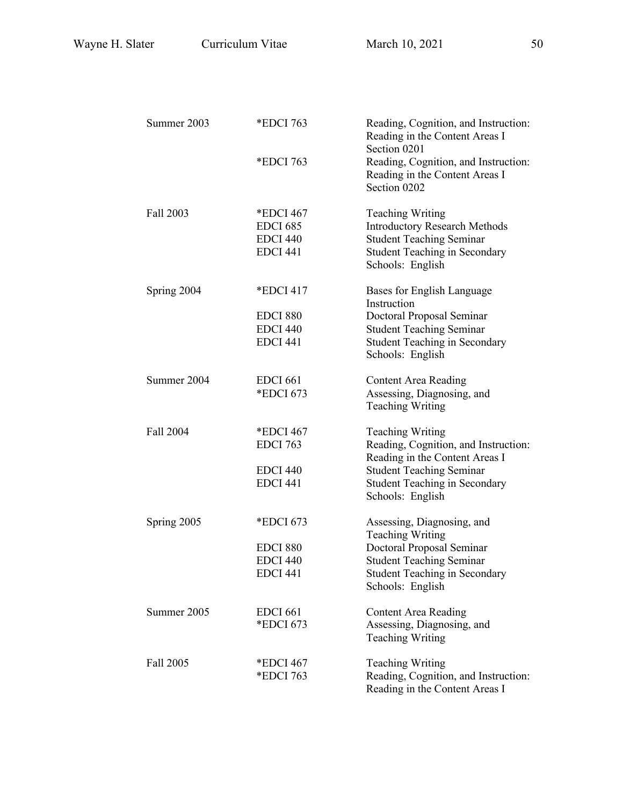| Summer 2003 | *EDCI 763                                                          | Reading, Cognition, and Instruction:<br>Reading in the Content Areas I<br>Section 0201                                                                                                           |
|-------------|--------------------------------------------------------------------|--------------------------------------------------------------------------------------------------------------------------------------------------------------------------------------------------|
|             | *EDCI 763                                                          | Reading, Cognition, and Instruction:<br>Reading in the Content Areas I<br>Section 0202                                                                                                           |
| Fall 2003   | *EDCI 467<br><b>EDCI 685</b><br><b>EDCI 440</b><br><b>EDCI 441</b> | <b>Teaching Writing</b><br><b>Introductory Research Methods</b><br><b>Student Teaching Seminar</b><br><b>Student Teaching in Secondary</b><br>Schools: English                                   |
| Spring 2004 | *EDCI 417<br><b>EDCI 880</b><br><b>EDCI 440</b><br><b>EDCI 441</b> | Bases for English Language<br>Instruction<br>Doctoral Proposal Seminar<br><b>Student Teaching Seminar</b><br><b>Student Teaching in Secondary</b><br>Schools: English                            |
| Summer 2004 | <b>EDCI 661</b><br>*EDCI 673                                       | <b>Content Area Reading</b><br>Assessing, Diagnosing, and<br><b>Teaching Writing</b>                                                                                                             |
| Fall 2004   | *EDCI 467<br><b>EDCI 763</b><br><b>EDCI 440</b><br><b>EDCI 441</b> | <b>Teaching Writing</b><br>Reading, Cognition, and Instruction:<br>Reading in the Content Areas I<br><b>Student Teaching Seminar</b><br><b>Student Teaching in Secondary</b><br>Schools: English |
| Spring 2005 | *EDCI 673<br><b>EDCI 880</b><br><b>EDCI 440</b><br><b>EDCI 441</b> | Assessing, Diagnosing, and<br><b>Teaching Writing</b><br>Doctoral Proposal Seminar<br><b>Student Teaching Seminar</b><br><b>Student Teaching in Secondary</b><br>Schools: English                |
| Summer 2005 | <b>EDCI 661</b><br>*EDCI 673                                       | <b>Content Area Reading</b><br>Assessing, Diagnosing, and<br><b>Teaching Writing</b>                                                                                                             |
| Fall 2005   | *EDCI 467<br>*EDCI 763                                             | <b>Teaching Writing</b><br>Reading, Cognition, and Instruction:<br>Reading in the Content Areas I                                                                                                |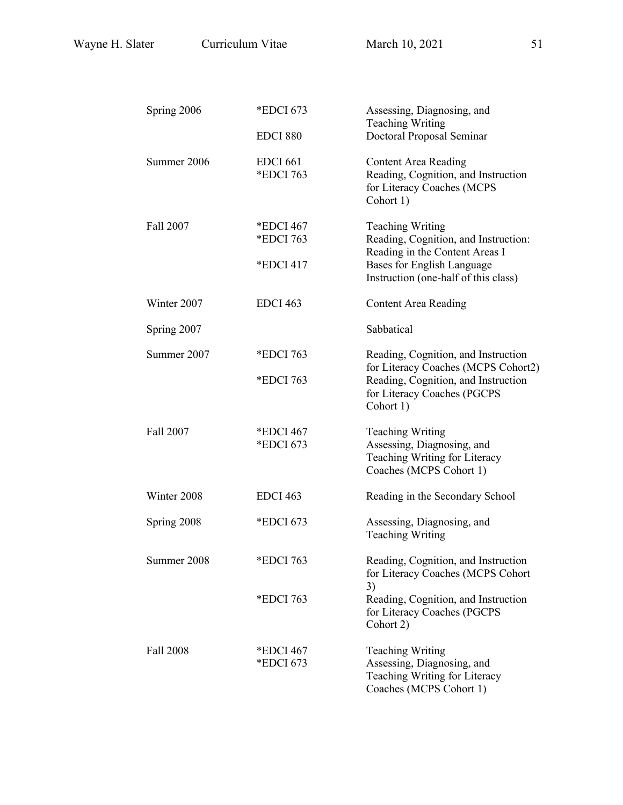| Spring 2006 | *EDCI 673                           | Assessing, Diagnosing, and<br><b>Teaching Writing</b>                                                                                                                   |
|-------------|-------------------------------------|-------------------------------------------------------------------------------------------------------------------------------------------------------------------------|
|             | <b>EDCI 880</b>                     | Doctoral Proposal Seminar                                                                                                                                               |
| Summer 2006 | <b>EDCI 661</b><br>*EDCI 763        | <b>Content Area Reading</b><br>Reading, Cognition, and Instruction<br>for Literacy Coaches (MCPS<br>Cohort 1)                                                           |
| Fall 2007   | *EDCI 467<br>*EDCI 763<br>*EDCI 417 | <b>Teaching Writing</b><br>Reading, Cognition, and Instruction:<br>Reading in the Content Areas I<br>Bases for English Language<br>Instruction (one-half of this class) |
| Winter 2007 | <b>EDCI 463</b>                     | <b>Content Area Reading</b>                                                                                                                                             |
| Spring 2007 |                                     | Sabbatical                                                                                                                                                              |
| Summer 2007 | *EDCI 763<br>*EDCI 763              | Reading, Cognition, and Instruction<br>for Literacy Coaches (MCPS Cohort2)<br>Reading, Cognition, and Instruction<br>for Literacy Coaches (PGCPS<br>Cohort 1)           |
| Fall 2007   | *EDCI 467<br>*EDCI 673              | <b>Teaching Writing</b><br>Assessing, Diagnosing, and<br>Teaching Writing for Literacy<br>Coaches (MCPS Cohort 1)                                                       |
| Winter 2008 | <b>EDCI 463</b>                     | Reading in the Secondary School                                                                                                                                         |
| Spring 2008 | *EDCI 673                           | Assessing, Diagnosing, and<br><b>Teaching Writing</b>                                                                                                                   |
| Summer 2008 | *EDCI 763                           | Reading, Cognition, and Instruction<br>for Literacy Coaches (MCPS Cohort                                                                                                |
|             | *EDCI 763                           | 3)<br>Reading, Cognition, and Instruction<br>for Literacy Coaches (PGCPS<br>Cohort 2)                                                                                   |
| Fall 2008   | *EDCI 467<br>*EDCI 673              | <b>Teaching Writing</b><br>Assessing, Diagnosing, and<br>Teaching Writing for Literacy<br>Coaches (MCPS Cohort 1)                                                       |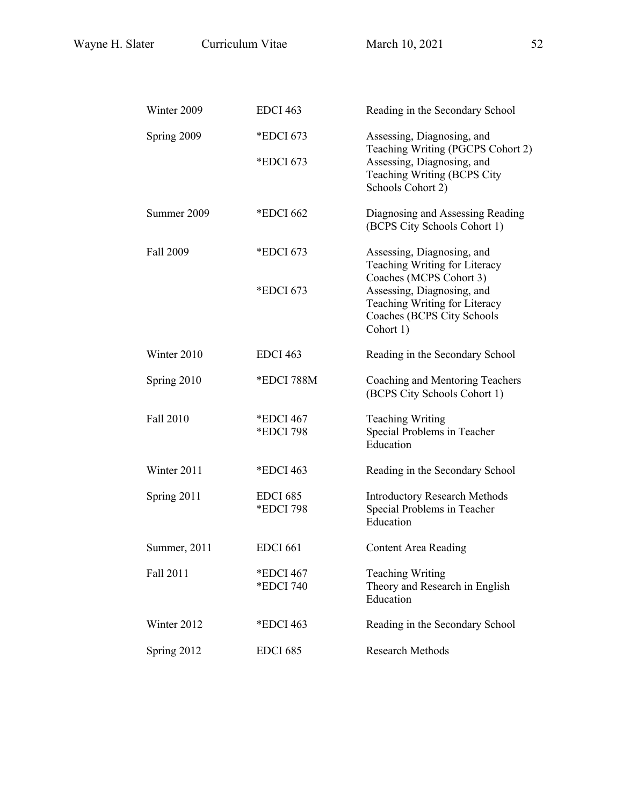| Winter 2009  | <b>EDCI 463</b>              | Reading in the Secondary School                                                                        |
|--------------|------------------------------|--------------------------------------------------------------------------------------------------------|
| Spring 2009  | *EDCI 673                    | Assessing, Diagnosing, and<br>Teaching Writing (PGCPS Cohort 2)                                        |
|              | *EDCI 673                    | Assessing, Diagnosing, and<br>Teaching Writing (BCPS City<br>Schools Cohort 2)                         |
| Summer 2009  | *EDCI 662                    | Diagnosing and Assessing Reading<br>(BCPS City Schools Cohort 1)                                       |
| Fall 2009    | *EDCI 673                    | Assessing, Diagnosing, and<br>Teaching Writing for Literacy<br>Coaches (MCPS Cohort 3)                 |
|              | *EDCI 673                    | Assessing, Diagnosing, and<br>Teaching Writing for Literacy<br>Coaches (BCPS City Schools<br>Cohort 1) |
| Winter 2010  | <b>EDCI 463</b>              | Reading in the Secondary School                                                                        |
| Spring 2010  | *EDCI 788M                   | Coaching and Mentoring Teachers<br>(BCPS City Schools Cohort 1)                                        |
| Fall 2010    | *EDCI 467<br>*EDCI 798       | <b>Teaching Writing</b><br>Special Problems in Teacher<br>Education                                    |
| Winter 2011  | *EDCI 463                    | Reading in the Secondary School                                                                        |
| Spring 2011  | <b>EDCI 685</b><br>*EDCI 798 | <b>Introductory Research Methods</b><br>Special Problems in Teacher<br>Education                       |
| Summer, 2011 | <b>EDCI 661</b>              | Content Area Reading                                                                                   |
| Fall 2011    | *EDCI 467<br>*EDCI 740       | <b>Teaching Writing</b><br>Theory and Research in English<br>Education                                 |
| Winter 2012  | *EDCI 463                    | Reading in the Secondary School                                                                        |
| Spring 2012  | <b>EDCI 685</b>              | Research Methods                                                                                       |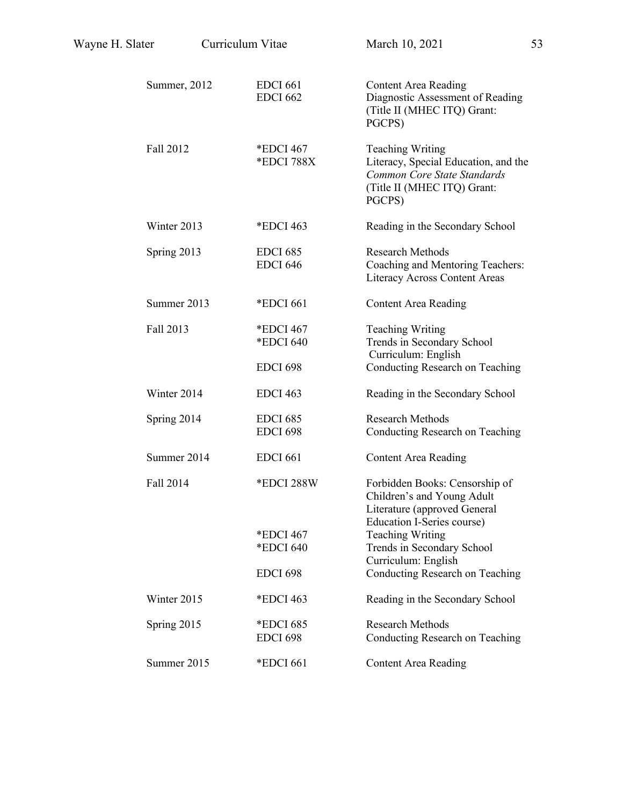| Wayne H. Slater | Curriculum Vitae |                                           | March 10, 2021                                                                                                                          | 53 |
|-----------------|------------------|-------------------------------------------|-----------------------------------------------------------------------------------------------------------------------------------------|----|
|                 | Summer, 2012     | <b>EDCI 661</b><br><b>EDCI 662</b>        | <b>Content Area Reading</b><br>Diagnostic Assessment of Reading<br>(Title II (MHEC ITQ) Grant:<br>PGCPS)                                |    |
|                 | Fall 2012        | *EDCI 467<br>*EDCI 788X                   | <b>Teaching Writing</b><br>Literacy, Special Education, and the<br>Common Core State Standards<br>(Title II (MHEC ITQ) Grant:<br>PGCPS) |    |
|                 | Winter 2013      | *EDCI 463                                 | Reading in the Secondary School                                                                                                         |    |
|                 | Spring 2013      | <b>EDCI 685</b><br><b>EDCI 646</b>        | <b>Research Methods</b><br>Coaching and Mentoring Teachers:<br>Literacy Across Content Areas                                            |    |
|                 | Summer 2013      | *EDCI 661                                 | <b>Content Area Reading</b>                                                                                                             |    |
|                 | Fall 2013        | *EDCI 467<br>*EDCI 640<br><b>EDCI 698</b> | <b>Teaching Writing</b><br>Trends in Secondary School<br>Curriculum: English                                                            |    |
|                 |                  |                                           | Conducting Research on Teaching                                                                                                         |    |
|                 | Winter 2014      | <b>EDCI 463</b>                           | Reading in the Secondary School                                                                                                         |    |
|                 | Spring 2014      | <b>EDCI 685</b><br><b>EDCI 698</b>        | <b>Research Methods</b><br>Conducting Research on Teaching                                                                              |    |
|                 | Summer 2014      | <b>EDCI 661</b>                           | <b>Content Area Reading</b>                                                                                                             |    |
|                 | Fall 2014        | *EDCI 288W                                | Forbidden Books: Censorship of<br>Children's and Young Adult<br>Literature (approved General<br><b>Education I-Series course)</b>       |    |
|                 |                  | *EDCI 467<br>*EDCI 640                    | <b>Teaching Writing</b><br>Trends in Secondary School                                                                                   |    |
|                 |                  |                                           | Curriculum: English                                                                                                                     |    |
|                 |                  | <b>EDCI 698</b>                           | Conducting Research on Teaching                                                                                                         |    |
|                 | Winter 2015      | *EDCI 463                                 | Reading in the Secondary School                                                                                                         |    |
|                 | Spring 2015      | *EDCI 685<br><b>EDCI 698</b>              | <b>Research Methods</b><br>Conducting Research on Teaching                                                                              |    |
|                 | Summer 2015      | *EDCI 661                                 | <b>Content Area Reading</b>                                                                                                             |    |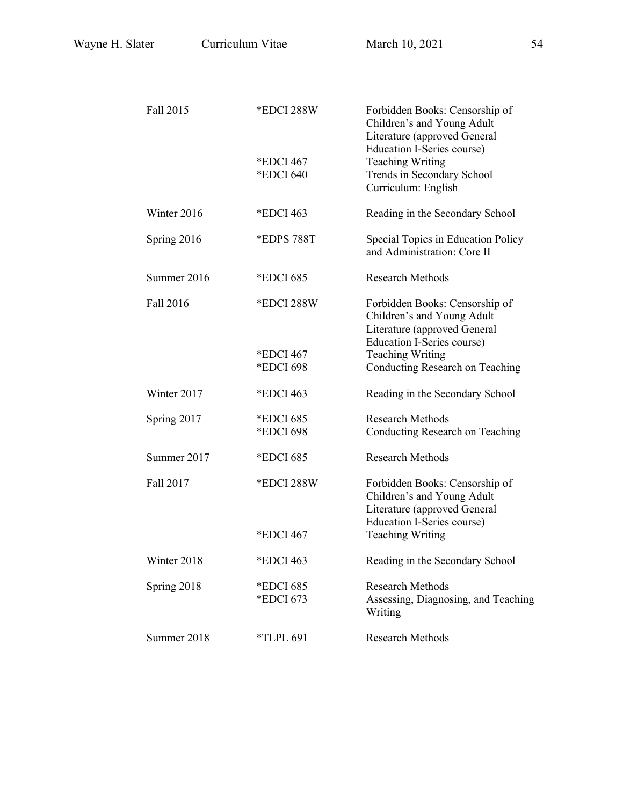| Fall 2015   | *EDCI 288W             | Forbidden Books: Censorship of<br>Children's and Young Adult<br>Literature (approved General<br>Education I-Series course)        |
|-------------|------------------------|-----------------------------------------------------------------------------------------------------------------------------------|
|             | *EDCI 467<br>*EDCI 640 | <b>Teaching Writing</b><br>Trends in Secondary School<br>Curriculum: English                                                      |
| Winter 2016 | *EDCI 463              | Reading in the Secondary School                                                                                                   |
| Spring 2016 | *EDPS 788T             | Special Topics in Education Policy<br>and Administration: Core II                                                                 |
| Summer 2016 | *EDCI 685              | <b>Research Methods</b>                                                                                                           |
| Fall 2016   | *EDCI 288W             | Forbidden Books: Censorship of<br>Children's and Young Adult<br>Literature (approved General<br>Education I-Series course)        |
|             | *EDCI 467<br>*EDCI 698 | <b>Teaching Writing</b><br>Conducting Research on Teaching                                                                        |
| Winter 2017 | *EDCI 463              | Reading in the Secondary School                                                                                                   |
| Spring 2017 | *EDCI 685<br>*EDCI 698 | <b>Research Methods</b><br>Conducting Research on Teaching                                                                        |
| Summer 2017 | *EDCI 685              | <b>Research Methods</b>                                                                                                           |
| Fall 2017   | *EDCI 288W             | Forbidden Books: Censorship of<br>Children's and Young Adult<br>Literature (approved General<br><b>Education I-Series course)</b> |
|             | *EDCI 467              | <b>Teaching Writing</b>                                                                                                           |
| Winter 2018 | *EDCI 463              | Reading in the Secondary School                                                                                                   |
| Spring 2018 | *EDCI 685<br>*EDCI 673 | <b>Research Methods</b><br>Assessing, Diagnosing, and Teaching<br>Writing                                                         |
| Summer 2018 | <i>*TLPL 691</i>       | <b>Research Methods</b>                                                                                                           |
|             |                        |                                                                                                                                   |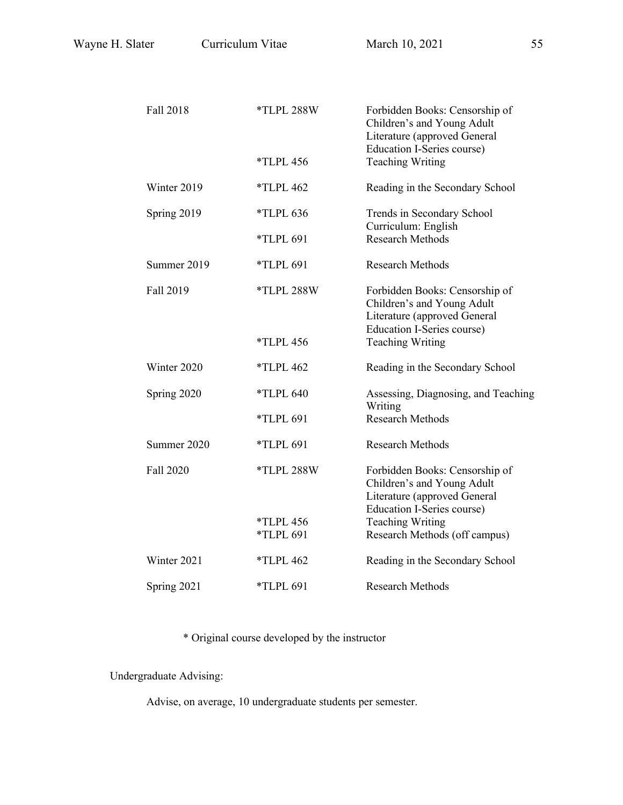| Fall 2018   | *TLPL 288W       | Forbidden Books: Censorship of<br>Children's and Young Adult<br>Literature (approved General                               |
|-------------|------------------|----------------------------------------------------------------------------------------------------------------------------|
|             | <i>*TLPL 456</i> | Education I-Series course)<br><b>Teaching Writing</b>                                                                      |
| Winter 2019 | $*TLPL 462$      | Reading in the Secondary School                                                                                            |
| Spring 2019 | <i>*TLPL 636</i> | Trends in Secondary School<br>Curriculum: English                                                                          |
|             | $*TLPL 691$      | <b>Research Methods</b>                                                                                                    |
| Summer 2019 | *TLPL 691        | <b>Research Methods</b>                                                                                                    |
| Fall 2019   | *TLPL 288W       | Forbidden Books: Censorship of<br>Children's and Young Adult<br>Literature (approved General<br>Education I-Series course) |
|             | <i>*TLPL 456</i> | <b>Teaching Writing</b>                                                                                                    |
| Winter 2020 | $*TLPL 462$      | Reading in the Secondary School                                                                                            |
| Spring 2020 | *TLPL 640        | Assessing, Diagnosing, and Teaching<br>Writing                                                                             |
|             | *TLPL 691        | <b>Research Methods</b>                                                                                                    |
| Summer 2020 | *TLPL 691        | <b>Research Methods</b>                                                                                                    |
| Fall 2020   | *TLPL 288W       | Forbidden Books: Censorship of<br>Children's and Young Adult<br>Literature (approved General<br>Education I-Series course) |
|             | <i>*TLPL 456</i> | <b>Teaching Writing</b>                                                                                                    |
|             | *TLPL 691        | Research Methods (off campus)                                                                                              |
| Winter 2021 | $*TLPL 462$      | Reading in the Secondary School                                                                                            |
| Spring 2021 | *TLPL 691        | <b>Research Methods</b>                                                                                                    |

\* Original course developed by the instructor

Undergraduate Advising:

Advise, on average, 10 undergraduate students per semester.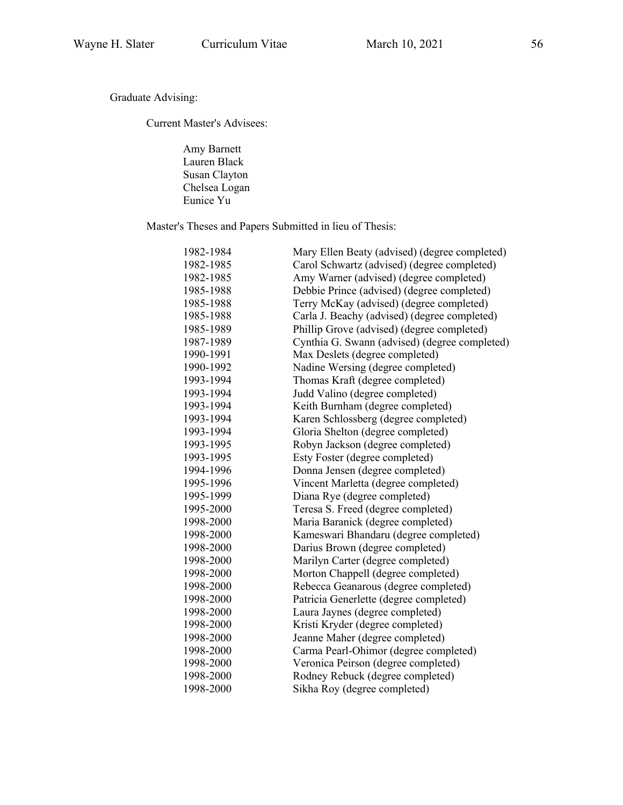Graduate Advising:

Current Master's Advisees:

Amy Barnett Lauren Black Susan Clayton Chelsea Logan Eunice Yu

Master's Theses and Papers Submitted in lieu of Thesis:

| 1982-1984 | Mary Ellen Beaty (advised) (degree completed) |
|-----------|-----------------------------------------------|
| 1982-1985 | Carol Schwartz (advised) (degree completed)   |
| 1982-1985 | Amy Warner (advised) (degree completed)       |
| 1985-1988 | Debbie Prince (advised) (degree completed)    |
| 1985-1988 | Terry McKay (advised) (degree completed)      |
| 1985-1988 | Carla J. Beachy (advised) (degree completed)  |
| 1985-1989 | Phillip Grove (advised) (degree completed)    |
| 1987-1989 | Cynthia G. Swann (advised) (degree completed) |
| 1990-1991 | Max Deslets (degree completed)                |
| 1990-1992 | Nadine Wersing (degree completed)             |
| 1993-1994 | Thomas Kraft (degree completed)               |
| 1993-1994 | Judd Valino (degree completed)                |
| 1993-1994 | Keith Burnham (degree completed)              |
| 1993-1994 | Karen Schlossberg (degree completed)          |
| 1993-1994 | Gloria Shelton (degree completed)             |
| 1993-1995 | Robyn Jackson (degree completed)              |
| 1993-1995 | Esty Foster (degree completed)                |
| 1994-1996 | Donna Jensen (degree completed)               |
| 1995-1996 | Vincent Marletta (degree completed)           |
| 1995-1999 | Diana Rye (degree completed)                  |
| 1995-2000 | Teresa S. Freed (degree completed)            |
| 1998-2000 | Maria Baranick (degree completed)             |
| 1998-2000 | Kameswari Bhandaru (degree completed)         |
| 1998-2000 | Darius Brown (degree completed)               |
| 1998-2000 | Marilyn Carter (degree completed)             |
| 1998-2000 | Morton Chappell (degree completed)            |
| 1998-2000 | Rebecca Geanarous (degree completed)          |
| 1998-2000 | Patricia Generlette (degree completed)        |
| 1998-2000 | Laura Jaynes (degree completed)               |
| 1998-2000 | Kristi Kryder (degree completed)              |
| 1998-2000 | Jeanne Maher (degree completed)               |
| 1998-2000 | Carma Pearl-Ohimor (degree completed)         |
| 1998-2000 | Veronica Peirson (degree completed)           |
| 1998-2000 | Rodney Rebuck (degree completed)              |
| 1998-2000 | Sikha Roy (degree completed)                  |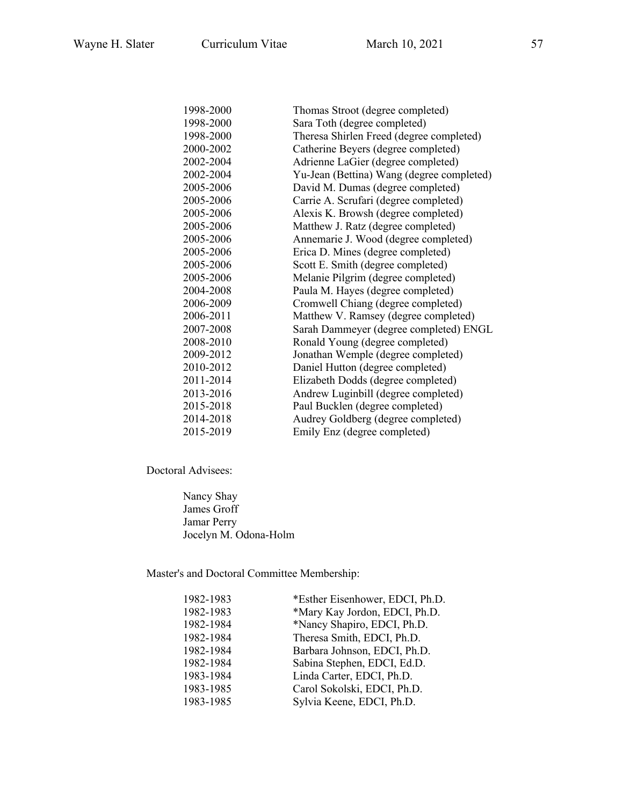| 1998-2000 | Thomas Stroot (degree completed)          |
|-----------|-------------------------------------------|
| 1998-2000 | Sara Toth (degree completed)              |
| 1998-2000 | Theresa Shirlen Freed (degree completed)  |
| 2000-2002 | Catherine Beyers (degree completed)       |
| 2002-2004 | Adrienne LaGier (degree completed)        |
| 2002-2004 | Yu-Jean (Bettina) Wang (degree completed) |
| 2005-2006 | David M. Dumas (degree completed)         |
| 2005-2006 | Carrie A. Scrufari (degree completed)     |
| 2005-2006 | Alexis K. Browsh (degree completed)       |
| 2005-2006 | Matthew J. Ratz (degree completed)        |
| 2005-2006 | Annemarie J. Wood (degree completed)      |
| 2005-2006 | Erica D. Mines (degree completed)         |
| 2005-2006 | Scott E. Smith (degree completed)         |
| 2005-2006 | Melanie Pilgrim (degree completed)        |
| 2004-2008 | Paula M. Hayes (degree completed)         |
| 2006-2009 | Cromwell Chiang (degree completed)        |
| 2006-2011 | Matthew V. Ramsey (degree completed)      |
| 2007-2008 | Sarah Dammeyer (degree completed) ENGL    |
| 2008-2010 | Ronald Young (degree completed)           |
| 2009-2012 | Jonathan Wemple (degree completed)        |
| 2010-2012 | Daniel Hutton (degree completed)          |
| 2011-2014 | Elizabeth Dodds (degree completed)        |
| 2013-2016 | Andrew Luginbill (degree completed)       |
| 2015-2018 | Paul Bucklen (degree completed)           |
| 2014-2018 | Audrey Goldberg (degree completed)        |
| 2015-2019 | Emily Enz (degree completed)              |
|           |                                           |

Doctoral Advisees:

Nancy Shay James Groff Jamar Perry Jocelyn M. Odona-Holm

Master's and Doctoral Committee Membership:

| 1982-1983 | *Esther Eisenhower, EDCI, Ph.D. |
|-----------|---------------------------------|
| 1982-1983 | *Mary Kay Jordon, EDCI, Ph.D.   |
| 1982-1984 | *Nancy Shapiro, EDCI, Ph.D.     |
| 1982-1984 | Theresa Smith, EDCI, Ph.D.      |
| 1982-1984 | Barbara Johnson, EDCI, Ph.D.    |
| 1982-1984 | Sabina Stephen, EDCI, Ed.D.     |
| 1983-1984 | Linda Carter, EDCI, Ph.D.       |
| 1983-1985 | Carol Sokolski, EDCI, Ph.D.     |
| 1983-1985 | Sylvia Keene, EDCI, Ph.D.       |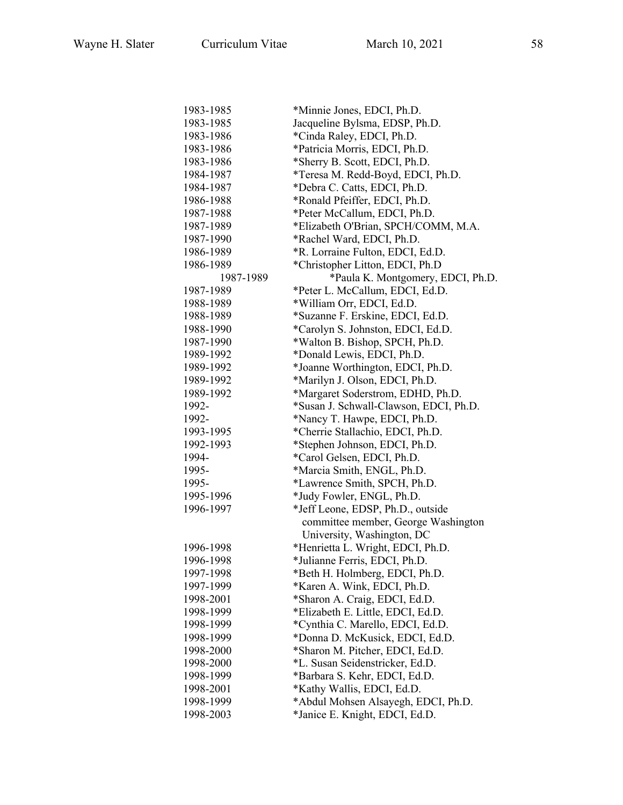| 1983-1985 | *Minnie Jones, EDCI, Ph.D.             |
|-----------|----------------------------------------|
| 1983-1985 | Jacqueline Bylsma, EDSP, Ph.D.         |
| 1983-1986 | *Cinda Raley, EDCI, Ph.D.              |
| 1983-1986 | *Patricia Morris, EDCI, Ph.D.          |
| 1983-1986 | *Sherry B. Scott, EDCI, Ph.D.          |
| 1984-1987 | *Teresa M. Redd-Boyd, EDCI, Ph.D.      |
| 1984-1987 | *Debra C. Catts, EDCI, Ph.D.           |
| 1986-1988 | *Ronald Pfeiffer, EDCI, Ph.D.          |
| 1987-1988 | *Peter McCallum, EDCI, Ph.D.           |
| 1987-1989 | *Elizabeth O'Brian, SPCH/COMM, M.A.    |
| 1987-1990 |                                        |
| 1986-1989 | *Rachel Ward, EDCI, Ph.D.              |
|           | *R. Lorraine Fulton, EDCI, Ed.D.       |
| 1986-1989 | *Christopher Litton, EDCI, Ph.D        |
| 1987-1989 | *Paula K. Montgomery, EDCI, Ph.D.      |
| 1987-1989 | *Peter L. McCallum, EDCI, Ed.D.        |
| 1988-1989 | *William Orr, EDCI, Ed.D.              |
| 1988-1989 | *Suzanne F. Erskine, EDCI, Ed.D.       |
| 1988-1990 | *Carolyn S. Johnston, EDCI, Ed.D.      |
| 1987-1990 | *Walton B. Bishop, SPCH, Ph.D.         |
| 1989-1992 | *Donald Lewis, EDCI, Ph.D.             |
| 1989-1992 | *Joanne Worthington, EDCI, Ph.D.       |
| 1989-1992 | *Marilyn J. Olson, EDCI, Ph.D.         |
| 1989-1992 | *Margaret Soderstrom, EDHD, Ph.D.      |
| 1992-     | *Susan J. Schwall-Clawson, EDCI, Ph.D. |
| 1992-     | *Nancy T. Hawpe, EDCI, Ph.D.           |
| 1993-1995 | *Cherrie Stallachio, EDCI, Ph.D.       |
| 1992-1993 | *Stephen Johnson, EDCI, Ph.D.          |
| 1994-     | *Carol Gelsen, EDCI, Ph.D.             |
| 1995-     | *Marcia Smith, ENGL, Ph.D.             |
| 1995-     | *Lawrence Smith, SPCH, Ph.D.           |
| 1995-1996 | *Judy Fowler, ENGL, Ph.D.              |
| 1996-1997 | *Jeff Leone, EDSP, Ph.D., outside      |
|           | committee member, George Washington    |
|           | University, Washington, DC             |
| 1996-1998 | *Henrietta L. Wright, EDCI, Ph.D.      |
| 1996-1998 | *Julianne Ferris, EDCI, Ph.D.          |
| 1997-1998 | *Beth H. Holmberg, EDCI, Ph.D.         |
| 1997-1999 | *Karen A. Wink, EDCI, Ph.D.            |
| 1998-2001 | *Sharon A. Craig, EDCI, Ed.D.          |
| 1998-1999 | *Elizabeth E. Little, EDCI, Ed.D.      |
| 1998-1999 | *Cynthia C. Marello, EDCI, Ed.D.       |
| 1998-1999 | *Donna D. McKusick, EDCI, Ed.D.        |
| 1998-2000 | *Sharon M. Pitcher, EDCI, Ed.D.        |
| 1998-2000 | *L. Susan Seidenstricker, Ed.D.        |
| 1998-1999 | *Barbara S. Kehr, EDCI, Ed.D.          |
| 1998-2001 | *Kathy Wallis, EDCI, Ed.D.             |
| 1998-1999 | *Abdul Mohsen Alsayegh, EDCI, Ph.D.    |
| 1998-2003 | *Janice E. Knight, EDCI, Ed.D.         |
|           |                                        |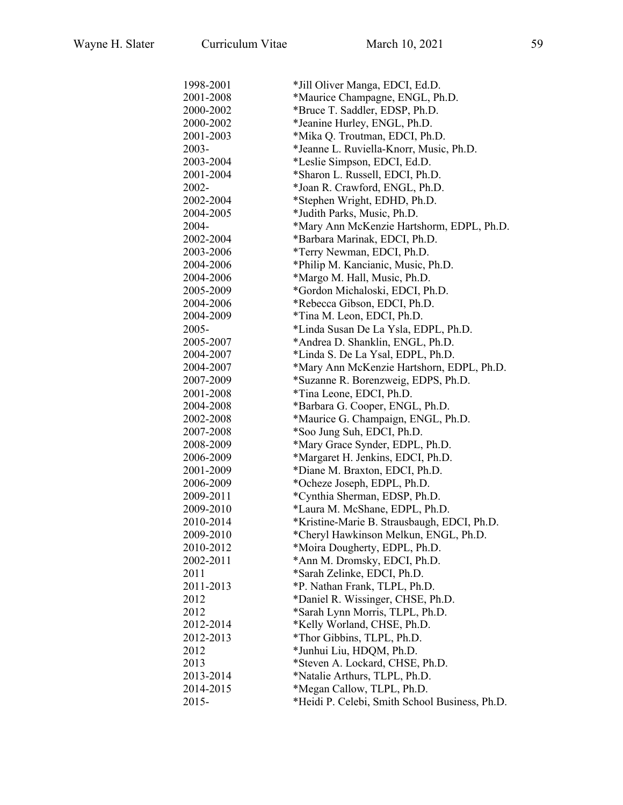| 1998-2001 | *Jill Oliver Manga, EDCI, Ed.D.                |
|-----------|------------------------------------------------|
| 2001-2008 | *Maurice Champagne, ENGL, Ph.D.                |
| 2000-2002 | *Bruce T. Saddler, EDSP, Ph.D.                 |
| 2000-2002 | *Jeanine Hurley, ENGL, Ph.D.                   |
| 2001-2003 | *Mika Q. Troutman, EDCI, Ph.D.                 |
| 2003-     | *Jeanne L. Ruviella-Knorr, Music, Ph.D.        |
| 2003-2004 | *Leslie Simpson, EDCI, Ed.D.                   |
| 2001-2004 | *Sharon L. Russell, EDCI, Ph.D.                |
| 2002-     | *Joan R. Crawford, ENGL, Ph.D.                 |
| 2002-2004 | *Stephen Wright, EDHD, Ph.D.                   |
| 2004-2005 | *Judith Parks, Music, Ph.D.                    |
| 2004-     | *Mary Ann McKenzie Hartshorm, EDPL, Ph.D.      |
| 2002-2004 | *Barbara Marinak, EDCI, Ph.D.                  |
| 2003-2006 | *Terry Newman, EDCI, Ph.D.                     |
| 2004-2006 | *Philip M. Kancianic, Music, Ph.D.             |
| 2004-2006 | *Margo M. Hall, Music, Ph.D.                   |
| 2005-2009 | *Gordon Michaloski, EDCI, Ph.D.                |
| 2004-2006 | *Rebecca Gibson, EDCI, Ph.D.                   |
| 2004-2009 | *Tina M. Leon, EDCI, Ph.D.                     |
| 2005-     | *Linda Susan De La Ysla, EDPL, Ph.D.           |
| 2005-2007 | *Andrea D. Shanklin, ENGL, Ph.D.               |
| 2004-2007 | *Linda S. De La Ysal, EDPL, Ph.D.              |
| 2004-2007 | *Mary Ann McKenzie Hartshorn, EDPL, Ph.D.      |
| 2007-2009 | *Suzanne R. Borenzweig, EDPS, Ph.D.            |
| 2001-2008 | *Tina Leone, EDCI, Ph.D.                       |
| 2004-2008 | *Barbara G. Cooper, ENGL, Ph.D.                |
| 2002-2008 | *Maurice G. Champaign, ENGL, Ph.D.             |
| 2007-2008 | *Soo Jung Suh, EDCI, Ph.D.                     |
| 2008-2009 | *Mary Grace Synder, EDPL, Ph.D.                |
| 2006-2009 | *Margaret H. Jenkins, EDCI, Ph.D.              |
| 2001-2009 | *Diane M. Braxton, EDCI, Ph.D.                 |
| 2006-2009 | *Ocheze Joseph, EDPL, Ph.D.                    |
| 2009-2011 | *Cynthia Sherman, EDSP, Ph.D.                  |
| 2009-2010 | *Laura M. McShane, EDPL, Ph.D.                 |
| 2010-2014 | *Kristine-Marie B. Strausbaugh, EDCI, Ph.D.    |
| 2009-2010 | *Cheryl Hawkinson Melkun, ENGL, Ph.D.          |
| 2010-2012 | *Moira Dougherty, EDPL, Ph.D.                  |
| 2002-2011 | *Ann M. Dromsky, EDCI, Ph.D.                   |
| 2011      | *Sarah Zelinke, EDCI, Ph.D.                    |
| 2011-2013 | *P. Nathan Frank, TLPL, Ph.D.                  |
| 2012      | *Daniel R. Wissinger, CHSE, Ph.D.              |
| 2012      | *Sarah Lynn Morris, TLPL, Ph.D.                |
| 2012-2014 | *Kelly Worland, CHSE, Ph.D.                    |
| 2012-2013 | *Thor Gibbins, TLPL, Ph.D.                     |
| 2012      | *Junhui Liu, HDQM, Ph.D.                       |
| 2013      | *Steven A. Lockard, CHSE, Ph.D.                |
| 2013-2014 | *Natalie Arthurs, TLPL, Ph.D.                  |
| 2014-2015 | *Megan Callow, TLPL, Ph.D.                     |
| 2015-     | *Heidi P. Celebi, Smith School Business, Ph.D. |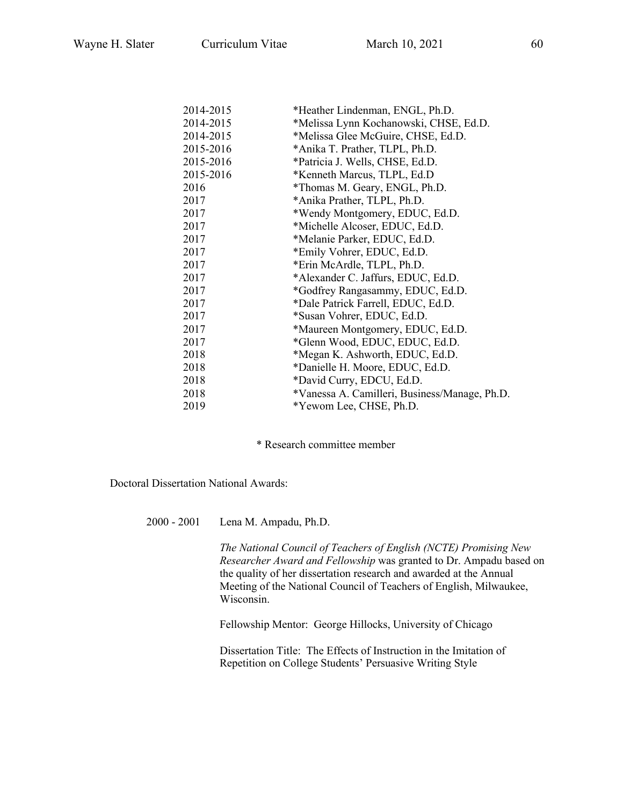| 2014-2015 | *Heather Lindenman, ENGL, Ph.D.               |
|-----------|-----------------------------------------------|
| 2014-2015 | *Melissa Lynn Kochanowski, CHSE, Ed.D.        |
| 2014-2015 | *Melissa Glee McGuire, CHSE, Ed.D.            |
| 2015-2016 | *Anika T. Prather, TLPL, Ph.D.                |
| 2015-2016 | *Patricia J. Wells, CHSE, Ed.D.               |
| 2015-2016 | *Kenneth Marcus, TLPL, Ed.D                   |
| 2016      | *Thomas M. Geary, ENGL, Ph.D.                 |
| 2017      | *Anika Prather, TLPL, Ph.D.                   |
| 2017      | *Wendy Montgomery, EDUC, Ed.D.                |
| 2017      | *Michelle Alcoser, EDUC, Ed.D.                |
| 2017      | *Melanie Parker, EDUC, Ed.D.                  |
| 2017      | *Emily Vohrer, EDUC, Ed.D.                    |
| 2017      | *Erin McArdle, TLPL, Ph.D.                    |
| 2017      | *Alexander C. Jaffurs, EDUC, Ed.D.            |
| 2017      | *Godfrey Rangasammy, EDUC, Ed.D.              |
| 2017      | *Dale Patrick Farrell, EDUC, Ed.D.            |
| 2017      | *Susan Vohrer, EDUC, Ed.D.                    |
| 2017      | *Maureen Montgomery, EDUC, Ed.D.              |
| 2017      | *Glenn Wood, EDUC, EDUC, Ed.D.                |
| 2018      | *Megan K. Ashworth, EDUC, Ed.D.               |
| 2018      | *Danielle H. Moore, EDUC, Ed.D.               |
| 2018      | *David Curry, EDCU, Ed.D.                     |
| 2018      | *Vanessa A. Camilleri, Business/Manage, Ph.D. |
| 2019      | *Yewom Lee, CHSE, Ph.D.                       |

\* Research committee member

Doctoral Dissertation National Awards:

2000 - 2001 Lena M. Ampadu, Ph.D.

*The National Council of Teachers of English (NCTE) Promising New Researcher Award and Fellowship* was granted to Dr. Ampadu based on the quality of her dissertation research and awarded at the Annual Meeting of the National Council of Teachers of English, Milwaukee, Wisconsin.

Fellowship Mentor: George Hillocks, University of Chicago

Dissertation Title: The Effects of Instruction in the Imitation of Repetition on College Students' Persuasive Writing Style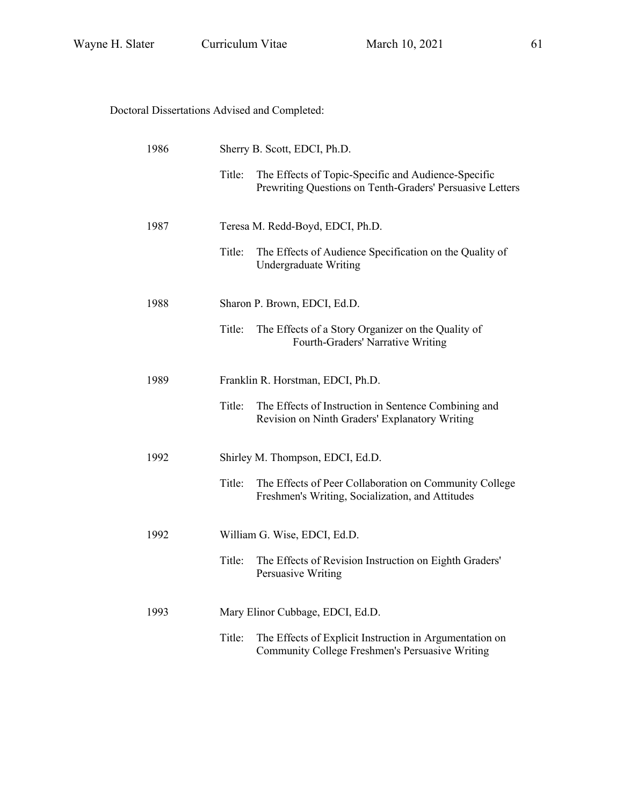Doctoral Dissertations Advised and Completed:

| 1986 |        | Sherry B. Scott, EDCI, Ph.D.                                                                                     |  |
|------|--------|------------------------------------------------------------------------------------------------------------------|--|
|      | Title: | The Effects of Topic-Specific and Audience-Specific<br>Prewriting Questions on Tenth-Graders' Persuasive Letters |  |
| 1987 |        | Teresa M. Redd-Boyd, EDCI, Ph.D.                                                                                 |  |
|      | Title: | The Effects of Audience Specification on the Quality of<br>Undergraduate Writing                                 |  |
| 1988 |        | Sharon P. Brown, EDCI, Ed.D.                                                                                     |  |
|      | Title: | The Effects of a Story Organizer on the Quality of<br>Fourth-Graders' Narrative Writing                          |  |
| 1989 |        | Franklin R. Horstman, EDCI, Ph.D.                                                                                |  |
|      | Title: | The Effects of Instruction in Sentence Combining and<br>Revision on Ninth Graders' Explanatory Writing           |  |
| 1992 |        | Shirley M. Thompson, EDCI, Ed.D.                                                                                 |  |
|      | Title: | The Effects of Peer Collaboration on Community College<br>Freshmen's Writing, Socialization, and Attitudes       |  |
| 1992 |        | William G. Wise, EDCI, Ed.D.                                                                                     |  |
|      | Title: | The Effects of Revision Instruction on Eighth Graders'<br>Persuasive Writing                                     |  |
| 1993 |        | Mary Elinor Cubbage, EDCI, Ed.D.                                                                                 |  |
|      | Title: | The Effects of Explicit Instruction in Argumentation on<br>Community College Freshmen's Persuasive Writing       |  |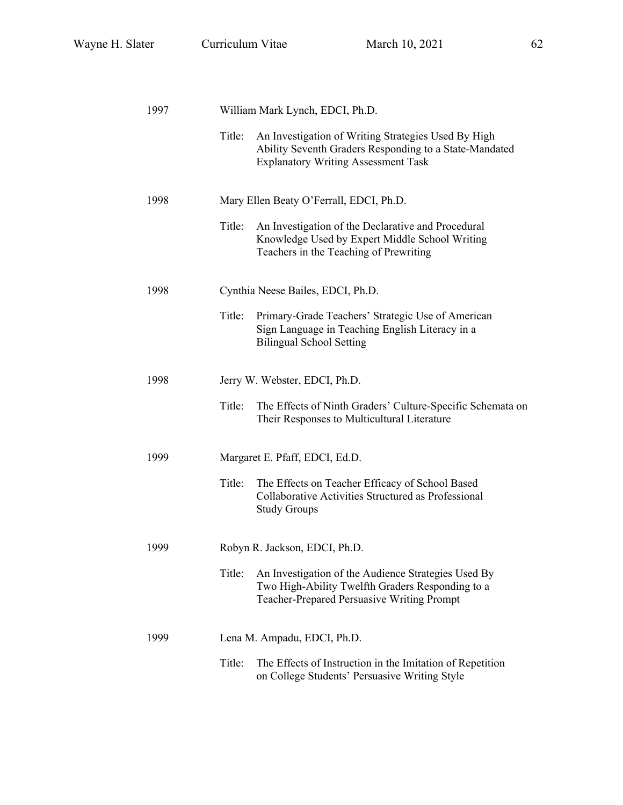| 1997 |        | William Mark Lynch, EDCI, Ph.D.                                                                                                                             |
|------|--------|-------------------------------------------------------------------------------------------------------------------------------------------------------------|
|      | Title: | An Investigation of Writing Strategies Used By High<br>Ability Seventh Graders Responding to a State-Mandated<br><b>Explanatory Writing Assessment Task</b> |
| 1998 |        | Mary Ellen Beaty O'Ferrall, EDCI, Ph.D.                                                                                                                     |
|      | Title: | An Investigation of the Declarative and Procedural<br>Knowledge Used by Expert Middle School Writing<br>Teachers in the Teaching of Prewriting              |
| 1998 |        | Cynthia Neese Bailes, EDCI, Ph.D.                                                                                                                           |
|      | Title: | Primary-Grade Teachers' Strategic Use of American<br>Sign Language in Teaching English Literacy in a<br><b>Bilingual School Setting</b>                     |
| 1998 |        | Jerry W. Webster, EDCI, Ph.D.                                                                                                                               |
|      | Title: | The Effects of Ninth Graders' Culture-Specific Schemata on<br>Their Responses to Multicultural Literature                                                   |
| 1999 |        | Margaret E. Pfaff, EDCI, Ed.D.                                                                                                                              |
|      | Title: | The Effects on Teacher Efficacy of School Based<br>Collaborative Activities Structured as Professional<br><b>Study Groups</b>                               |
| 1999 |        | Robyn R. Jackson, EDCI, Ph.D.                                                                                                                               |
|      | Title: | An Investigation of the Audience Strategies Used By<br>Two High-Ability Twelfth Graders Responding to a<br>Teacher-Prepared Persuasive Writing Prompt       |
| 1999 |        | Lena M. Ampadu, EDCI, Ph.D.                                                                                                                                 |
|      | Title: | The Effects of Instruction in the Imitation of Repetition<br>on College Students' Persuasive Writing Style                                                  |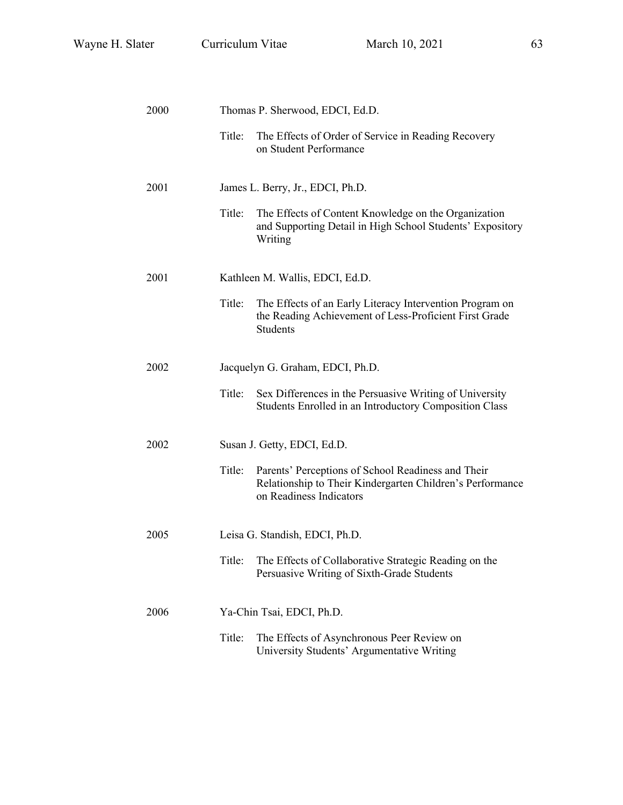| 2000 |        | Thomas P. Sherwood, EDCI, Ed.D.                                                                                                            |
|------|--------|--------------------------------------------------------------------------------------------------------------------------------------------|
|      | Title: | The Effects of Order of Service in Reading Recovery<br>on Student Performance                                                              |
| 2001 |        | James L. Berry, Jr., EDCI, Ph.D.                                                                                                           |
|      | Title: | The Effects of Content Knowledge on the Organization<br>and Supporting Detail in High School Students' Expository<br>Writing               |
| 2001 |        | Kathleen M. Wallis, EDCI, Ed.D.                                                                                                            |
|      | Title: | The Effects of an Early Literacy Intervention Program on<br>the Reading Achievement of Less-Proficient First Grade<br><b>Students</b>      |
| 2002 |        | Jacquelyn G. Graham, EDCI, Ph.D.                                                                                                           |
|      | Title: | Sex Differences in the Persuasive Writing of University<br>Students Enrolled in an Introductory Composition Class                          |
| 2002 |        | Susan J. Getty, EDCI, Ed.D.                                                                                                                |
|      | Title: | Parents' Perceptions of School Readiness and Their<br>Relationship to Their Kindergarten Children's Performance<br>on Readiness Indicators |
| 2005 |        | Leisa G. Standish, EDCI, Ph.D.                                                                                                             |
|      | Title: | The Effects of Collaborative Strategic Reading on the<br>Persuasive Writing of Sixth-Grade Students                                        |
| 2006 |        | Ya-Chin Tsai, EDCI, Ph.D.                                                                                                                  |
|      | Title: | The Effects of Asynchronous Peer Review on<br>University Students' Argumentative Writing                                                   |